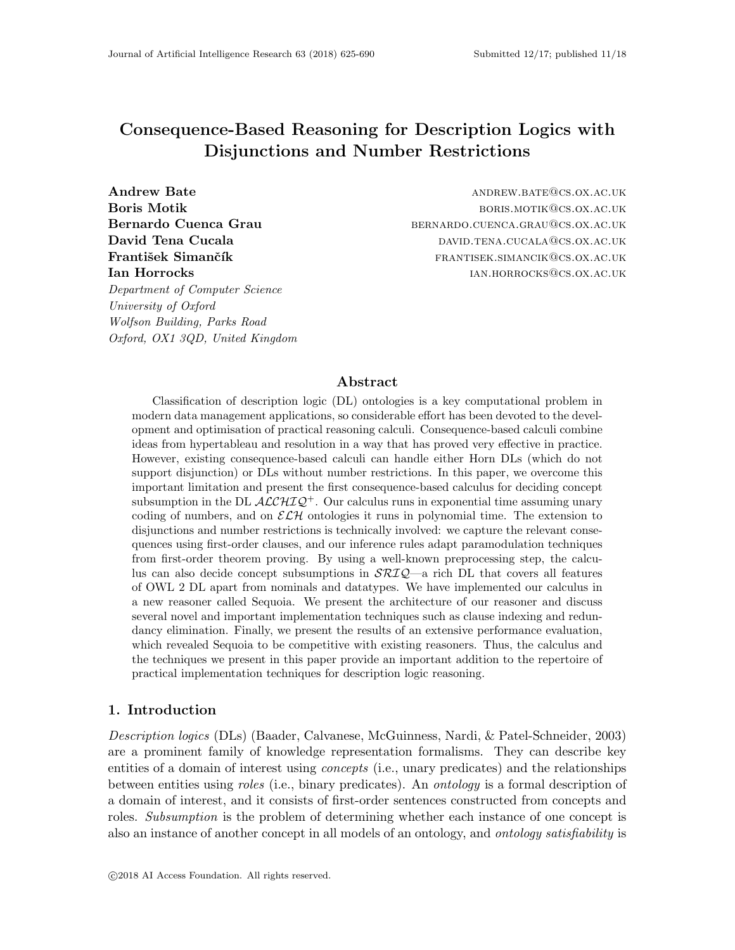# Consequence-Based Reasoning for Description Logics with Disjunctions and Number Restrictions

Department of Computer Science University of Oxford Wolfson Building, Parks Road Oxford, OX1 3QD, United Kingdom

Andrew Bate **andrew Bate** and the settlement of the settlement of the settlement of the settlement of the settlement of the settlement of the settlement of the settlement of the settlement of the settlement of the settleme Boris Motik **boris. Boris. Boris. BORIS. MOTIK CS.OX.AC.UK** Bernardo Cuenca Grau bernardo.cuenca.grau@cs.ox.ac.uk David Tena Cucala david the DAVID.TENA.CUCALA@CS.OX.AC.UK František Simančík frantisek.simancik@cs.ox.ac.uk **Ian Horrocks** in the settlement of the settlement of the settlement of the settlement of the settlement of the settlement of the settlement of the settlement of the settlement of the settlement of the settlement of the se

## Abstract

Classification of description logic (DL) ontologies is a key computational problem in modern data management applications, so considerable effort has been devoted to the development and optimisation of practical reasoning calculi. Consequence-based calculi combine ideas from hypertableau and resolution in a way that has proved very effective in practice. However, existing consequence-based calculi can handle either Horn DLs (which do not support disjunction) or DLs without number restrictions. In this paper, we overcome this important limitation and present the first consequence-based calculus for deciding concept subsumption in the DL  $\mathcal{ALCHIQ}^+$ . Our calculus runs in exponential time assuming unary coding of numbers, and on  $\mathcal{ELH}$  ontologies it runs in polynomial time. The extension to disjunctions and number restrictions is technically involved: we capture the relevant consequences using first-order clauses, and our inference rules adapt paramodulation techniques from first-order theorem proving. By using a well-known preprocessing step, the calculus can also decide concept subsumptions in  $\mathcal{SRI}Q$ —a rich DL that covers all features of OWL 2 DL apart from nominals and datatypes. We have implemented our calculus in a new reasoner called Sequoia. We present the architecture of our reasoner and discuss several novel and important implementation techniques such as clause indexing and redundancy elimination. Finally, we present the results of an extensive performance evaluation, which revealed Sequoia to be competitive with existing reasoners. Thus, the calculus and the techniques we present in this paper provide an important addition to the repertoire of practical implementation techniques for description logic reasoning.

## 1. Introduction

Description logics (DLs) (Baader, Calvanese, McGuinness, Nardi, & Patel-Schneider, 2003) are a prominent family of knowledge representation formalisms. They can describe key entities of a domain of interest using *concepts* (i.e., unary predicates) and the relationships between entities using roles (i.e., binary predicates). An ontology is a formal description of a domain of interest, and it consists of first-order sentences constructed from concepts and roles. Subsumption is the problem of determining whether each instance of one concept is also an instance of another concept in all models of an ontology, and ontology satisfiability is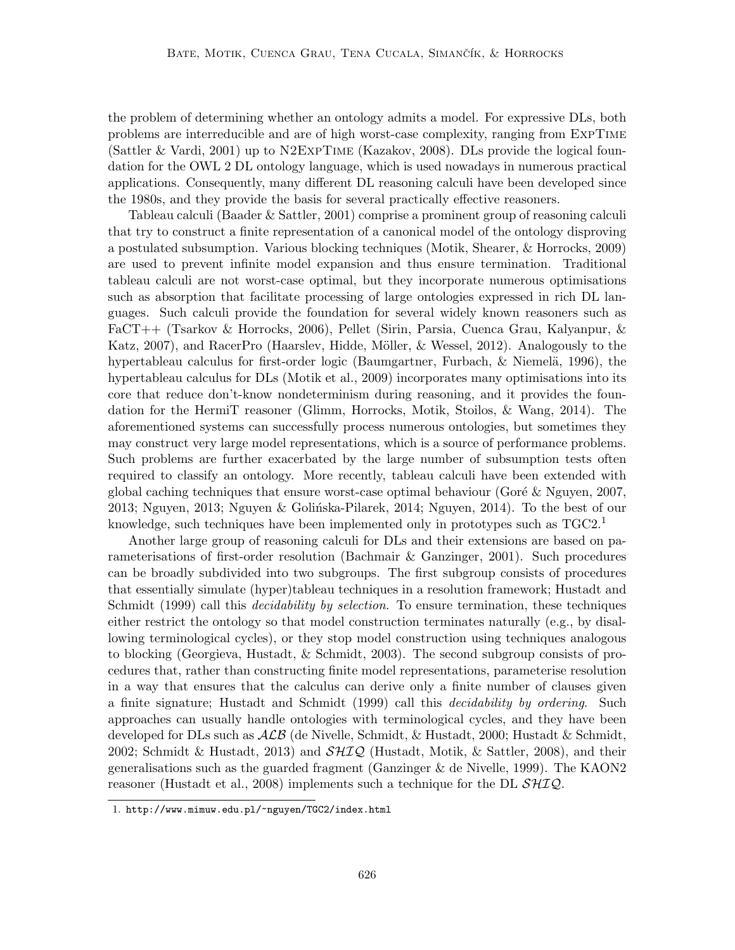the problem of determining whether an ontology admits a model. For expressive DLs, both problems are interreducible and are of high worst-case complexity, ranging from ExpTime (Sattler & Vardi, 2001) up to N2ExpTime (Kazakov, 2008). DLs provide the logical foundation for the OWL 2 DL ontology language, which is used nowadays in numerous practical applications. Consequently, many different DL reasoning calculi have been developed since the 1980s, and they provide the basis for several practically effective reasoners.

Tableau calculi (Baader & Sattler, 2001) comprise a prominent group of reasoning calculi that try to construct a finite representation of a canonical model of the ontology disproving a postulated subsumption. Various blocking techniques (Motik, Shearer, & Horrocks, 2009) are used to prevent infinite model expansion and thus ensure termination. Traditional tableau calculi are not worst-case optimal, but they incorporate numerous optimisations such as absorption that facilitate processing of large ontologies expressed in rich DL languages. Such calculi provide the foundation for several widely known reasoners such as FaCT++ (Tsarkov & Horrocks, 2006), Pellet (Sirin, Parsia, Cuenca Grau, Kalyanpur, & Katz, 2007), and RacerPro (Haarslev, Hidde, Möller, & Wessel, 2012). Analogously to the hypertableau calculus for first-order logic (Baumgartner, Furbach, & Niemelä, 1996), the hypertableau calculus for DLs (Motik et al., 2009) incorporates many optimisations into its core that reduce don't-know nondeterminism during reasoning, and it provides the foundation for the HermiT reasoner (Glimm, Horrocks, Motik, Stoilos, & Wang, 2014). The aforementioned systems can successfully process numerous ontologies, but sometimes they may construct very large model representations, which is a source of performance problems. Such problems are further exacerbated by the large number of subsumption tests often required to classify an ontology. More recently, tableau calculi have been extended with global caching techniques that ensure worst-case optimal behaviour (Goré  $&$  Nguyen, 2007, 2013; Nguyen, 2013; Nguyen & Golińska-Pilarek, 2014; Nguyen, 2014). To the best of our knowledge, such techniques have been implemented only in prototypes such as  $TGC2<sup>1</sup>$ 

Another large group of reasoning calculi for DLs and their extensions are based on parameterisations of first-order resolution (Bachmair & Ganzinger, 2001). Such procedures can be broadly subdivided into two subgroups. The first subgroup consists of procedures that essentially simulate (hyper)tableau techniques in a resolution framework; Hustadt and Schmidt (1999) call this *decidability by selection*. To ensure termination, these techniques either restrict the ontology so that model construction terminates naturally (e.g., by disallowing terminological cycles), or they stop model construction using techniques analogous to blocking (Georgieva, Hustadt, & Schmidt, 2003). The second subgroup consists of procedures that, rather than constructing finite model representations, parameterise resolution in a way that ensures that the calculus can derive only a finite number of clauses given a finite signature; Hustadt and Schmidt (1999) call this *decidability by ordering*. Such approaches can usually handle ontologies with terminological cycles, and they have been developed for DLs such as  $\mathcal{ALB}$  (de Nivelle, Schmidt, & Hustadt, 2000; Hustadt & Schmidt, 2002; Schmidt & Hustadt, 2013) and  $\mathcal{SHIQ}$  (Hustadt, Motik, & Sattler, 2008), and their generalisations such as the guarded fragment (Ganzinger & de Nivelle, 1999). The KAON2 reasoner (Hustadt et al., 2008) implements such a technique for the DL  $\mathcal{SHIQ}$ .

<sup>1.</sup> http://www.mimuw.edu.pl/~nguyen/TGC2/index.html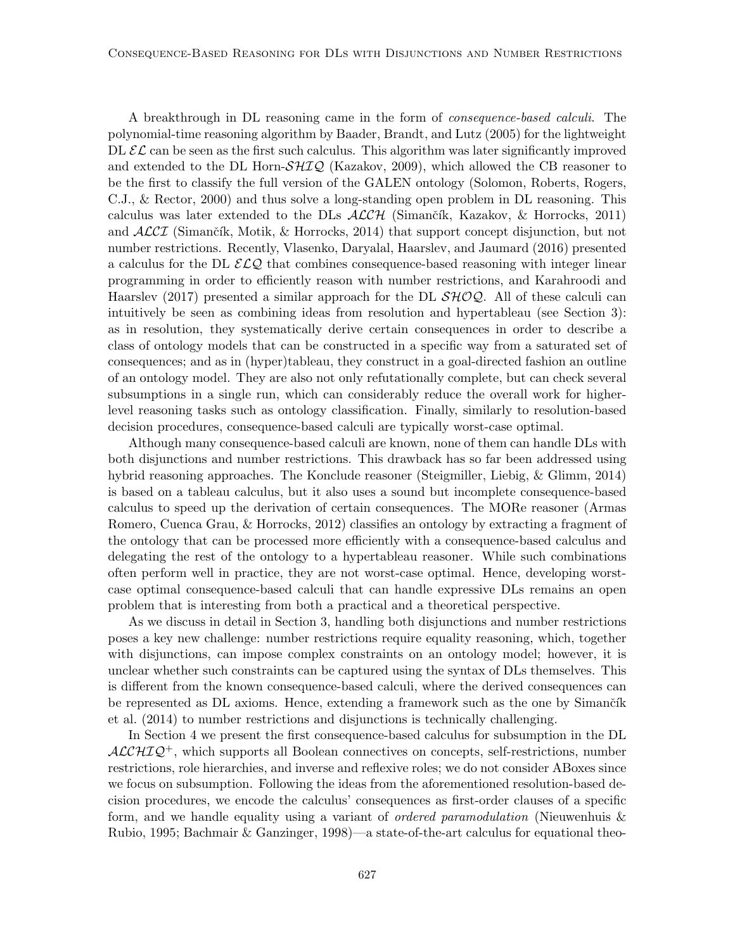A breakthrough in DL reasoning came in the form of consequence-based calculi. The polynomial-time reasoning algorithm by Baader, Brandt, and Lutz (2005) for the lightweight DL  $\mathcal{EL}$  can be seen as the first such calculus. This algorithm was later significantly improved and extended to the DL Horn- $\mathcal{SHLQ}$  (Kazakov, 2009), which allowed the CB reasoner to be the first to classify the full version of the GALEN ontology (Solomon, Roberts, Rogers, C.J., & Rector, 2000) and thus solve a long-standing open problem in DL reasoning. This calculus was later extended to the DLs  $\mathcal{ALCH}$  (Simančík, Kazakov, & Horrocks, 2011) and  $\text{ALCI}$  (Simančík, Motik, & Horrocks, 2014) that support concept disjunction, but not number restrictions. Recently, Vlasenko, Daryalal, Haarslev, and Jaumard (2016) presented a calculus for the DL  $\mathcal{ELQ}$  that combines consequence-based reasoning with integer linear programming in order to efficiently reason with number restrictions, and Karahroodi and Haarslev (2017) presented a similar approach for the DL  $\mathcal{SHOQ}$ . All of these calculi can intuitively be seen as combining ideas from resolution and hypertableau (see Section 3): as in resolution, they systematically derive certain consequences in order to describe a class of ontology models that can be constructed in a specific way from a saturated set of consequences; and as in (hyper)tableau, they construct in a goal-directed fashion an outline of an ontology model. They are also not only refutationally complete, but can check several subsumptions in a single run, which can considerably reduce the overall work for higherlevel reasoning tasks such as ontology classification. Finally, similarly to resolution-based decision procedures, consequence-based calculi are typically worst-case optimal.

Although many consequence-based calculi are known, none of them can handle DLs with both disjunctions and number restrictions. This drawback has so far been addressed using hybrid reasoning approaches. The Konclude reasoner (Steigmiller, Liebig, & Glimm, 2014) is based on a tableau calculus, but it also uses a sound but incomplete consequence-based calculus to speed up the derivation of certain consequences. The MORe reasoner (Armas Romero, Cuenca Grau, & Horrocks, 2012) classifies an ontology by extracting a fragment of the ontology that can be processed more efficiently with a consequence-based calculus and delegating the rest of the ontology to a hypertableau reasoner. While such combinations often perform well in practice, they are not worst-case optimal. Hence, developing worstcase optimal consequence-based calculi that can handle expressive DLs remains an open problem that is interesting from both a practical and a theoretical perspective.

As we discuss in detail in Section 3, handling both disjunctions and number restrictions poses a key new challenge: number restrictions require equality reasoning, which, together with disjunctions, can impose complex constraints on an ontology model; however, it is unclear whether such constraints can be captured using the syntax of DLs themselves. This is different from the known consequence-based calculi, where the derived consequences can be represented as DL axioms. Hence, extending a framework such as the one by Simančík et al. (2014) to number restrictions and disjunctions is technically challenging.

In Section 4 we present the first consequence-based calculus for subsumption in the DL  $ALCHIQ<sup>+</sup>$ , which supports all Boolean connectives on concepts, self-restrictions, number restrictions, role hierarchies, and inverse and reflexive roles; we do not consider ABoxes since we focus on subsumption. Following the ideas from the aforementioned resolution-based decision procedures, we encode the calculus' consequences as first-order clauses of a specific form, and we handle equality using a variant of ordered paramodulation (Nieuwenhuis & Rubio, 1995; Bachmair & Ganzinger, 1998)—a state-of-the-art calculus for equational theo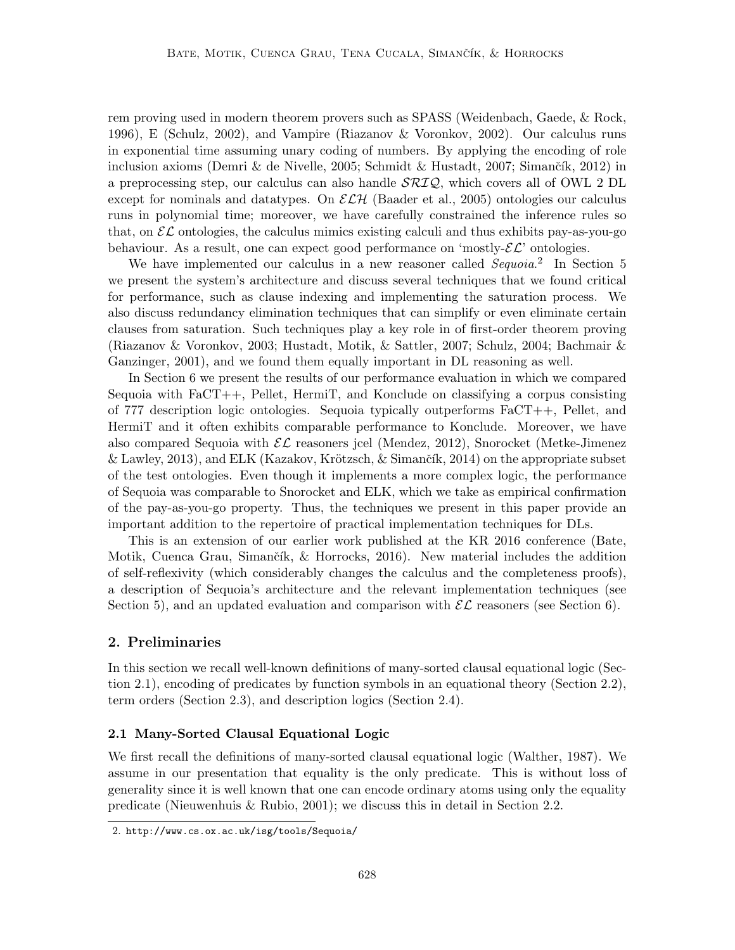rem proving used in modern theorem provers such as SPASS (Weidenbach, Gaede, & Rock, 1996), E (Schulz, 2002), and Vampire (Riazanov & Voronkov, 2002). Our calculus runs in exponential time assuming unary coding of numbers. By applying the encoding of role inclusion axioms (Demri & de Nivelle, 2005; Schmidt & Hustadt, 2007; Simančík, 2012) in a preprocessing step, our calculus can also handle  $\mathcal{SRIQ}$ , which covers all of OWL 2 DL except for nominals and datatypes. On  $\mathcal{ELH}$  (Baader et al., 2005) ontologies our calculus runs in polynomial time; moreover, we have carefully constrained the inference rules so that, on  $\mathcal{EL}$  ontologies, the calculus mimics existing calculi and thus exhibits pay-as-you-go behaviour. As a result, one can expect good performance on 'mostly- $\mathcal{EL}$ ' ontologies.

We have implemented our calculus in a new reasoner called  $Sequoia.$ <sup>2</sup> In Section 5 we present the system's architecture and discuss several techniques that we found critical for performance, such as clause indexing and implementing the saturation process. We also discuss redundancy elimination techniques that can simplify or even eliminate certain clauses from saturation. Such techniques play a key role in of first-order theorem proving (Riazanov & Voronkov, 2003; Hustadt, Motik, & Sattler, 2007; Schulz, 2004; Bachmair & Ganzinger, 2001), and we found them equally important in DL reasoning as well.

In Section 6 we present the results of our performance evaluation in which we compared Sequoia with FaCT++, Pellet, HermiT, and Konclude on classifying a corpus consisting of 777 description logic ontologies. Sequoia typically outperforms FaCT++, Pellet, and HermiT and it often exhibits comparable performance to Konclude. Moreover, we have also compared Sequoia with  $\mathcal{EL}$  reasoners jcel (Mendez, 2012), Snorocket (Metke-Jimenez & Lawley, 2013), and ELK (Kazakov, Krötzsch, & Simančík, 2014) on the appropriate subset of the test ontologies. Even though it implements a more complex logic, the performance of Sequoia was comparable to Snorocket and ELK, which we take as empirical confirmation of the pay-as-you-go property. Thus, the techniques we present in this paper provide an important addition to the repertoire of practical implementation techniques for DLs.

This is an extension of our earlier work published at the KR 2016 conference (Bate, Motik, Cuenca Grau, Simančík, & Horrocks, 2016). New material includes the addition of self-reflexivity (which considerably changes the calculus and the completeness proofs), a description of Sequoia's architecture and the relevant implementation techniques (see Section 5), and an updated evaluation and comparison with  $\mathcal{EL}$  reasoners (see Section 6).

## 2. Preliminaries

In this section we recall well-known definitions of many-sorted clausal equational logic (Section 2.1), encoding of predicates by function symbols in an equational theory (Section 2.2), term orders (Section 2.3), and description logics (Section 2.4).

#### 2.1 Many-Sorted Clausal Equational Logic

We first recall the definitions of many-sorted clausal equational logic (Walther, 1987). We assume in our presentation that equality is the only predicate. This is without loss of generality since it is well known that one can encode ordinary atoms using only the equality predicate (Nieuwenhuis & Rubio, 2001); we discuss this in detail in Section 2.2.

<sup>2.</sup> http://www.cs.ox.ac.uk/isg/tools/Sequoia/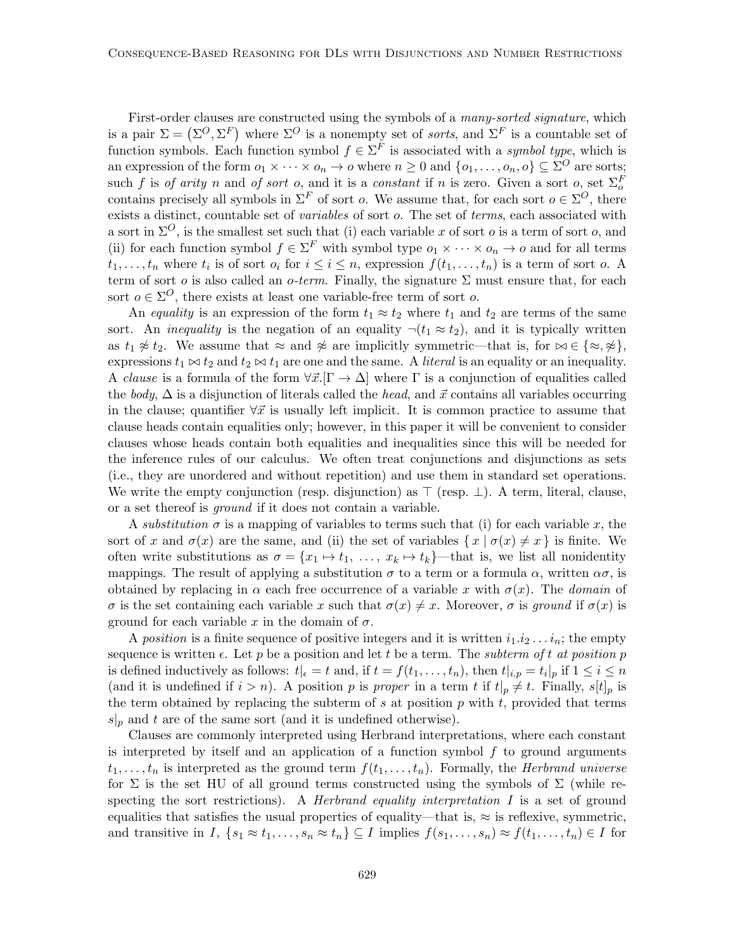First-order clauses are constructed using the symbols of a many-sorted signature, which is a pair  $\Sigma = (\Sigma^O, \Sigma^F)$  where  $\Sigma^O$  is a nonempty set of *sorts*, and  $\Sigma^F$  is a countable set of function symbols. Each function symbol  $f \in \Sigma^F$  is associated with a symbol type, which is an expression of the form  $o_1 \times \cdots \times o_n \to o$  where  $n \geq 0$  and  $\{o_1, \ldots, o_n, o\} \subseteq \Sigma^O$  are sorts; such f is of arity n and of sort o, and it is a constant if n is zero. Given a sort o, set  $\Sigma_o^F$ contains precisely all symbols in  $\Sigma^F$  of sort *o*. We assume that, for each sort  $o \in \Sigma^O$ , there exists a distinct, countable set of *variables* of sort o. The set of *terms*, each associated with a sort in  $\Sigma^O$ , is the smallest set such that (i) each variable x of sort o is a term of sort o, and (ii) for each function symbol  $f \in \Sigma^F$  with symbol type  $o_1 \times \cdots \times o_n \to o$  and for all terms  $t_1, \ldots, t_n$  where  $t_i$  is of sort  $o_i$  for  $i \leq i \leq n$ , expression  $f(t_1, \ldots, t_n)$  is a term of sort  $o$ . A term of sort o is also called an o-term. Finally, the signature  $\Sigma$  must ensure that, for each sort  $o \in \Sigma^O$ , there exists at least one variable-free term of sort o.

An equality is an expression of the form  $t_1 \approx t_2$  where  $t_1$  and  $t_2$  are terms of the same sort. An *inequality* is the negation of an equality  $\neg(t_1 \approx t_2)$ , and it is typically written as  $t_1 \not\approx t_2$ . We assume that  $\approx$  and  $\not\approx$  are implicitly symmetric—that is, for  $\bowtie \in {\{\approx, \approx\}}$ , expressions  $t_1 \bowtie t_2$  and  $t_2 \bowtie t_1$  are one and the same. A *literal* is an equality or an inequality. A clause is a formula of the form  $\forall \vec{x}.\Gamma \rightarrow \Delta$  where  $\Gamma$  is a conjunction of equalities called the body,  $\Delta$  is a disjunction of literals called the head, and  $\vec{x}$  contains all variables occurring in the clause; quantifier  $\forall \vec{x}$  is usually left implicit. It is common practice to assume that clause heads contain equalities only; however, in this paper it will be convenient to consider clauses whose heads contain both equalities and inequalities since this will be needed for the inference rules of our calculus. We often treat conjunctions and disjunctions as sets (i.e., they are unordered and without repetition) and use them in standard set operations. We write the empty conjunction (resp. disjunction) as  $\top$  (resp.  $\bot$ ). A term, literal, clause, or a set thereof is ground if it does not contain a variable.

A substitution  $\sigma$  is a mapping of variables to terms such that (i) for each variable x, the sort of x and  $\sigma(x)$  are the same, and (ii) the set of variables  $\{x \mid \sigma(x) \neq x\}$  is finite. We often write substitutions as  $\sigma = \{x_1 \mapsto t_1, \ldots, x_k \mapsto t_k\}$ —that is, we list all nonidentity mappings. The result of applying a substitution  $\sigma$  to a term or a formula  $\alpha$ , written  $\alpha\sigma$ , is obtained by replacing in  $\alpha$  each free occurrence of a variable x with  $\sigma(x)$ . The *domain* of σ is the set containing each variable x such that  $\sigma(x) \neq x$ . Moreover, σ is ground if  $\sigma(x)$  is ground for each variable x in the domain of  $\sigma$ .

A position is a finite sequence of positive integers and it is written  $i_1 \, i_2 \, \ldots \, i_n$ ; the empty sequence is written  $\epsilon$ . Let p be a position and let t be a term. The subterm of t at position p is defined inductively as follows:  $t|_{\epsilon} = t$  and, if  $t = f(t_1, \ldots, t_n)$ , then  $t|_{i,p} = t_i|_p$  if  $1 \le i \le n$ (and it is undefined if  $i > n$ ). A position p is proper in a term t if  $t|_p \neq t$ . Finally,  $s[t]_p$  is the term obtained by replacing the subterm of s at position  $p$  with  $t$ , provided that terms  $s|_p$  and t are of the same sort (and it is undefined otherwise).

Clauses are commonly interpreted using Herbrand interpretations, where each constant is interpreted by itself and an application of a function symbol  $f$  to ground arguments  $t_1, \ldots, t_n$  is interpreted as the ground term  $f(t_1, \ldots, t_n)$ . Formally, the *Herbrand universe* for  $\Sigma$  is the set HU of all ground terms constructed using the symbols of  $\Sigma$  (while respecting the sort restrictions). A *Herbrand equality interpretation I* is a set of ground equalities that satisfies the usual properties of equality—that is,  $\approx$  is reflexive, symmetric, and transitive in I,  $\{s_1 \approx t_1, \ldots, s_n \approx t_n\} \subseteq I$  implies  $f(s_1, \ldots, s_n) \approx f(t_1, \ldots, t_n) \in I$  for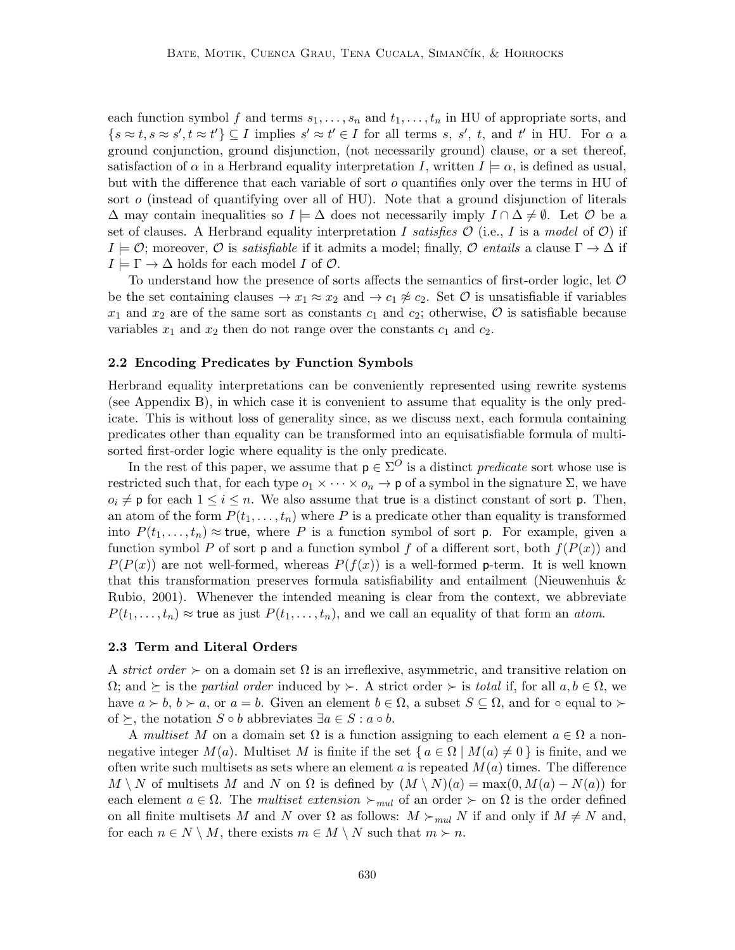each function symbol f and terms  $s_1, \ldots, s_n$  and  $t_1, \ldots, t_n$  in HU of appropriate sorts, and  $\{s \approx t, s \approx s', t \approx t'\} \subseteq I$  implies  $s' \approx t' \in I$  for all terms s, s', t, and t' in HU. For  $\alpha$  a ground conjunction, ground disjunction, (not necessarily ground) clause, or a set thereof, satisfaction of  $\alpha$  in a Herbrand equality interpretation I, written  $I \models \alpha$ , is defined as usual, but with the difference that each variable of sort o quantifies only over the terms in HU of sort  $o$  (instead of quantifying over all of HU). Note that a ground disjunction of literals  $\Delta$  may contain inequalities so  $I \models \Delta$  does not necessarily imply  $I \cap \Delta \neq \emptyset$ . Let  $\emptyset$  be a set of clauses. A Herbrand equality interpretation I satisfies  $\mathcal O$  (i.e., I is a model of  $\mathcal O$ ) if  $I \models \mathcal{O}$ ; moreover,  $\mathcal{O}$  is *satisfiable* if it admits a model; finally,  $\mathcal{O}$  entails a clause  $\Gamma \rightarrow \Delta$  if  $I \models \Gamma \rightarrow \Delta$  holds for each model I of  $\mathcal{O}$ .

To understand how the presence of sorts affects the semantics of first-order logic, let  $\mathcal O$ be the set containing clauses  $\rightarrow x_1 \approx x_2$  and  $\rightarrow c_1 \not\approx c_2$ . Set O is unsatisfiable if variables  $x_1$  and  $x_2$  are of the same sort as constants  $c_1$  and  $c_2$ ; otherwise,  $\mathcal O$  is satisfiable because variables  $x_1$  and  $x_2$  then do not range over the constants  $c_1$  and  $c_2$ .

#### 2.2 Encoding Predicates by Function Symbols

Herbrand equality interpretations can be conveniently represented using rewrite systems (see Appendix B), in which case it is convenient to assume that equality is the only predicate. This is without loss of generality since, as we discuss next, each formula containing predicates other than equality can be transformed into an equisatisfiable formula of multisorted first-order logic where equality is the only predicate.

In the rest of this paper, we assume that  $p \in \Sigma^O$  is a distinct *predicate* sort whose use is restricted such that, for each type  $o_1 \times \cdots \times o_n \to \mathsf{p}$  of a symbol in the signature  $\Sigma$ , we have  $o_i \neq p$  for each  $1 \leq i \leq n$ . We also assume that true is a distinct constant of sort p. Then, an atom of the form  $P(t_1, \ldots, t_n)$  where P is a predicate other than equality is transformed into  $P(t_1, \ldots, t_n) \approx \text{true}$ , where P is a function symbol of sort p. For example, given a function symbol P of sort **p** and a function symbol f of a different sort, both  $f(P(x))$  and  $P(P(x))$  are not well-formed, whereas  $P(f(x))$  is a well-formed p-term. It is well known that this transformation preserves formula satisfiability and entailment (Nieuwenhuis  $\&$ Rubio, 2001). Whenever the intended meaning is clear from the context, we abbreviate  $P(t_1, \ldots, t_n) \approx$  true as just  $P(t_1, \ldots, t_n)$ , and we call an equality of that form an atom.

#### 2.3 Term and Literal Orders

A strict order  $\succ$  on a domain set  $\Omega$  is an irreflexive, asymmetric, and transitive relation on  $\Omega$ ; and  $\succeq$  is the partial order induced by  $\succ$ . A strict order  $\succ$  is total if, for all  $a, b \in \Omega$ , we have  $a \succ b, b \succ a$ , or  $a = b$ . Given an element  $b \in \Omega$ , a subset  $S \subseteq \Omega$ , and for  $\circ$  equal to  $\succ$ of  $\succeq$ , the notation  $S \circ b$  abbreviates  $\exists a \in S : a \circ b$ .

A multiset M on a domain set  $\Omega$  is a function assigning to each element  $a \in \Omega$  a nonnegative integer  $M(a)$ . Multiset M is finite if the set  $\{a \in \Omega \mid M(a) \neq 0\}$  is finite, and we often write such multisets as sets where an element a is repeated  $M(a)$  times. The difference  $M \setminus N$  of multisets M and N on  $\Omega$  is defined by  $(M \setminus N)(a) = \max(0, M(a) - N(a))$  for each element  $a \in \Omega$ . The multiset extension  $\succ_{mul}$  of an order  $\succ$  on  $\Omega$  is the order defined on all finite multisets M and N over  $\Omega$  as follows:  $M \succ_{mul} N$  if and only if  $M \neq N$  and, for each  $n \in N \setminus M$ , there exists  $m \in M \setminus N$  such that  $m \succ n$ .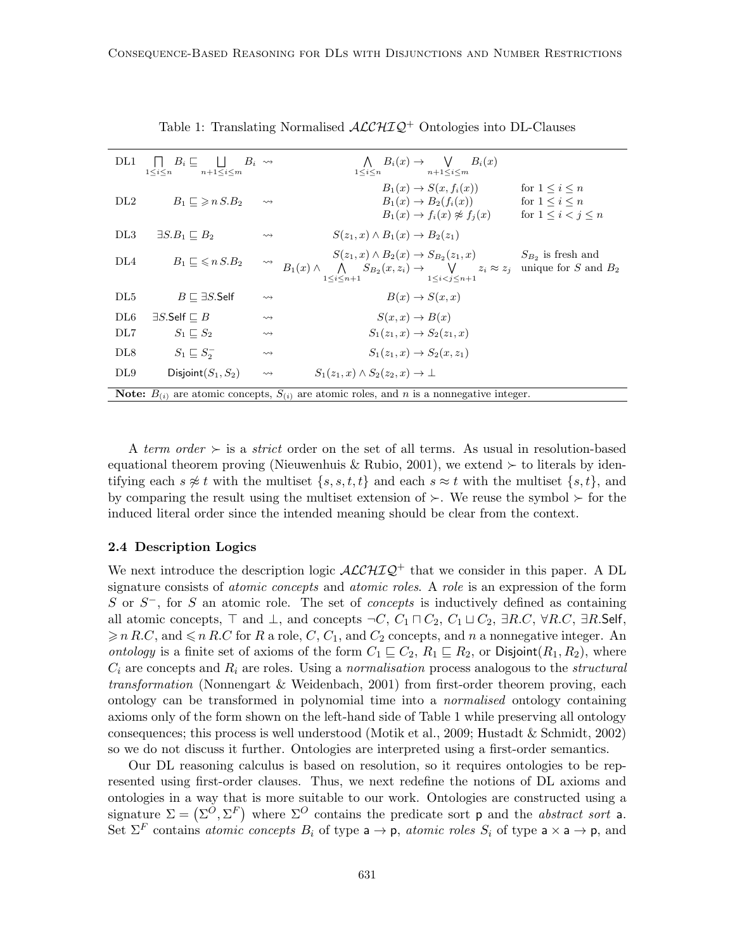| DL1             | $\Box B_i \Box \Box \Box B_i \rightarrow$<br>$n+1 \leq i \leq m$<br>$1 \leq i \leq n$ |                    | $\bigwedge B_i(x) \rightarrow \bigvee B_i(x)$<br>$1 \leq i \leq n$ $n+1 \leq i \leq m$                                                                                                                                                |  |
|-----------------|---------------------------------------------------------------------------------------|--------------------|---------------------------------------------------------------------------------------------------------------------------------------------------------------------------------------------------------------------------------------|--|
| DL2             | $B_1 \sqsubset \geqslant n S.B_2$                                                     | $\rightsquigarrow$ | $B_1(x) \rightarrow S(x, f_i(x))$<br>for $1 \leq i \leq n$<br>$B_1(x) \to B_2(f_i(x))$ for $1 \le i \le n$<br>$B_1(x) \rightarrow f_i(x) \not\approx f_i(x)$<br>for $1 \leq i \leq j \leq n$                                          |  |
| DL3             | $\exists S.B_1 \sqsubset B_2$                                                         | $\rightsquigarrow$ | $S(z_1,x) \wedge B_1(x) \rightarrow B_2(z_1)$                                                                                                                                                                                         |  |
| DL4             | $B_1 \sqsubset \leqslant n S.B_2$                                                     | $\rightsquigarrow$ | $S(z_1,x) \wedge B_2(x) \rightarrow S_{B_2}(z_1,x)$<br>$S_{B_2}$ is fresh and<br>$B_1(x) \wedge \bigwedge S_{B_2}(x, z_i) \rightarrow \bigvee z_i \approx z_j$ unique for S and $B_2$<br>$1 \le i \le n+1$<br>$1 \le i \le j \le n+1$ |  |
| DL <sub>5</sub> | $B \sqsubset \exists S$ .Self                                                         | $\rightsquigarrow$ | $B(x) \rightarrow S(x,x)$                                                                                                                                                                                                             |  |
| DL6             | $\exists S$ .Self $\sqsubset B$                                                       | $\rightsquigarrow$ | $S(x, x) \rightarrow B(x)$                                                                                                                                                                                                            |  |
| DL7             | $S_1 \sqsubset S_2$                                                                   | $\rightsquigarrow$ | $S_1(z_1, x) \to S_2(z_1, x)$                                                                                                                                                                                                         |  |
| DL <sub>8</sub> | $S_1 \sqsubseteq S_2^-$                                                               | $\rightsquigarrow$ | $S_1(z_1, x) \to S_2(x, z_1)$                                                                                                                                                                                                         |  |
| DL9             | Disjoint $(S_1, S_2)$                                                                 | $\rightsquigarrow$ | $S_1(z_1, x) \wedge S_2(z_2, x) \rightarrow \perp$                                                                                                                                                                                    |  |
|                 |                                                                                       |                    | <b>Note:</b> $B_{(i)}$ are atomic concepts, $S_{(i)}$ are atomic roles, and n is a nonnegative integer.                                                                                                                               |  |

Table 1: Translating Normalised  $\mathcal{ALCHIQ}^+$  Ontologies into DL-Clauses

A term order  $\succ$  is a strict order on the set of all terms. As usual in resolution-based equational theorem proving (Nieuwenhuis & Rubio, 2001), we extend  $\succ$  to literals by identifying each  $s \not\approx t$  with the multiset  $\{s, s, t, t\}$  and each  $s \approx t$  with the multiset  $\{s, t\}$ , and by comparing the result using the multiset extension of  $\succ$ . We reuse the symbol  $\succ$  for the induced literal order since the intended meaning should be clear from the context.

## 2.4 Description Logics

We next introduce the description logic  $\text{ALCHIQ}^+$  that we consider in this paper. A DL signature consists of *atomic concepts* and *atomic roles*. A *role* is an expression of the form S or  $S^-$ , for S an atomic role. The set of *concepts* is inductively defined as containing all atomic concepts,  $\top$  and  $\bot$ , and concepts  $\neg C$ ,  $C_1 \sqcap C_2$ ,  $C_1 \sqcup C_2$ ,  $\exists R.C$ ,  $\forall R.C$ ,  $\exists R.\mathsf{Self}$ ,  $\geq n R.C$ , and  $\leq n R.C$  for R a role, C,  $C_1$ , and  $C_2$  concepts, and n a nonnegative integer. An ontology is a finite set of axioms of the form  $C_1 \subseteq C_2$ ,  $R_1 \subseteq R_2$ , or Disjoint $(R_1, R_2)$ , where  $C_i$  are concepts and  $R_i$  are roles. Using a normalisation process analogous to the structural transformation (Nonnengart & Weidenbach, 2001) from first-order theorem proving, each ontology can be transformed in polynomial time into a normalised ontology containing axioms only of the form shown on the left-hand side of Table 1 while preserving all ontology consequences; this process is well understood (Motik et al., 2009; Hustadt & Schmidt, 2002) so we do not discuss it further. Ontologies are interpreted using a first-order semantics.

Our DL reasoning calculus is based on resolution, so it requires ontologies to be represented using first-order clauses. Thus, we next redefine the notions of DL axioms and ontologies in a way that is more suitable to our work. Ontologies are constructed using a signature  $\Sigma = (\Sigma^O, \Sigma^F)$  where  $\Sigma^O$  contains the predicate sort p and the abstract sort a. Set  $\Sigma^F$  contains *atomic concepts*  $B_i$  of type  $a \to p$ , *atomic roles*  $S_i$  of type  $a \times a \to p$ , and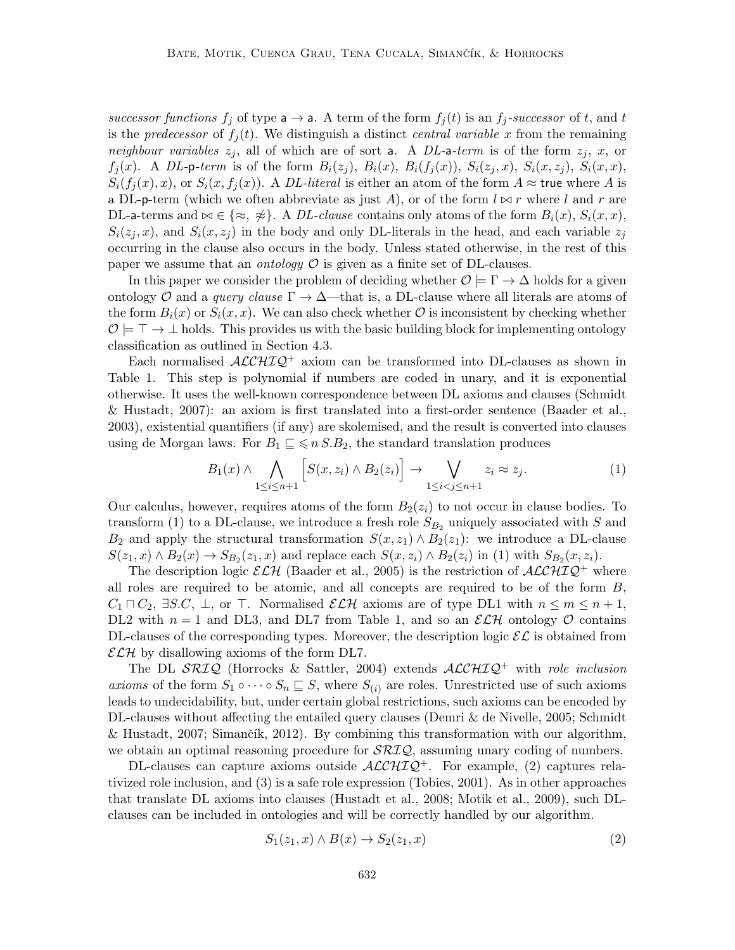successor functions  $f_i$  of type  $a \rightarrow a$ . A term of the form  $f_i(t)$  is an  $f_i$ -successor of t, and t is the predecessor of  $f_i(t)$ . We distinguish a distinct central variable x from the remaining neighbour variables  $z_j$ , all of which are of sort a. A DL-a-term is of the form  $z_j$ , x, or  $f_j(x)$ . A DL-p-term is of the form  $B_i(z_j)$ ,  $B_i(x)$ ,  $B_i(f_j(x))$ ,  $S_i(z_j, x)$ ,  $S_i(x, z_j)$ ,  $S_i(x, x)$ ,  $S_i(f_i(x),x)$ , or  $S_i(x, f_i(x))$ . A *DL-literal* is either an atom of the form  $A \approx \text{true}$  where A is a DL-p-term (which we often abbreviate as just A), or of the form  $l \approx r$  where l and r are DL-a-terms and  $\bowtie \in \{\approx, \; \neq\}$ . A *DL-clause* contains only atoms of the form  $B_i(x)$ ,  $S_i(x, x)$ ,  $S_i(z_j, x)$ , and  $S_i(x, z_j)$  in the body and only DL-literals in the head, and each variable  $z_j$ occurring in the clause also occurs in the body. Unless stated otherwise, in the rest of this paper we assume that an *ontology*  $\mathcal O$  is given as a finite set of DL-clauses.

In this paper we consider the problem of deciding whether  $\mathcal{O} \models \Gamma \rightarrow \Delta$  holds for a given ontology O and a *query clause*  $\Gamma \to \Delta$ —that is, a DL-clause where all literals are atoms of the form  $B_i(x)$  or  $S_i(x, x)$ . We can also check whether  $\mathcal O$  is inconsistent by checking whether  $\mathcal{O} \models \top \rightarrow \bot$  holds. This provides us with the basic building block for implementing ontology classification as outlined in Section 4.3.

Each normalised  $\mathcal{ALCHIQ}^+$  axiom can be transformed into DL-clauses as shown in Table 1. This step is polynomial if numbers are coded in unary, and it is exponential otherwise. It uses the well-known correspondence between DL axioms and clauses (Schmidt & Hustadt, 2007): an axiom is first translated into a first-order sentence (Baader et al., 2003), existential quantifiers (if any) are skolemised, and the result is converted into clauses using de Morgan laws. For  $B_1 \subseteq \leq n S.B_2$ , the standard translation produces

$$
B_1(x) \wedge \bigwedge_{1 \le i \le n+1} \left[ S(x, z_i) \wedge B_2(z_i) \right] \to \bigvee_{1 \le i < j \le n+1} z_i \approx z_j. \tag{1}
$$

Our calculus, however, requires atoms of the form  $B_2(z_i)$  to not occur in clause bodies. To transform (1) to a DL-clause, we introduce a fresh role  $S_{B_2}$  uniquely associated with S and  $B_2$  and apply the structural transformation  $S(x, z_1) \wedge B_2(z_1)$ : we introduce a DL-clause  $S(z_1, x) \wedge B_2(x) \rightarrow S_{B_2}(z_1, x)$  and replace each  $S(x, z_i) \wedge B_2(z_i)$  in (1) with  $S_{B_2}(x, z_i)$ .

The description logic  $\mathcal{ELH}$  (Baader et al., 2005) is the restriction of  $\mathcal{ALCHIQ}^+$  where all roles are required to be atomic, and all concepts are required to be of the form  $B$ ,  $C_1 \sqcap C_2$ ,  $\exists S.C, \perp$ , or  $\top$ . Normalised  $\mathcal{ELH}$  axioms are of type DL1 with  $n \leq m \leq n+1$ , DL2 with  $n = 1$  and DL3, and DL7 from Table 1, and so an  $\mathcal{ELH}$  ontology  $\mathcal O$  contains DL-clauses of the corresponding types. Moreover, the description logic  $\mathcal{EL}$  is obtained from  $\mathcal{ELH}$  by disallowing axioms of the form DL7.

The DL  $\text{SRLQ}$  (Horrocks & Sattler, 2004) extends  $\text{ALCHIQ}^+$  with role inclusion axioms of the form  $S_1 \circ \cdots \circ S_n \sqsubseteq S$ , where  $S_{(i)}$  are roles. Unrestricted use of such axioms leads to undecidability, but, under certain global restrictions, such axioms can be encoded by DL-clauses without affecting the entailed query clauses (Demri & de Nivelle, 2005; Schmidt & Hustadt, 2007; Simančík, 2012). By combining this transformation with our algorithm, we obtain an optimal reasoning procedure for  $\mathcal{SRIQ}$ , assuming unary coding of numbers.

DL-clauses can capture axioms outside  $\text{ALCHIQ}^+$ . For example, (2) captures relativized role inclusion, and (3) is a safe role expression (Tobies, 2001). As in other approaches that translate DL axioms into clauses (Hustadt et al., 2008; Motik et al., 2009), such DLclauses can be included in ontologies and will be correctly handled by our algorithm.

$$
S_1(z_1, x) \wedge B(x) \to S_2(z_1, x) \tag{2}
$$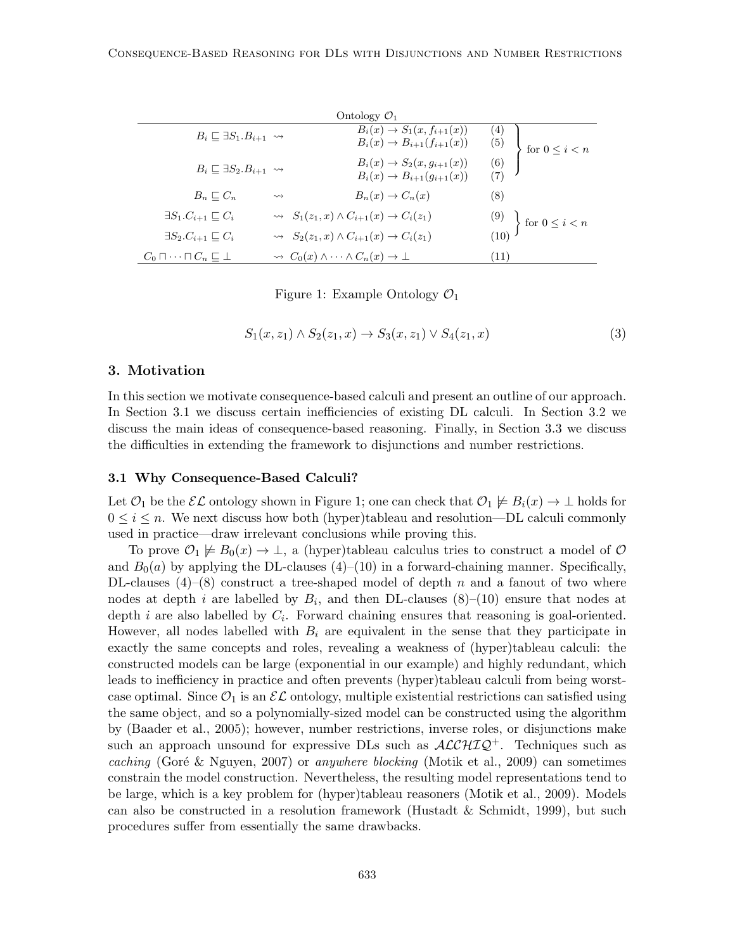|                                               |                    | Ontology $\mathcal{O}_1$                                                    |            |                                                           |
|-----------------------------------------------|--------------------|-----------------------------------------------------------------------------|------------|-----------------------------------------------------------|
| $B_i \sqsubset \exists S_1.B_{i+1} \leadsto$  |                    | $B_i(x) \to S_1(x, f_{i+1}(x))$<br>$B_i(x) \to B_{i+1}(f_{i+1}(x))$         | (4)<br>(5) | for $0 \leq i < n$                                        |
| $B_i \sqsubset \exists S_2.B_{i+1} \leadsto$  |                    | $B_i(x) \rightarrow S_2(x, g_{i+1}(x))$<br>$B_i(x) \to B_{i+1}(g_{i+1}(x))$ | (6)        |                                                           |
| $B_n \sqsubset C_n$                           | $\rightsquigarrow$ | $B_n(x) \to C_n(x)$                                                         | (8)        |                                                           |
| $\exists S_1.C_{i+1} \sqsubset C_i$           |                    | $\rightsquigarrow S_1(z_1, x) \wedge C_{i+1}(x) \rightarrow C_i(z_1)$       |            |                                                           |
| $\exists S_2.C_{i+1}\sqsubset C_i$            |                    | $\rightsquigarrow S_2(z_1, x) \wedge C_{i+1}(x) \rightarrow C_i(z_1)$       |            | $\begin{pmatrix} 9 \\ 10 \end{pmatrix}$ for $0 \le i < n$ |
| $C_0 \sqcap \cdots \sqcap C_n \sqsubset \bot$ |                    | $\rightsquigarrow C_0(x) \wedge \cdots \wedge C_n(x) \rightarrow \bot$      | (11)       |                                                           |

Figure 1: Example Ontology  $\mathcal{O}_1$ 

$$
S_1(x, z_1) \wedge S_2(z_1, x) \rightarrow S_3(x, z_1) \vee S_4(z_1, x)
$$
\n(3)

#### 3. Motivation

In this section we motivate consequence-based calculi and present an outline of our approach. In Section 3.1 we discuss certain inefficiencies of existing DL calculi. In Section 3.2 we discuss the main ideas of consequence-based reasoning. Finally, in Section 3.3 we discuss the difficulties in extending the framework to disjunctions and number restrictions.

#### 3.1 Why Consequence-Based Calculi?

Let  $\mathcal{O}_1$  be the  $\mathcal{EL}$  ontology shown in Figure 1; one can check that  $\mathcal{O}_1 \not\models B_i(x) \rightarrow \bot$  holds for  $0 \leq i \leq n$ . We next discuss how both (hyper)tableau and resolution—DL calculi commonly used in practice—draw irrelevant conclusions while proving this.

To prove  $\mathcal{O}_1 \not\models B_0(x) \to \bot$ , a (hyper)tableau calculus tries to construct a model of  $\mathcal O$ and  $B_0(a)$  by applying the DL-clauses (4)–(10) in a forward-chaining manner. Specifically, DL-clauses  $(4)$ – $(8)$  construct a tree-shaped model of depth n and a fanout of two where nodes at depth *i* are labelled by  $B_i$ , and then DL-clauses  $(8)-(10)$  ensure that nodes at depth *i* are also labelled by  $C_i$ . Forward chaining ensures that reasoning is goal-oriented. However, all nodes labelled with  $B_i$  are equivalent in the sense that they participate in exactly the same concepts and roles, revealing a weakness of (hyper)tableau calculi: the constructed models can be large (exponential in our example) and highly redundant, which leads to inefficiency in practice and often prevents (hyper)tableau calculi from being worstcase optimal. Since  $\mathcal{O}_1$  is an  $\mathcal{EL}$  ontology, multiple existential restrictions can satisfied using the same object, and so a polynomially-sized model can be constructed using the algorithm by (Baader et al., 2005); however, number restrictions, inverse roles, or disjunctions make such an approach unsound for expressive DLs such as  $\mathcal{ALCHIQ}^+$ . Techniques such as caching (Goré & Nguyen, 2007) or anywhere blocking (Motik et al., 2009) can sometimes constrain the model construction. Nevertheless, the resulting model representations tend to be large, which is a key problem for (hyper)tableau reasoners (Motik et al., 2009). Models can also be constructed in a resolution framework (Hustadt & Schmidt, 1999), but such procedures suffer from essentially the same drawbacks.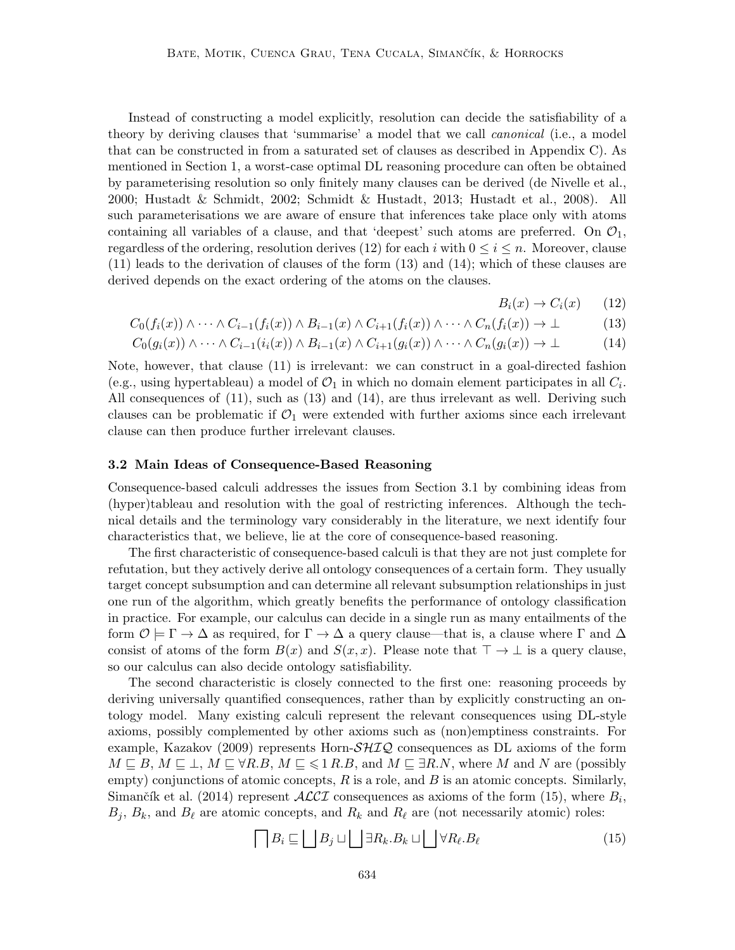Instead of constructing a model explicitly, resolution can decide the satisfiability of a theory by deriving clauses that 'summarise' a model that we call *canonical* (i.e., a model that can be constructed in from a saturated set of clauses as described in Appendix C). As mentioned in Section 1, a worst-case optimal DL reasoning procedure can often be obtained by parameterising resolution so only finitely many clauses can be derived (de Nivelle et al., 2000; Hustadt & Schmidt, 2002; Schmidt & Hustadt, 2013; Hustadt et al., 2008). All such parameterisations we are aware of ensure that inferences take place only with atoms containing all variables of a clause, and that 'deepest' such atoms are preferred. On  $\mathcal{O}_1$ , regardless of the ordering, resolution derives (12) for each i with  $0 \le i \le n$ . Moreover, clause (11) leads to the derivation of clauses of the form (13) and (14); which of these clauses are derived depends on the exact ordering of the atoms on the clauses.

 $B_i(x) \rightarrow C_i(x)$  (12)

$$
C_0(f_i(x)) \wedge \cdots \wedge C_{i-1}(f_i(x)) \wedge B_{i-1}(x) \wedge C_{i+1}(f_i(x)) \wedge \cdots \wedge C_n(f_i(x)) \rightarrow \bot
$$
 (13)

$$
C_0(g_i(x)) \wedge \cdots \wedge C_{i-1}(i_i(x)) \wedge B_{i-1}(x) \wedge C_{i+1}(g_i(x)) \wedge \cdots \wedge C_n(g_i(x)) \rightarrow \bot
$$
 (14)

Note, however, that clause (11) is irrelevant: we can construct in a goal-directed fashion (e.g., using hypertableau) a model of  $\mathcal{O}_1$  in which no domain element participates in all  $C_i$ . All consequences of (11), such as (13) and (14), are thus irrelevant as well. Deriving such clauses can be problematic if  $\mathcal{O}_1$  were extended with further axioms since each irrelevant clause can then produce further irrelevant clauses.

#### 3.2 Main Ideas of Consequence-Based Reasoning

Consequence-based calculi addresses the issues from Section 3.1 by combining ideas from (hyper)tableau and resolution with the goal of restricting inferences. Although the technical details and the terminology vary considerably in the literature, we next identify four characteristics that, we believe, lie at the core of consequence-based reasoning.

The first characteristic of consequence-based calculi is that they are not just complete for refutation, but they actively derive all ontology consequences of a certain form. They usually target concept subsumption and can determine all relevant subsumption relationships in just one run of the algorithm, which greatly benefits the performance of ontology classification in practice. For example, our calculus can decide in a single run as many entailments of the form  $\mathcal{O} \models \Gamma \to \Delta$  as required, for  $\Gamma \to \Delta$  a query clause—that is, a clause where  $\Gamma$  and  $\Delta$ consist of atoms of the form  $B(x)$  and  $S(x, x)$ . Please note that  $\top \rightarrow \bot$  is a query clause, so our calculus can also decide ontology satisfiability.

The second characteristic is closely connected to the first one: reasoning proceeds by deriving universally quantified consequences, rather than by explicitly constructing an ontology model. Many existing calculi represent the relevant consequences using DL-style axioms, possibly complemented by other axioms such as (non)emptiness constraints. For example, Kazakov (2009) represents Horn- $\mathcal{SHIQ}$  consequences as DL axioms of the form  $M \sqsubseteq B$ ,  $M \sqsubseteq \perp$ ,  $M \sqsubseteq \forall R.B$ ,  $M \sqsubseteq \leq 1 R.B$ , and  $M \sqsubseteq \exists R.N$ , where M and N are (possibly empty) conjunctions of atomic concepts,  $R$  is a role, and  $B$  is an atomic concepts. Similarly, Simančík et al. (2014) represent  $\mathcal{ALCI}$  consequences as axioms of the form (15), where  $B_i$ ,  $B_j$ ,  $B_k$ , and  $B_\ell$  are atomic concepts, and  $R_k$  and  $R_\ell$  are (not necessarily atomic) roles:

$$
\bigcap B_i \sqsubseteq \bigsqcup B_j \sqcup \bigsqcup \exists R_k.B_k \sqcup \bigsqcup \forall R_\ell.B_\ell \tag{15}
$$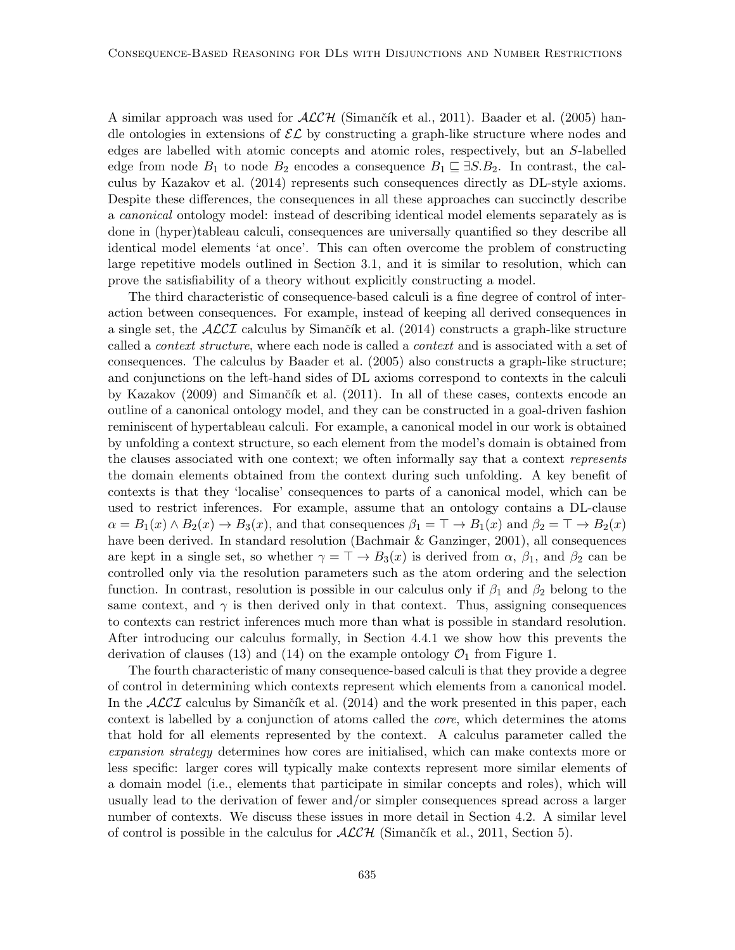A similar approach was used for  $ALCH$  (Simančík et al., 2011). Baader et al. (2005) handle ontologies in extensions of  $\mathcal{EL}$  by constructing a graph-like structure where nodes and edges are labelled with atomic concepts and atomic roles, respectively, but an S-labelled edge from node  $B_1$  to node  $B_2$  encodes a consequence  $B_1 \sqsubseteq \exists S.B_2$ . In contrast, the calculus by Kazakov et al. (2014) represents such consequences directly as DL-style axioms. Despite these differences, the consequences in all these approaches can succinctly describe a canonical ontology model: instead of describing identical model elements separately as is done in (hyper)tableau calculi, consequences are universally quantified so they describe all identical model elements 'at once'. This can often overcome the problem of constructing large repetitive models outlined in Section 3.1, and it is similar to resolution, which can prove the satisfiability of a theory without explicitly constructing a model.

The third characteristic of consequence-based calculi is a fine degree of control of interaction between consequences. For example, instead of keeping all derived consequences in a single set, the  $\angle$ ACCI calculus by Simančík et al. (2014) constructs a graph-like structure called a *context structure*, where each node is called a *context* and is associated with a set of consequences. The calculus by Baader et al. (2005) also constructs a graph-like structure; and conjunctions on the left-hand sides of DL axioms correspond to contexts in the calculi by Kazakov (2009) and Simančík et al. (2011). In all of these cases, contexts encode an outline of a canonical ontology model, and they can be constructed in a goal-driven fashion reminiscent of hypertableau calculi. For example, a canonical model in our work is obtained by unfolding a context structure, so each element from the model's domain is obtained from the clauses associated with one context; we often informally say that a context represents the domain elements obtained from the context during such unfolding. A key benefit of contexts is that they 'localise' consequences to parts of a canonical model, which can be used to restrict inferences. For example, assume that an ontology contains a DL-clause  $\alpha = B_1(x) \wedge B_2(x) \rightarrow B_3(x)$ , and that consequences  $\beta_1 = \top \rightarrow B_1(x)$  and  $\beta_2 = \top \rightarrow B_2(x)$ have been derived. In standard resolution (Bachmair & Ganzinger, 2001), all consequences are kept in a single set, so whether  $\gamma = \top \rightarrow B_3(x)$  is derived from  $\alpha$ ,  $\beta_1$ , and  $\beta_2$  can be controlled only via the resolution parameters such as the atom ordering and the selection function. In contrast, resolution is possible in our calculus only if  $\beta_1$  and  $\beta_2$  belong to the same context, and  $\gamma$  is then derived only in that context. Thus, assigning consequences to contexts can restrict inferences much more than what is possible in standard resolution. After introducing our calculus formally, in Section 4.4.1 we show how this prevents the derivation of clauses (13) and (14) on the example ontology  $\mathcal{O}_1$  from Figure 1.

The fourth characteristic of many consequence-based calculi is that they provide a degree of control in determining which contexts represent which elements from a canonical model. In the  $\mathcal{ALCI}$  calculus by Simančík et al. (2014) and the work presented in this paper, each context is labelled by a conjunction of atoms called the core, which determines the atoms that hold for all elements represented by the context. A calculus parameter called the expansion strategy determines how cores are initialised, which can make contexts more or less specific: larger cores will typically make contexts represent more similar elements of a domain model (i.e., elements that participate in similar concepts and roles), which will usually lead to the derivation of fewer and/or simpler consequences spread across a larger number of contexts. We discuss these issues in more detail in Section 4.2. A similar level of control is possible in the calculus for  $\mathcal{ALCH}$  (Simančík et al., 2011, Section 5).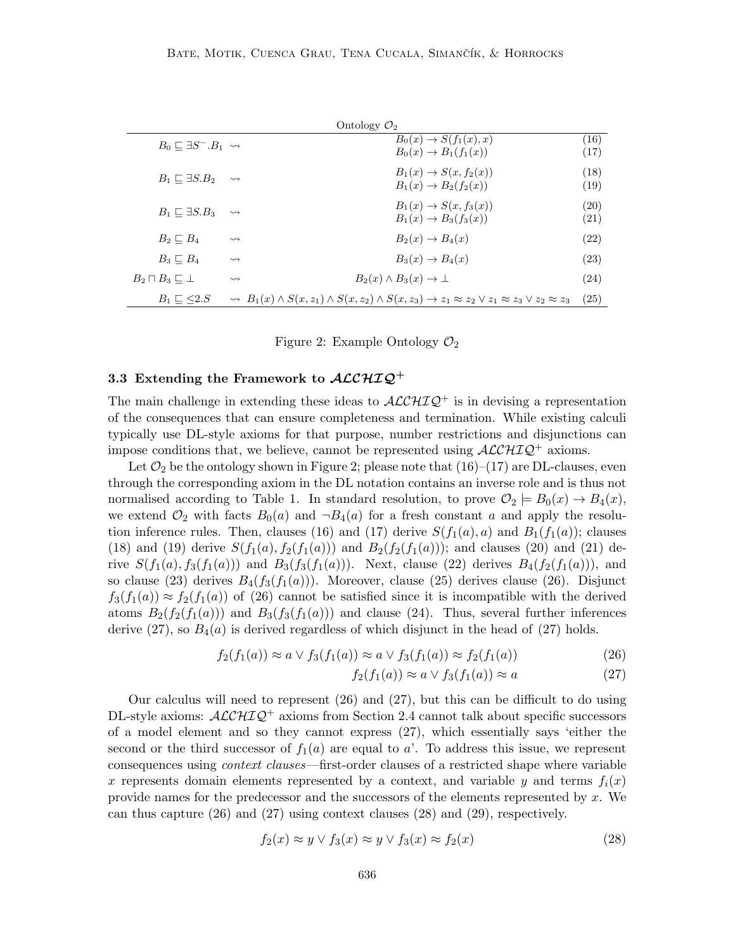|                                            |                    | Ontology $\mathcal{O}_2$                                                                                                                           |              |
|--------------------------------------------|--------------------|----------------------------------------------------------------------------------------------------------------------------------------------------|--------------|
| $B_0 \sqsubset \exists S^- . B_1 \leadsto$ |                    | $B_0(x) \rightarrow S(f_1(x), x)$<br>$B_0(x) \to B_1(f_1(x))$                                                                                      | (16)<br>(17) |
| $B_1 \sqsubset \exists S.B_2$              | $\rightsquigarrow$ | $B_1(x) \rightarrow S(x, f_2(x))$<br>$B_1(x) \to B_2(f_2(x))$                                                                                      | (18)<br>(19) |
| $B_1 \sqsubset \exists S.B_3$              | $\rightsquigarrow$ | $B_1(x) \rightarrow S(x, f_3(x))$<br>$B_1(x) \to B_3(f_3(x))$                                                                                      | (20)<br>(21) |
| $B_2 \sqsubset B_4$                        | $\rightsquigarrow$ | $B_2(x) \rightarrow B_4(x)$                                                                                                                        | (22)         |
| $B_3 \sqsubset B_4$                        | $\rightsquigarrow$ | $B_3(x) \rightarrow B_4(x)$                                                                                                                        | (23)         |
| $B_2 \sqcap B_3 \sqsubseteq \bot$          | $\rightsquigarrow$ | $B_2(x) \wedge B_3(x) \rightarrow \perp$                                                                                                           | (24)         |
| $B_1 \sqsubset \leq 2.S$                   |                    | $\rightsquigarrow B_1(x) \wedge S(x, z_1) \wedge S(x, z_2) \wedge S(x, z_3) \rightarrow z_1 \approx z_2 \vee z_1 \approx z_3 \vee z_2 \approx z_3$ | (25)         |

Figure 2: Example Ontology  $\mathcal{O}_2$ 

## 3.3 Extending the Framework to  $\mathcal{ALCHIQ}^+$

The main challenge in extending these ideas to  $\mathcal{ALCHIQ}^+$  is in devising a representation of the consequences that can ensure completeness and termination. While existing calculi typically use DL-style axioms for that purpose, number restrictions and disjunctions can impose conditions that, we believe, cannot be represented using  $\mathcal{ALCHIQ}^+$  axioms.

Let  $\mathcal{O}_2$  be the ontology shown in Figure 2; please note that  $(16)-(17)$  are DL-clauses, even through the corresponding axiom in the DL notation contains an inverse role and is thus not normalised according to Table 1. In standard resolution, to prove  $\mathcal{O}_2 = B_0(x) \rightarrow B_4(x)$ , we extend  $\mathcal{O}_2$  with facts  $B_0(a)$  and  $\neg B_4(a)$  for a fresh constant a and apply the resolution inference rules. Then, clauses (16) and (17) derive  $S(f_1(a), a)$  and  $B_1(f_1(a))$ ; clauses (18) and (19) derive  $S(f_1(a), f_2(f_1(a)))$  and  $B_2(f_2(f_1(a)))$ ; and clauses (20) and (21) derive  $S(f_1(a), f_3(f_1(a)))$  and  $B_3(f_3(f_1(a)))$ . Next, clause (22) derives  $B_4(f_2(f_1(a)))$ , and so clause (23) derives  $B_4(f_3(f_1(a)))$ . Moreover, clause (25) derives clause (26). Disjunct  $f_3(f_1(a)) \approx f_2(f_1(a))$  of (26) cannot be satisfied since it is incompatible with the derived atoms  $B_2(f_2(f_1(a)))$  and  $B_3(f_3(f_1(a)))$  and clause (24). Thus, several further inferences derive (27), so  $B_4(a)$  is derived regardless of which disjunct in the head of (27) holds.

$$
f_2(f_1(a)) \approx a \vee f_3(f_1(a)) \approx a \vee f_3(f_1(a)) \approx f_2(f_1(a))
$$
\n(26)

$$
f_2(f_1(a)) \approx a \vee f_3(f_1(a)) \approx a \tag{27}
$$

Our calculus will need to represent  $(26)$  and  $(27)$ , but this can be difficult to do using DL-style axioms:  $\mathcal{ALCHIQ}^+$  axioms from Section 2.4 cannot talk about specific successors of a model element and so they cannot express (27), which essentially says 'either the second or the third successor of  $f_1(a)$  are equal to a'. To address this issue, we represent consequences using context clauses—first-order clauses of a restricted shape where variable x represents domain elements represented by a context, and variable y and terms  $f_i(x)$ provide names for the predecessor and the successors of the elements represented by  $x$ . We can thus capture (26) and (27) using context clauses (28) and (29), respectively.

$$
f_2(x) \approx y \lor f_3(x) \approx y \lor f_3(x) \approx f_2(x) \tag{28}
$$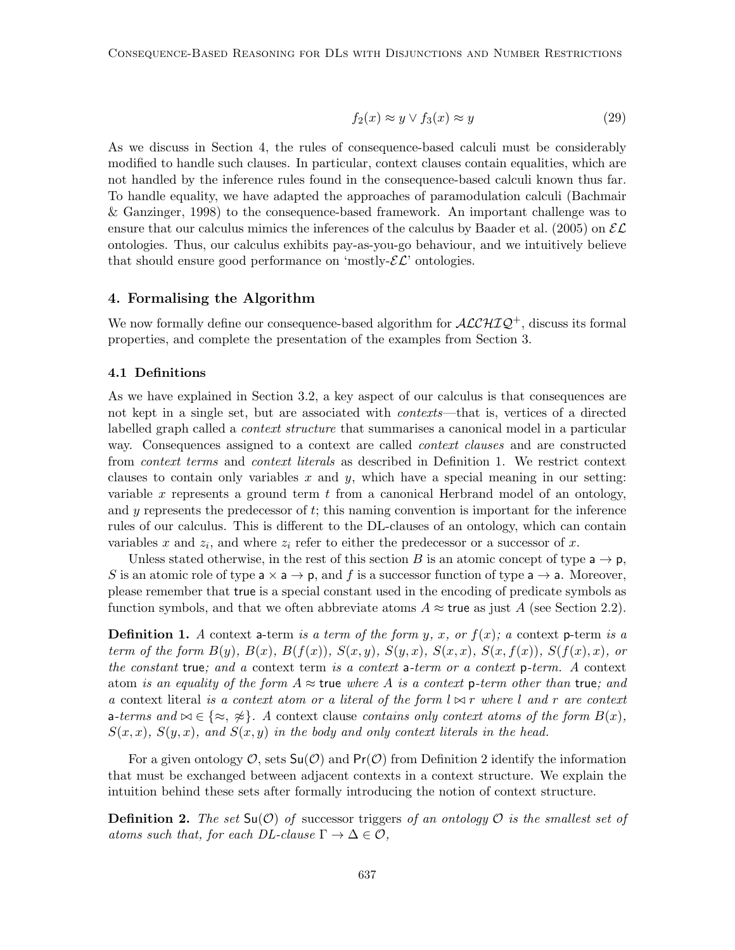$$
f_2(x) \approx y \lor f_3(x) \approx y \tag{29}
$$

As we discuss in Section 4, the rules of consequence-based calculi must be considerably modified to handle such clauses. In particular, context clauses contain equalities, which are not handled by the inference rules found in the consequence-based calculi known thus far. To handle equality, we have adapted the approaches of paramodulation calculi (Bachmair & Ganzinger, 1998) to the consequence-based framework. An important challenge was to ensure that our calculus mimics the inferences of the calculus by Baader et al. (2005) on  $\mathcal{EL}$ ontologies. Thus, our calculus exhibits pay-as-you-go behaviour, and we intuitively believe that should ensure good performance on 'mostly- $\mathcal{EL}$ ' ontologies.

## 4. Formalising the Algorithm

We now formally define our consequence-based algorithm for  $\mathcal{ALCHIQ}^+$ , discuss its formal properties, and complete the presentation of the examples from Section 3.

#### 4.1 Definitions

As we have explained in Section 3.2, a key aspect of our calculus is that consequences are not kept in a single set, but are associated with contexts—that is, vertices of a directed labelled graph called a *context structure* that summarises a canonical model in a particular way. Consequences assigned to a context are called context clauses and are constructed from context terms and context literals as described in Definition 1. We restrict context clauses to contain only variables x and y, which have a special meaning in our setting: variable  $x$  represents a ground term  $t$  from a canonical Herbrand model of an ontology, and  $y$  represents the predecessor of  $t$ ; this naming convention is important for the inference rules of our calculus. This is different to the DL-clauses of an ontology, which can contain variables x and  $z_i$ , and where  $z_i$  refer to either the predecessor or a successor of x.

Unless stated otherwise, in the rest of this section B is an atomic concept of type  $a \rightarrow p$ , S is an atomic role of type  $a \times a \rightarrow p$ , and f is a successor function of type  $a \rightarrow a$ . Moreover, please remember that true is a special constant used in the encoding of predicate symbols as function symbols, and that we often abbreviate atoms  $A \approx \text{true}$  as just A (see Section 2.2).

**Definition 1.** A context a-term is a term of the form y, x, or  $f(x)$ ; a context p-term is a term of the form  $B(y)$ ,  $B(x)$ ,  $B(f(x))$ ,  $S(x,y)$ ,  $S(y,x)$ ,  $S(x,x)$ ,  $S(x,f(x))$ ,  $S(f(x),x)$ , or the constant true; and a context term is a context a-term or a context p-term. A context atom is an equality of the form  $A \approx$  true where A is a context p-term other than true; and a context literal is a context atom or a literal of the form  $l \bowtie r$  where l and r are context a-terms and  $\bowtie \in \{\approx, \gg\}$ . A context clause contains only context atoms of the form  $B(x)$ ,  $S(x, x)$ ,  $S(y, x)$ , and  $S(x, y)$  in the body and only context literals in the head.

For a given ontology  $\mathcal{O}$ , sets  $\mathsf{Su}(\mathcal{O})$  and  $\mathsf{Pr}(\mathcal{O})$  from Definition 2 identify the information that must be exchanged between adjacent contexts in a context structure. We explain the intuition behind these sets after formally introducing the notion of context structure.

**Definition 2.** The set  $\mathsf{Su}(\mathcal{O})$  of successor triggers of an ontology  $\mathcal{O}$  is the smallest set of atoms such that, for each DL-clause  $\Gamma \to \Delta \in \mathcal{O}$ ,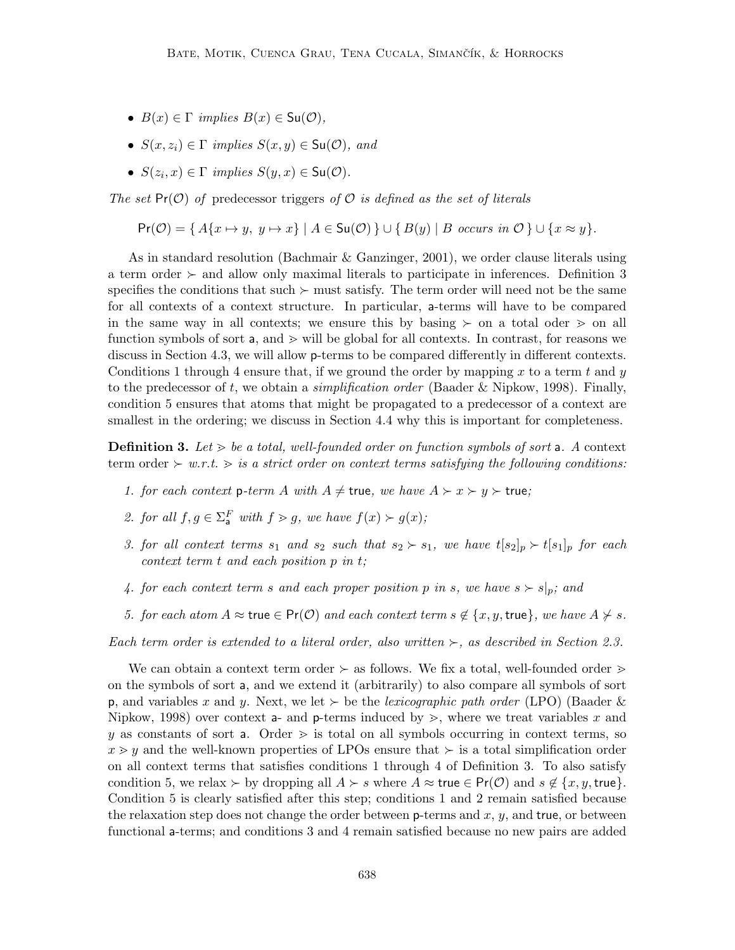- $B(x) \in \Gamma$  implies  $B(x) \in Su(\mathcal{O}),$
- $S(x, z_i) \in \Gamma$  implies  $S(x, y) \in Su(\mathcal{O})$ , and
- $S(z_i, x) \in \Gamma$  implies  $S(y, x) \in \mathsf{Su}(\mathcal{O})$ .

The set  $Pr(\mathcal{O})$  of predecessor triggers of  $\mathcal O$  is defined as the set of literals

 $Pr(\mathcal{O}) = \{ A\{x \mapsto y, y \mapsto x \} | A \in \mathsf{Su}(\mathcal{O}) \} \cup \{ B(y) | B \text{ occurs in } \mathcal{O} \} \cup \{ x \approx y \}.$ 

As in standard resolution (Bachmair & Ganzinger, 2001), we order clause literals using a term order  $\succ$  and allow only maximal literals to participate in inferences. Definition 3 specifies the conditions that such  $\succ$  must satisfy. The term order will need not be the same for all contexts of a context structure. In particular, a-terms will have to be compared in the same way in all contexts; we ensure this by basing  $\succeq$  on a total oder  $\geq$  on all function symbols of sort  $a$ , and  $\geq$  will be global for all contexts. In contrast, for reasons we discuss in Section 4.3, we will allow **p**-terms to be compared differently in different contexts. Conditions 1 through 4 ensure that, if we ground the order by mapping x to a term t and y to the predecessor of t, we obtain a *simplification order* (Baader & Nipkow, 1998). Finally, condition 5 ensures that atoms that might be propagated to a predecessor of a context are smallest in the ordering; we discuss in Section 4.4 why this is important for completeness.

**Definition 3.** Let  $\geq$  be a total, well-founded order on function symbols of sort a. A context term order  $\succ w.r.t. \gt is a strict order on context terms satisfying the following conditions:$ 

- 1. for each context p-term A with  $A \neq$  true, we have  $A \succ x \succ y \succ$  true;
- 2. for all  $f, g \in \Sigma_a^F$  with  $f > g$ , we have  $f(x) > g(x)$ ;
- 3. for all context terms  $s_1$  and  $s_2$  such that  $s_2 \succ s_1$ , we have  $t[s_2]_p \succ t[s_1]_p$  for each context term t and each position p in t;
- 4. for each context term s and each proper position p in s, we have  $s \succ s|_p$ ; and
- 5. for each atom  $A \approx \text{true} \in \text{Pr}(\mathcal{O})$  and each context term  $s \notin \{x, y, \text{true}\},$  we have  $A \not\succ s$ .

Each term order is extended to a literal order, also written  $\succ$ , as described in Section 2.3.

We can obtain a context term order  $\succ$  as follows. We fix a total, well-founded order  $\succ$ on the symbols of sort a, and we extend it (arbitrarily) to also compare all symbols of sort **p**, and variables x and y. Next, we let  $\succ$  be the *lexicographic path order* (LPO) (Baader  $\&$ Nipkow, 1998) over context a- and p-terms induced by  $\geq$ , where we treat variables x and y as constants of sort a. Order  $\geq$  is total on all symbols occurring in context terms, so  $x \geq y$  and the well-known properties of LPOs ensure that  $\succ$  is a total simplification order on all context terms that satisfies conditions 1 through 4 of Definition 3. To also satisfy condition 5, we relax  $\succ$  by dropping all  $A \succ s$  where  $A \approx \mathsf{true} \in \mathsf{Pr}(\mathcal{O})$  and  $s \notin \{x, y, \mathsf{true}\}.$ Condition 5 is clearly satisfied after this step; conditions 1 and 2 remain satisfied because the relaxation step does not change the order between  $\mathsf{p}\text{-terms}$  and  $x, y$ , and true, or between functional a-terms; and conditions 3 and 4 remain satisfied because no new pairs are added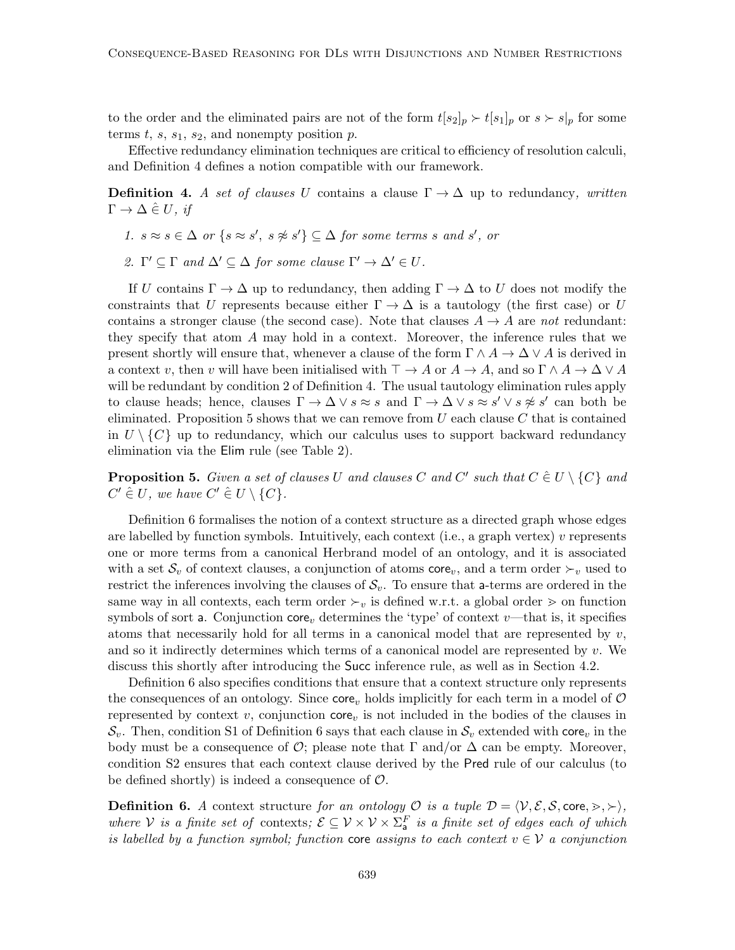to the order and the eliminated pairs are not of the form  $t[s_2]_p \succ t[s_1]_p$  or  $s \succ s|_p$  for some terms t, s,  $s_1$ ,  $s_2$ , and nonempty position p.

Effective redundancy elimination techniques are critical to efficiency of resolution calculi, and Definition 4 defines a notion compatible with our framework.

**Definition 4.** A set of clauses U contains a clause  $\Gamma \to \Delta$  up to redundancy, written  $\Gamma \to \Delta \hat{\in} U$ , if

- 1.  $s \approx s \in \Delta$  or  $\{s \approx s', s \not\approx s'\} \subseteq \Delta$  for some terms s and s', or
- 2.  $\Gamma' \subseteq \Gamma$  and  $\Delta' \subseteq \Delta$  for some clause  $\Gamma' \to \Delta' \in U$ .

If U contains  $\Gamma \to \Delta$  up to redundancy, then adding  $\Gamma \to \Delta$  to U does not modify the constraints that U represents because either  $\Gamma \to \Delta$  is a tautology (the first case) or U contains a stronger clause (the second case). Note that clauses  $A \rightarrow A$  are not redundant: they specify that atom A may hold in a context. Moreover, the inference rules that we present shortly will ensure that, whenever a clause of the form  $\Gamma \wedge A \to \Delta \vee A$  is derived in a context v, then v will have been initialised with  $\top \to A$  or  $A \to A$ , and so  $\Gamma \wedge A \to \Delta \vee A$ will be redundant by condition 2 of Definition 4. The usual tautology elimination rules apply to clause heads; hence, clauses  $\Gamma \to \Delta \vee s \approx s$  and  $\Gamma \to \Delta \vee s \approx s' \vee s \not\approx s'$  can both be eliminated. Proposition 5 shows that we can remove from  $U$  each clause  $C$  that is contained in  $U \setminus \{C\}$  up to redundancy, which our calculus uses to support backward redundancy elimination via the Elim rule (see Table 2).

**Proposition 5.** Given a set of clauses U and clauses C and C' such that  $C \in U \setminus \{C\}$  and  $C' \in U$ , we have  $C' \in U \setminus \{C\}$ .

Definition 6 formalises the notion of a context structure as a directed graph whose edges are labelled by function symbols. Intuitively, each context (i.e., a graph vertex)  $v$  represents one or more terms from a canonical Herbrand model of an ontology, and it is associated with a set  $S_v$  of context clauses, a conjunction of atoms core<sub>v</sub>, and a term order  $\succ_v$  used to restrict the inferences involving the clauses of  $S_v$ . To ensure that a-terms are ordered in the same way in all contexts, each term order  $\succ_v$  is defined w.r.t. a global order  $\gt$  on function symbols of sort a. Conjunction core<sub>v</sub> determines the 'type' of context v—that is, it specifies atoms that necessarily hold for all terms in a canonical model that are represented by  $v$ , and so it indirectly determines which terms of a canonical model are represented by  $v$ . We discuss this shortly after introducing the Succ inference rule, as well as in Section 4.2.

Definition 6 also specifies conditions that ensure that a context structure only represents the consequences of an ontology. Since core, holds implicitly for each term in a model of  $\mathcal O$ represented by context v, conjunction  $\text{core}_v$  is not included in the bodies of the clauses in  $\mathcal{S}_v$ . Then, condition S1 of Definition 6 says that each clause in  $\mathcal{S}_v$  extended with core<sub>v</sub> in the body must be a consequence of  $\mathcal{O}$ ; please note that  $\Gamma$  and/or  $\Delta$  can be empty. Moreover, condition S2 ensures that each context clause derived by the Pred rule of our calculus (to be defined shortly) is indeed a consequence of  $\mathcal{O}$ .

**Definition 6.** A context structure for an ontology  $\mathcal{O}$  is a tuple  $\mathcal{D} = \langle \mathcal{V}, \mathcal{E}, \mathcal{S}, \text{core}, \succ, \succ \rangle$ , where V is a finite set of contexts;  $\mathcal{E} \subseteq \mathcal{V} \times \mathcal{V} \times \Sigma_a^F$  is a finite set of edges each of which is labelled by a function symbol; function core assigns to each context  $v \in V$  a conjunction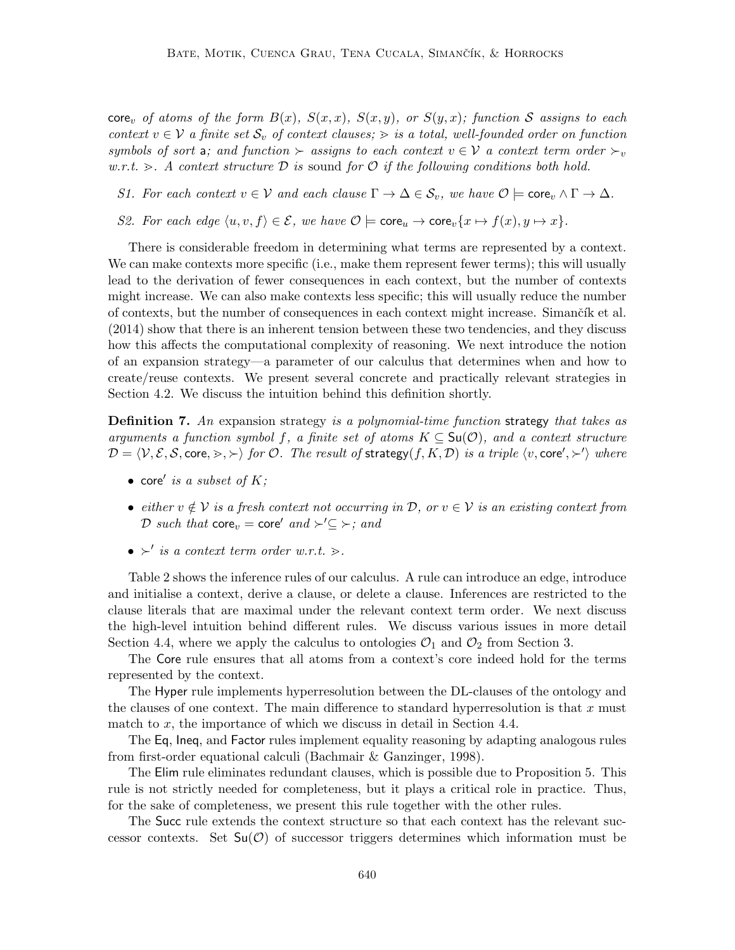core<sub>v</sub> of atoms of the form  $B(x)$ ,  $S(x, x)$ ,  $S(x, y)$ , or  $S(y, x)$ ; function S assigns to each context  $v \in V$  a finite set  $S_v$  of context clauses;  $\geq$  is a total, well-founded order on function symbols of sort a; and function  $\succ$  assigns to each context  $v \in V$  a context term order  $\succ_v$ w.r.t.  $\geq$ . A context structure D is sound for O if the following conditions both hold.

S1. For each context  $v \in V$  and each clause  $\Gamma \to \Delta \in \mathcal{S}_v$ , we have  $\mathcal{O} \models \text{core}_v \wedge \Gamma \to \Delta$ .

S2. For each edge  $\langle u, v, f \rangle \in \mathcal{E}$ , we have  $\mathcal{O} \models \text{core}_u \rightarrow \text{core}_v\{x \mapsto f(x), y \mapsto x\}.$ 

There is considerable freedom in determining what terms are represented by a context. We can make contexts more specific (i.e., make them represent fewer terms); this will usually lead to the derivation of fewer consequences in each context, but the number of contexts might increase. We can also make contexts less specific; this will usually reduce the number of contexts, but the number of consequences in each context might increase. Simanct ik et al. (2014) show that there is an inherent tension between these two tendencies, and they discuss how this affects the computational complexity of reasoning. We next introduce the notion of an expansion strategy—a parameter of our calculus that determines when and how to create/reuse contexts. We present several concrete and practically relevant strategies in Section 4.2. We discuss the intuition behind this definition shortly.

**Definition 7.** An expansion strategy is a polynomial-time function strategy that takes as arguments a function symbol f, a finite set of atoms  $K \subseteq \mathsf{Su}(\mathcal{O})$ , and a context structure  $\mathcal{D} = \langle \mathcal{V}, \mathcal{E}, \mathcal{S}, \text{core}, \rangle$ ,  $\succ \rangle$  for  $\mathcal{O}$ . The result of strategy(f, K, D) is a triple  $\langle v, \text{core}', \rangle'$  where

- core' is a subset of  $K$ ;
- either  $v \notin V$  is a fresh context not occurring in D, or  $v \in V$  is an existing context from D such that  $\text{core}_v = \text{core}'$  and  $\succ' \subseteq \succ$ ; and
- $\succ'$  is a context term order w.r.t.  $\gt$ .

Table 2 shows the inference rules of our calculus. A rule can introduce an edge, introduce and initialise a context, derive a clause, or delete a clause. Inferences are restricted to the clause literals that are maximal under the relevant context term order. We next discuss the high-level intuition behind different rules. We discuss various issues in more detail Section 4.4, where we apply the calculus to ontologies  $\mathcal{O}_1$  and  $\mathcal{O}_2$  from Section 3.

The Core rule ensures that all atoms from a context's core indeed hold for the terms represented by the context.

The Hyper rule implements hyperresolution between the DL-clauses of the ontology and the clauses of one context. The main difference to standard hyperresolution is that  $x$  must match to  $x$ , the importance of which we discuss in detail in Section 4.4.

The Eq, Ineq, and Factor rules implement equality reasoning by adapting analogous rules from first-order equational calculi (Bachmair & Ganzinger, 1998).

The Elim rule eliminates redundant clauses, which is possible due to Proposition 5. This rule is not strictly needed for completeness, but it plays a critical role in practice. Thus, for the sake of completeness, we present this rule together with the other rules.

The Succ rule extends the context structure so that each context has the relevant successor contexts. Set  $Su(\mathcal{O})$  of successor triggers determines which information must be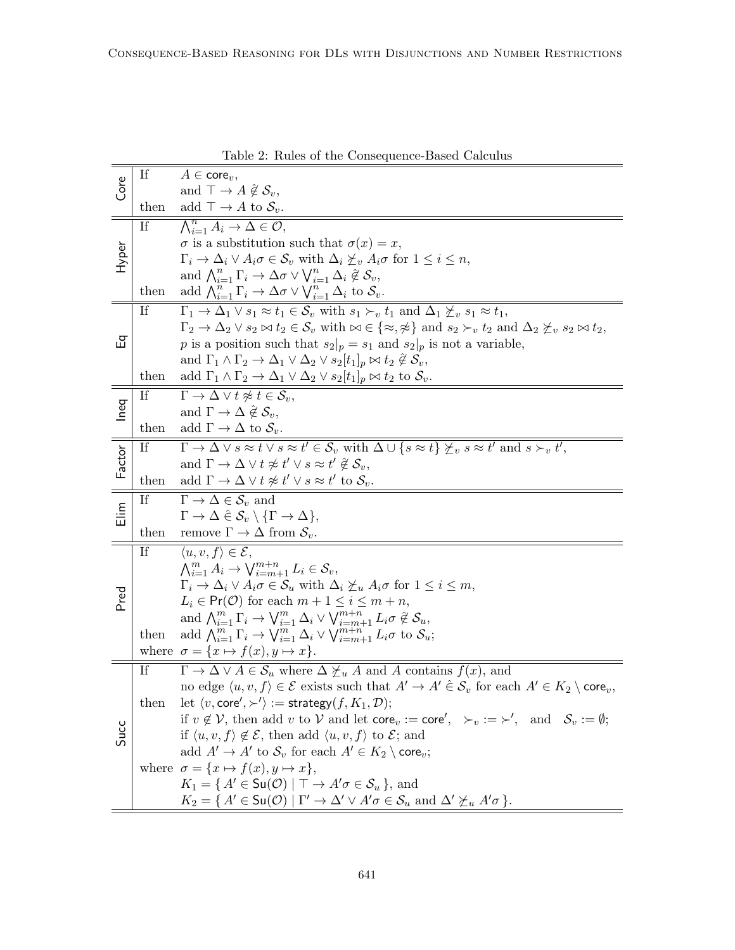|               |      | Die 2. Itules of the Consequence-Dased Calculus                                                                                                                               |
|---------------|------|-------------------------------------------------------------------------------------------------------------------------------------------------------------------------------|
| Core          | If   | $A \in \mathsf{core}_v$ ,                                                                                                                                                     |
|               |      | and $\top \rightarrow A \notin \mathcal{S}_n$ ,                                                                                                                               |
|               | then | add $\top \rightarrow A$ to $\mathcal{S}_v$ .                                                                                                                                 |
|               | If   | $\bigwedge_{i=1}^n A_i \to \Delta \in \mathcal{O},$                                                                                                                           |
|               |      | $\sigma$ is a substitution such that $\sigma(x) = x$ ,                                                                                                                        |
| Hyper         |      | $\Gamma_i \to \Delta_i \vee A_i \sigma \in \mathcal{S}_v$ with $\Delta_i \not\succeq_v A_i \sigma$ for $1 \leq i \leq n$ ,                                                    |
|               |      | and $\bigwedge_{i=1}^n \Gamma_i \to \Delta \sigma \vee \bigvee_{i=1}^n \Delta_i \nsubseteq \mathcal{S}_v$ ,                                                                   |
|               | then | add $\bigwedge_{i=1}^{n} \Gamma_i \to \Delta \sigma \vee \bigvee_{i=1}^{n} \Delta_i$ to $\mathcal{S}_v$ .                                                                     |
|               | -If  | $\Gamma_1 \to \Delta_1 \vee s_1 \approx t_1 \in S_v$ with $s_1 \succ_v t_1$ and $\Delta_1 \not\succeq_v s_1 \approx t_1$ ,                                                    |
|               |      | $\Gamma_2 \to \Delta_2 \vee s_2 \bowtie t_2 \in \mathcal{S}_v$ with $\bowtie \in {\{\approx, \approx\}}$ and $s_2 \succ_v t_2$ and $\Delta_2 \not\succeq_v s_2 \bowtie t_2$ , |
| 品             |      |                                                                                                                                                                               |
|               |      | p is a position such that $s_2 _p = s_1$ and $s_2 _p$ is not a variable,                                                                                                      |
|               |      | and $\Gamma_1 \wedge \Gamma_2 \rightarrow \Delta_1 \vee \Delta_2 \vee s_2[t_1]_p \bowtie t_2 \nsubseteq \mathcal{S}_v$ ,                                                      |
|               | then | add $\Gamma_1 \wedge \Gamma_2 \rightarrow \Delta_1 \vee \Delta_2 \vee s_2[t_1]_p \bowtie t_2$ to $\mathcal{S}_v$ .                                                            |
|               | If   | $\Gamma \to \Delta \vee t \not\approx t \in \mathcal{S}_v,$                                                                                                                   |
| Ineq          |      | and $\Gamma \to \Delta \; \hat{\notin} \; \mathcal{S}_v$ ,                                                                                                                    |
|               | then | add $\Gamma \to \Delta$ to $\mathcal{S}_v$ .                                                                                                                                  |
|               | If   | $\Gamma \to \Delta \vee s \approx t \vee s \approx t' \in \mathcal{S}_v$ with $\Delta \cup \{s \approx t\} \not\geq_v s \approx t'$ and $s \succ_v t'$ ,                      |
| Factor        |      | and $\Gamma \to \Delta \vee t \not\approx t' \vee s \approx t' \not\in \mathcal{S}_v$ ,                                                                                       |
|               | then | add $\Gamma \to \Delta \vee t \not\approx t' \vee s \approx t'$ to $\mathcal{S}_v$ .                                                                                          |
|               | If   | $\Gamma \to \Delta \in \mathcal{S}_v$ and                                                                                                                                     |
| $\frac{1}{2}$ |      | $\Gamma \to \Delta \hat{\in} \mathcal{S}_v \setminus \{ \Gamma \to \Delta \},\$                                                                                               |
|               | then | remove $\Gamma \to \Delta$ from $\mathcal{S}_v$ .                                                                                                                             |
|               | If   | $\langle u, v, f \rangle \in \mathcal{E}$ ,                                                                                                                                   |
|               |      | $\bigwedge_{i=1}^{m} A_i \to \bigvee_{i=m+1}^{m+n} L_i \in \mathcal{S}_v,$                                                                                                    |
|               |      | $\Gamma_i \to \Delta_i \vee A_i \sigma \in \mathcal{S}_u$ with $\Delta_i \not\succeq_u A_i \sigma$ for $1 \leq i \leq m$ ,                                                    |
| Pred          |      | $L_i \in Pr(\mathcal{O})$ for each $m + 1 \leq i \leq m + n$ ,                                                                                                                |
|               |      | and $\bigwedge_{i=1}^{m} \Gamma_i \to \bigvee_{i=1}^{m} \Delta_i \vee \bigvee_{i=m+1}^{m+n} L_i \sigma \in \mathcal{S}_u$ ,                                                   |
|               | then | add $\bigwedge_{i=1}^{m} \Gamma_i \to \bigvee_{i=1}^{m} \Delta_i \vee \bigvee_{i=m+1}^{m+n} L_i \sigma$ to $\mathcal{S}_u$ ;                                                  |
|               |      | where $\sigma = \{x \mapsto f(x), y \mapsto x\}.$                                                                                                                             |
|               | If   | $\Gamma \to \Delta \vee A \in \mathcal{S}_u$ where $\Delta \not\succeq_u A$ and A contains $f(x)$ , and                                                                       |
|               |      | no edge $\langle u, v, f \rangle \in \mathcal{E}$ exists such that $A' \to A' \in \mathcal{S}_v$ for each $A' \in K_2 \setminus \text{core}_v$ ,                              |
|               | then | let $\langle v, \text{core}', \succ' \rangle := \text{strategy}(f, K_1, \mathcal{D});$                                                                                        |
|               |      | if $v \notin V$ , then add v to V and let core <sub>v</sub> := core', $\succ_v := \succ'$ , and $S_v := \emptyset$ ;                                                          |
| Succ          |      | if $\langle u, v, f \rangle \notin \mathcal{E}$ , then add $\langle u, v, f \rangle$ to $\mathcal{E}$ ; and                                                                   |
|               |      | add $A' \to A'$ to $S_v$ for each $A' \in K_2 \setminus \text{core}_v$ ;                                                                                                      |
|               |      | where $\sigma = \{x \mapsto f(x), y \mapsto x\},\$                                                                                                                            |
|               |      |                                                                                                                                                                               |
|               |      | $K_1 = \{ A' \in \mathsf{Su}(\mathcal{O}) \mid \top \to A' \sigma \in \mathcal{S}_u \},\$ and                                                                                 |
|               |      | $K_2 = \{ A' \in \mathsf{Su}(\mathcal{O}) \mid \Gamma' \to \Delta' \vee A'\sigma \in \mathcal{S}_u \text{ and } \Delta' \not\succeq_u A'\sigma \}.$                           |

Table 2: Rules of the Consequence-Based Calculus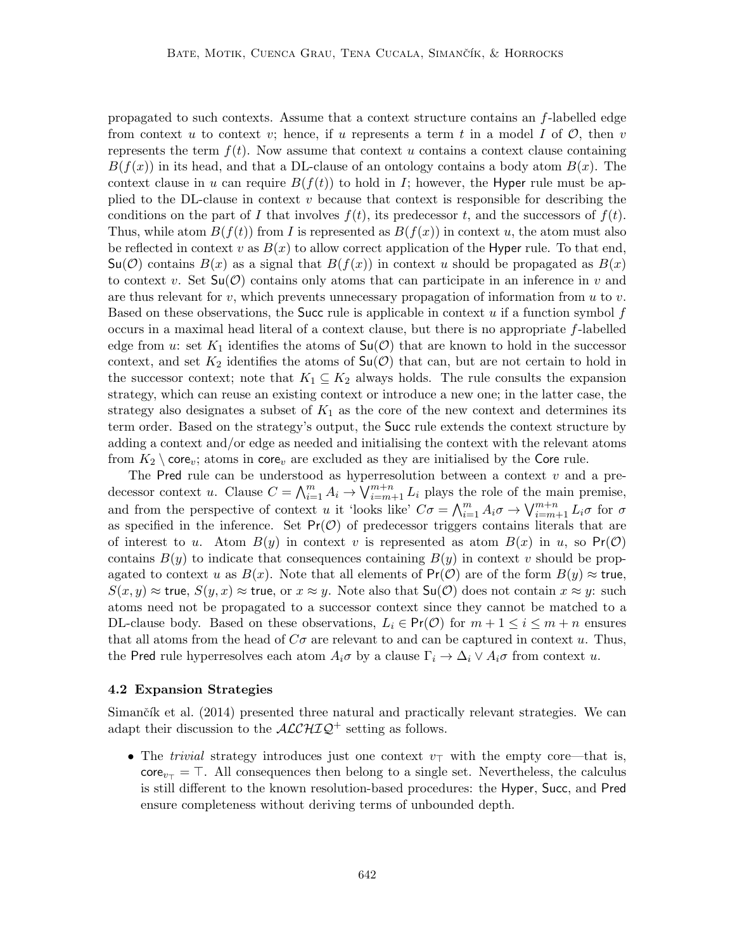propagated to such contexts. Assume that a context structure contains an f-labelled edge from context u to context v; hence, if u represents a term t in a model I of  $\mathcal{O}$ , then v represents the term  $f(t)$ . Now assume that context u contains a context clause containing  $B(f(x))$  in its head, and that a DL-clause of an ontology contains a body atom  $B(x)$ . The context clause in u can require  $B(f(t))$  to hold in I; however, the Hyper rule must be applied to the DL-clause in context  $v$  because that context is responsible for describing the conditions on the part of I that involves  $f(t)$ , its predecessor t, and the successors of  $f(t)$ . Thus, while atom  $B(f(t))$  from I is represented as  $B(f(x))$  in context u, the atom must also be reflected in context v as  $B(x)$  to allow correct application of the Hyper rule. To that end,  $\mathsf{Su}(\mathcal{O})$  contains  $B(x)$  as a signal that  $B(f(x))$  in context u should be propagated as  $B(x)$ to context v. Set  $\mathsf{Su}(\mathcal{O})$  contains only atoms that can participate in an inference in v and are thus relevant for  $v$ , which prevents unnecessary propagation of information from  $u$  to  $v$ . Based on these observations, the Succ rule is applicable in context  $u$  if a function symbol  $f$ occurs in a maximal head literal of a context clause, but there is no appropriate f-labelled edge from u: set  $K_1$  identifies the atoms of  $\mathsf{Su}(\mathcal{O})$  that are known to hold in the successor context, and set  $K_2$  identifies the atoms of  $\mathsf{Su}(\mathcal{O})$  that can, but are not certain to hold in the successor context; note that  $K_1 \subseteq K_2$  always holds. The rule consults the expansion strategy, which can reuse an existing context or introduce a new one; in the latter case, the strategy also designates a subset of  $K_1$  as the core of the new context and determines its term order. Based on the strategy's output, the Succ rule extends the context structure by adding a context and/or edge as needed and initialising the context with the relevant atoms from  $K_2 \setminus \text{core}_v$ ; atoms in core<sub>v</sub> are excluded as they are initialised by the Core rule.

The Pred rule can be understood as hyperresolution between a context  $v$  and a predecessor context u. Clause  $C = \bigwedge_{i=1}^{m} A_i \to \bigvee_{i=m+1}^{m+n} L_i$  plays the role of the main premise, and from the perspective of context u it 'looks like'  $C\sigma = \bigwedge_{i=1}^{m} A_i \sigma \to \bigvee_{i=m+1}^{m+n} L_i \sigma$  for  $\sigma$ as specified in the inference. Set  $Pr(\mathcal{O})$  of predecessor triggers contains literals that are of interest to u. Atom  $B(y)$  in context v is represented as atom  $B(x)$  in u, so  $Pr(\mathcal{O})$ contains  $B(y)$  to indicate that consequences containing  $B(y)$  in context v should be propagated to context u as  $B(x)$ . Note that all elements of  $Pr(\mathcal{O})$  are of the form  $B(y) \approx$  true,  $S(x, y) \approx$  true,  $S(y, x) \approx$  true, or  $x \approx y$ . Note also that  $S(u, \mathcal{O})$  does not contain  $x \approx y$ : such atoms need not be propagated to a successor context since they cannot be matched to a DL-clause body. Based on these observations,  $L_i \in Pr(\mathcal{O})$  for  $m + 1 \leq i \leq m + n$  ensures that all atoms from the head of  $C\sigma$  are relevant to and can be captured in context u. Thus, the Pred rule hyperresolves each atom  $A_i\sigma$  by a clause  $\Gamma_i \to \Delta_i \vee A_i\sigma$  from context u.

#### 4.2 Expansion Strategies

Simančík et al.  $(2014)$  presented three natural and practically relevant strategies. We can adapt their discussion to the  $\mathcal{ALCHIQ}^+$  setting as follows.

• The trivial strategy introduces just one context  $v<sub>T</sub>$  with the empty core—that is,  $\text{core}_{v_{\tau}} = \top$ . All consequences then belong to a single set. Nevertheless, the calculus is still different to the known resolution-based procedures: the Hyper, Succ, and Pred ensure completeness without deriving terms of unbounded depth.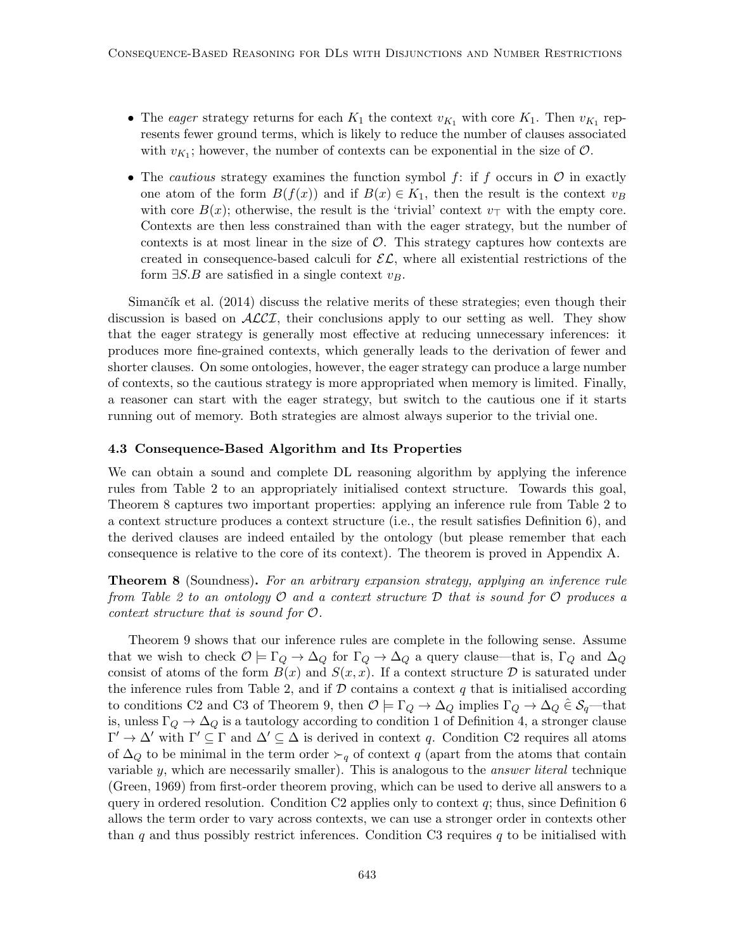- The eager strategy returns for each  $K_1$  the context  $v_{K_1}$  with core  $K_1$ . Then  $v_{K_1}$  represents fewer ground terms, which is likely to reduce the number of clauses associated with  $v_{K_1}$ ; however, the number of contexts can be exponential in the size of  $\mathcal{O}$ .
- The cautious strategy examines the function symbol  $f:$  if  $f$  occurs in  $\mathcal O$  in exactly one atom of the form  $B(f(x))$  and if  $B(x) \in K_1$ , then the result is the context  $v_B$ with core  $B(x)$ ; otherwise, the result is the 'trivial' context  $v_{\perp}$  with the empty core. Contexts are then less constrained than with the eager strategy, but the number of contexts is at most linear in the size of  $\mathcal O$ . This strategy captures how contexts are created in consequence-based calculi for  $\mathcal{EL}$ , where all existential restrictions of the form  $\exists S.B$  are satisfied in a single context  $v_B$ .

Simančík et al.  $(2014)$  discuss the relative merits of these strategies; even though their discussion is based on  $\text{ALCI}$ , their conclusions apply to our setting as well. They show that the eager strategy is generally most effective at reducing unnecessary inferences: it produces more fine-grained contexts, which generally leads to the derivation of fewer and shorter clauses. On some ontologies, however, the eager strategy can produce a large number of contexts, so the cautious strategy is more appropriated when memory is limited. Finally, a reasoner can start with the eager strategy, but switch to the cautious one if it starts running out of memory. Both strategies are almost always superior to the trivial one.

#### 4.3 Consequence-Based Algorithm and Its Properties

We can obtain a sound and complete DL reasoning algorithm by applying the inference rules from Table 2 to an appropriately initialised context structure. Towards this goal, Theorem 8 captures two important properties: applying an inference rule from Table 2 to a context structure produces a context structure (i.e., the result satisfies Definition 6), and the derived clauses are indeed entailed by the ontology (but please remember that each consequence is relative to the core of its context). The theorem is proved in Appendix A.

Theorem 8 (Soundness). For an arbitrary expansion strategy, applying an inference rule from Table 2 to an ontology  $\mathcal O$  and a context structure  $\mathcal D$  that is sound for  $\mathcal O$  produces a context structure that is sound for O.

Theorem 9 shows that our inference rules are complete in the following sense. Assume that we wish to check  $\mathcal{O} \models \Gamma_Q \rightarrow \Delta_Q$  for  $\Gamma_Q \rightarrow \Delta_Q$  a query clause—that is,  $\Gamma_Q$  and  $\Delta_Q$ consist of atoms of the form  $B(x)$  and  $S(x, x)$ . If a context structure D is saturated under the inference rules from Table 2, and if  $\mathcal D$  contains a context q that is initialised according to conditions C2 and C3 of Theorem 9, then  $\mathcal{O} \models \Gamma_Q \rightarrow \Delta_Q$  implies  $\Gamma_Q \rightarrow \Delta_Q \in \mathcal{S}_q$ —that is, unless  $\Gamma_Q \to \Delta_Q$  is a tautology according to condition 1 of Definition 4, a stronger clause  $\Gamma' \to \Delta'$  with  $\Gamma' \subseteq \Gamma$  and  $\Delta' \subseteq \Delta$  is derived in context q. Condition C2 requires all atoms of  $\Delta_Q$  to be minimal in the term order  $\succ_q$  of context q (apart from the atoms that contain variable  $y$ , which are necessarily smaller). This is analogous to the *answer literal* technique (Green, 1969) from first-order theorem proving, which can be used to derive all answers to a query in ordered resolution. Condition C2 applies only to context  $q$ ; thus, since Definition 6 allows the term order to vary across contexts, we can use a stronger order in contexts other than q and thus possibly restrict inferences. Condition C3 requires q to be initialised with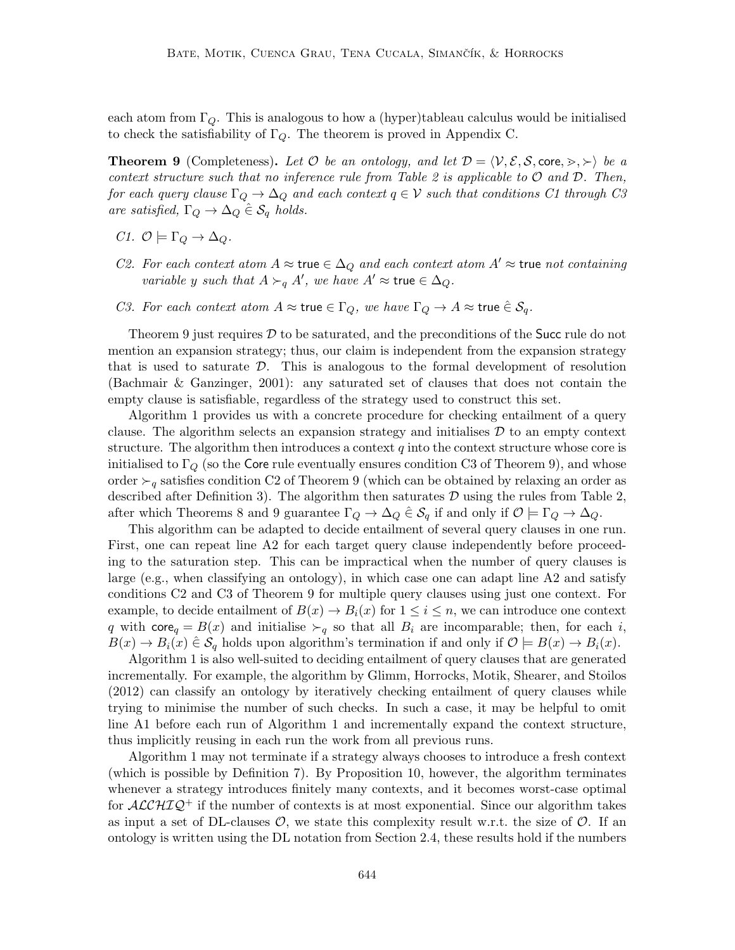each atom from  $\Gamma_Q$ . This is analogous to how a (hyper)tableau calculus would be initialised to check the satisfiability of  $\Gamma_{\mathcal{O}}$ . The theorem is proved in Appendix C.

**Theorem 9** (Completeness). Let  $\mathcal{O}$  be an ontology, and let  $\mathcal{D} = \langle \mathcal{V}, \mathcal{E}, \mathcal{S}, \text{core}, \succ, \succ \rangle$  be a context structure such that no inference rule from Table 2 is applicable to  $O$  and  $D$ . Then, for each query clause  $\Gamma_Q \to \Delta_Q$  and each context  $q \in \mathcal{V}$  such that conditions C1 through C3 are satisfied,  $\Gamma_Q \rightarrow \Delta_Q \hat{\in} \mathcal{S}_q$  holds.

- C1.  $\mathcal{O} \models \Gamma_Q \rightarrow \Delta_Q$ .
- C2. For each context atom  $A \approx \text{true} \in \Delta_Q$  and each context atom  $A' \approx \text{true}$  not containing variable y such that  $A \succ_q A'$ , we have  $A' \approx \text{true} \in \Delta_Q$ .
- C3. For each context atom  $A \approx \text{true} \in \Gamma_Q$ , we have  $\Gamma_Q \to A \approx \text{true} \in \mathcal{S}_q$ .

Theorem 9 just requires  $\mathcal D$  to be saturated, and the preconditions of the Succ rule do not mention an expansion strategy; thus, our claim is independent from the expansion strategy that is used to saturate  $D$ . This is analogous to the formal development of resolution (Bachmair & Ganzinger, 2001): any saturated set of clauses that does not contain the empty clause is satisfiable, regardless of the strategy used to construct this set.

Algorithm 1 provides us with a concrete procedure for checking entailment of a query clause. The algorithm selects an expansion strategy and initialises  $D$  to an empty context structure. The algorithm then introduces a context  $q$  into the context structure whose core is initialised to  $\Gamma_Q$  (so the Core rule eventually ensures condition C3 of Theorem 9), and whose order  $\succ_q$  satisfies condition C2 of Theorem 9 (which can be obtained by relaxing an order as described after Definition 3). The algorithm then saturates  $\mathcal D$  using the rules from Table 2, after which Theorems 8 and 9 guarantee  $\Gamma_Q \to \Delta_Q \in \mathcal{S}_q$  if and only if  $\mathcal{O} \models \Gamma_Q \to \Delta_Q$ .

This algorithm can be adapted to decide entailment of several query clauses in one run. First, one can repeat line A2 for each target query clause independently before proceeding to the saturation step. This can be impractical when the number of query clauses is large (e.g., when classifying an ontology), in which case one can adapt line A2 and satisfy conditions C2 and C3 of Theorem 9 for multiple query clauses using just one context. For example, to decide entailment of  $B(x) \to B_i(x)$  for  $1 \leq i \leq n$ , we can introduce one context q with core<sub>q</sub> =  $B(x)$  and initialise  $\succ_q$  so that all  $B_i$  are incomparable; then, for each i,  $B(x) \to B_i(x) \in \mathcal{S}_q$  holds upon algorithm's termination if and only if  $\mathcal{O} \models B(x) \to B_i(x)$ .

Algorithm 1 is also well-suited to deciding entailment of query clauses that are generated incrementally. For example, the algorithm by Glimm, Horrocks, Motik, Shearer, and Stoilos (2012) can classify an ontology by iteratively checking entailment of query clauses while trying to minimise the number of such checks. In such a case, it may be helpful to omit line A1 before each run of Algorithm 1 and incrementally expand the context structure, thus implicitly reusing in each run the work from all previous runs.

Algorithm 1 may not terminate if a strategy always chooses to introduce a fresh context (which is possible by Definition 7). By Proposition 10, however, the algorithm terminates whenever a strategy introduces finitely many contexts, and it becomes worst-case optimal for  $\mathcal{ALCHIQ}^+$  if the number of contexts is at most exponential. Since our algorithm takes as input a set of DL-clauses  $\mathcal{O}$ , we state this complexity result w.r.t. the size of  $\mathcal{O}$ . If an ontology is written using the DL notation from Section 2.4, these results hold if the numbers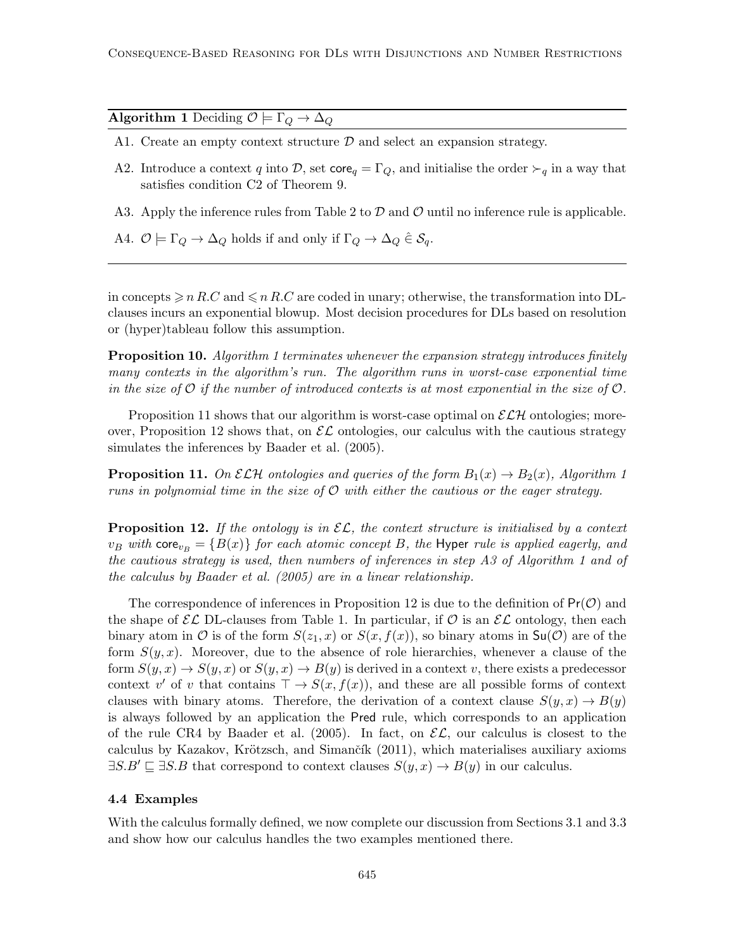Algorithm 1 Deciding  $\mathcal{O} \models \Gamma_Q \rightarrow \Delta_Q$ 

- A1. Create an empty context structure  $\mathcal D$  and select an expansion strategy.
- A2. Introduce a context q into D, set core<sub>q</sub> =  $\Gamma_Q$ , and initialise the order  $\succ_q$  in a way that satisfies condition C2 of Theorem 9.
- A3. Apply the inference rules from Table 2 to  $D$  and  $O$  until no inference rule is applicable.
- A4.  $\mathcal{O} \models \Gamma_Q \rightarrow \Delta_Q$  holds if and only if  $\Gamma_Q \rightarrow \Delta_Q \in \mathcal{S}_q$ .

in concepts  $\geqslant n R.C$  and  $\leqslant n R.C$  are coded in unary; otherwise, the transformation into DLclauses incurs an exponential blowup. Most decision procedures for DLs based on resolution or (hyper)tableau follow this assumption.

**Proposition 10.** Algorithm 1 terminates whenever the expansion strategy introduces finitely many contexts in the algorithm's run. The algorithm runs in worst-case exponential time in the size of  $\mathcal O$  if the number of introduced contexts is at most exponential in the size of  $\mathcal O$ .

Proposition 11 shows that our algorithm is worst-case optimal on  $\mathcal{E}\mathcal{L}\mathcal{H}$  ontologies; moreover, Proposition 12 shows that, on  $\mathcal{EL}$  ontologies, our calculus with the cautious strategy simulates the inferences by Baader et al. (2005).

**Proposition 11.** On  $\mathcal{ELH}$  ontologies and queries of the form  $B_1(x) \to B_2(x)$ , Algorithm 1 runs in polynomial time in the size of  $\mathcal O$  with either the cautious or the eager strategy.

**Proposition 12.** If the ontology is in  $\mathcal{EL}$ , the context structure is initialised by a context  $v_B$  with core<sub>v<sub>B</sub> = {B(x)} for each atomic concept B, the Hyper rule is applied eagerly, and</sub> the cautious strategy is used, then numbers of inferences in step A3 of Algorithm 1 and of the calculus by Baader et al. (2005) are in a linear relationship.

The correspondence of inferences in Proposition 12 is due to the definition of  $Pr(\mathcal{O})$  and the shape of  $\mathcal{EL}$  DL-clauses from Table 1. In particular, if  $\mathcal O$  is an  $\mathcal{EL}$  ontology, then each binary atom in  $\mathcal O$  is of the form  $S(z_1, x)$  or  $S(x, f(x))$ , so binary atoms in  $\mathsf{S}\mathsf{u}(\mathcal O)$  are of the form  $S(y, x)$ . Moreover, due to the absence of role hierarchies, whenever a clause of the form  $S(y, x) \to S(y, x)$  or  $S(y, x) \to B(y)$  is derived in a context v, there exists a predecessor context v' of v that contains  $\top \to S(x, f(x))$ , and these are all possible forms of context clauses with binary atoms. Therefore, the derivation of a context clause  $S(y, x) \to B(y)$ is always followed by an application the Pred rule, which corresponds to an application of the rule CR4 by Baader et al. (2005). In fact, on  $\mathcal{EL}$ , our calculus is closest to the calculus by Kazakov, Krötzsch, and Simančík (2011), which materialises auxiliary axioms  $\exists S.B' \sqsubseteq \exists S.B$  that correspond to context clauses  $S(y, x) \to B(y)$  in our calculus.

#### 4.4 Examples

With the calculus formally defined, we now complete our discussion from Sections 3.1 and 3.3 and show how our calculus handles the two examples mentioned there.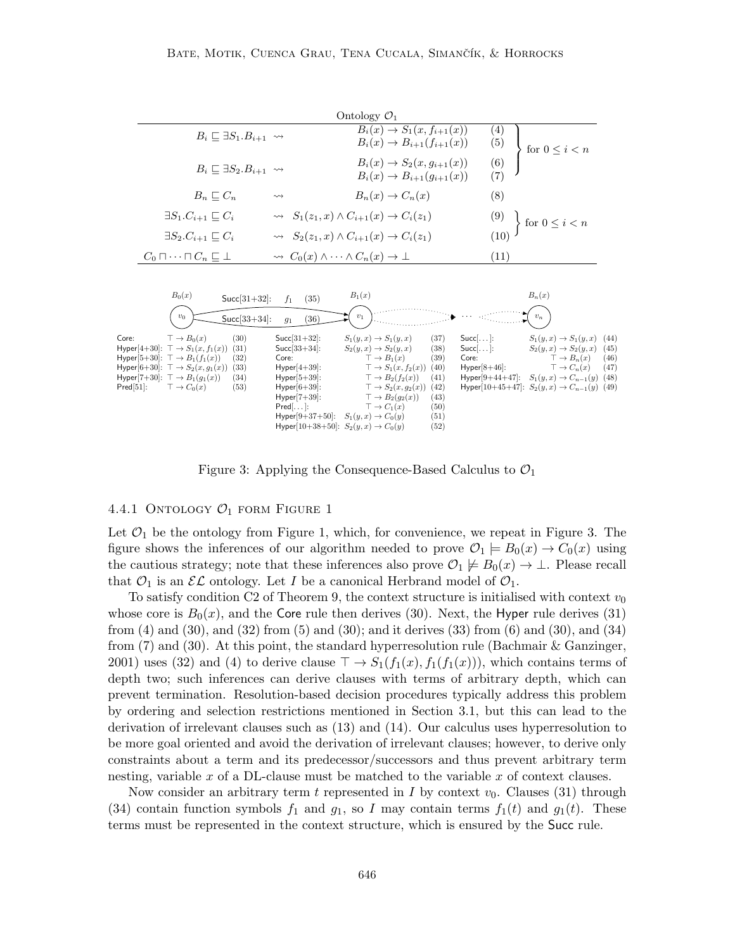|                                |                                                                                                                                                                                                                                                                                                                                       |                                                                                                                                        | Ontology $\mathcal{O}_1$                                                                                                                                                                                                           |                                                                                   |                                       |                                                                                                                                                                                                                              |                                      |
|--------------------------------|---------------------------------------------------------------------------------------------------------------------------------------------------------------------------------------------------------------------------------------------------------------------------------------------------------------------------------------|----------------------------------------------------------------------------------------------------------------------------------------|------------------------------------------------------------------------------------------------------------------------------------------------------------------------------------------------------------------------------------|-----------------------------------------------------------------------------------|---------------------------------------|------------------------------------------------------------------------------------------------------------------------------------------------------------------------------------------------------------------------------|--------------------------------------|
|                                | $B_i \sqsubset \exists S_1.B_{i+1} \leadsto$                                                                                                                                                                                                                                                                                          |                                                                                                                                        | $B_i(x) \to S_1(x, f_{i+1}(x))$<br>$B_i(x) \to B_{i+1}(f_{i+1}(x))$                                                                                                                                                                |                                                                                   | (4)<br>(5)                            | for $0 \leq i < n$                                                                                                                                                                                                           |                                      |
|                                | $B_i \sqsubseteq \exists S_2.B_{i+1} \leadsto$                                                                                                                                                                                                                                                                                        |                                                                                                                                        | $B_i(x) \rightarrow S_2(x, g_{i+1}(x))$<br>$B_i(x) \to B_{i+1}(q_{i+1}(x))$                                                                                                                                                        |                                                                                   | (6)<br>(7)                            |                                                                                                                                                                                                                              |                                      |
|                                | $B_n \sqsubseteq C_n$                                                                                                                                                                                                                                                                                                                 | $\rightsquigarrow$                                                                                                                     | $B_n(x) \to C_n(x)$                                                                                                                                                                                                                |                                                                                   | (8)                                   |                                                                                                                                                                                                                              |                                      |
|                                | $\exists S_1.C_{i+1} \sqsubset C_i$                                                                                                                                                                                                                                                                                                   |                                                                                                                                        | $\rightsquigarrow S_1(z_1, x) \wedge C_{i+1}(x) \rightarrow C_i(z_1)$                                                                                                                                                              |                                                                                   |                                       | $\Big\}$ for $0 \leq i < n$                                                                                                                                                                                                  |                                      |
|                                | $\exists S_2.C_{i+1} \sqsubseteq C_i$                                                                                                                                                                                                                                                                                                 |                                                                                                                                        | $\rightsquigarrow S_2(z_1, x) \wedge C_{i+1}(x) \rightarrow C_i(z_1)$                                                                                                                                                              |                                                                                   | (10)                                  |                                                                                                                                                                                                                              |                                      |
|                                | $C_0 \sqcap \cdots \sqcap C_n \sqsubseteq \bot$                                                                                                                                                                                                                                                                                       | $\rightsquigarrow C_0(x) \wedge \cdots \wedge C_n(x) \rightarrow \bot$                                                                 |                                                                                                                                                                                                                                    |                                                                                   | (11)                                  |                                                                                                                                                                                                                              |                                      |
| Core:<br>$\mathsf{Pred}[51]$ : | $B_0(x)$<br>$Succ[31+32]$ :<br>$v_0$<br>$Succ[33+34]$ :<br>$\top \rightarrow B_0(x)$<br>(30)<br>Hyper[4+30]: $\top \rightarrow S_1(x, f_1(x))$ (31)<br>Hyper[5+30]: $\top \rightarrow B_1(f_1(x))$<br>(32)<br>Hyper[6+30]: $\top \to S_2(x, g_1(x))$ (33)<br>Hyper[7+30]: $\top \to B_1(g_1(x))$<br>(34)<br>$\top \to C_0(x)$<br>(53) | (35)<br>$f_1$<br>(36)<br>$g_1$<br>$Succ[31+32]$ :<br>$Succ[33+34]$ :<br>Core:<br>$Hyper[4+39]$ :<br>$Hyper[5+39]$ :<br>$Hyper[6+39]$ : | $B_1(x)$<br>$v_1$<br>$S_1(y, x) \rightarrow S_1(y, x)$<br>$S_2(y,x) \rightarrow S_2(y,x)$<br>$\top \rightarrow B_1(x)$<br>$\top \rightarrow S_1(x, f_2(x))$<br>$\top \rightarrow B_2(f_2(x))$<br>$\top \rightarrow S_2(x, g_2(x))$ | $Succ[]$ :<br>(37)<br>(38)<br>$Succ[]$ :<br>Core:<br>(39)<br>(40)<br>(41)<br>(42) | $Hyper[8+46]$ :<br>$Hyper[9+44+47]$ : | $B_n(x)$<br>$v_n$<br>$S_1(y, x) \rightarrow S_1(y, x)$<br>$S_2(y,x) \rightarrow S_2(y,x)$<br>$\top \to B_n(x)$<br>$\top \to C_n(x)$<br>$S_1(y,x) \rightarrow C_{n-1}(y)$<br>Hyper[10+45+47]: $S_2(y, x) \to C_{n-1}(y)$ (49) | (44)<br>(45)<br>(46)<br>(47)<br>(48) |
|                                |                                                                                                                                                                                                                                                                                                                                       | $Hyper[7+39]$ :<br>$Pred[]$ :<br>Hyper[9+37+50]: $S_1(y, x) \to C_0(y)$<br>Hyper[10+38+50]: $S_2(y, x) \to C_0(y)$                     | $\top \rightarrow B_2(q_2(x))$<br>$\top \to C_1(x)$                                                                                                                                                                                | (43)<br>(50)<br>(51)<br>(52)                                                      |                                       |                                                                                                                                                                                                                              |                                      |

Figure 3: Applying the Consequence-Based Calculus to  $\mathcal{O}_1$ 

#### 4.4.1 ONTOLOGY  $O_1$  form Figure 1

Let  $\mathcal{O}_1$  be the ontology from Figure 1, which, for convenience, we repeat in Figure 3. The figure shows the inferences of our algorithm needed to prove  $\mathcal{O}_1 \models B_0(x) \rightarrow C_0(x)$  using the cautious strategy; note that these inferences also prove  $\mathcal{O}_1 \not\models B_0(x) \rightarrow \bot$ . Please recall that  $\mathcal{O}_1$  is an  $\mathcal{EL}$  ontology. Let I be a canonical Herbrand model of  $\mathcal{O}_1$ .

To satisfy condition C2 of Theorem 9, the context structure is initialised with context  $v_0$ whose core is  $B_0(x)$ , and the Core rule then derives (30). Next, the Hyper rule derives (31) from  $(4)$  and  $(30)$ , and  $(32)$  from  $(5)$  and  $(30)$ ; and it derives  $(33)$  from  $(6)$  and  $(30)$ , and  $(34)$ from  $(7)$  and  $(30)$ . At this point, the standard hyperresolution rule (Bachmair & Ganzinger, 2001) uses (32) and (4) to derive clause  $\top \rightarrow S_1(f_1(x), f_1(f_1(x)))$ , which contains terms of depth two; such inferences can derive clauses with terms of arbitrary depth, which can prevent termination. Resolution-based decision procedures typically address this problem by ordering and selection restrictions mentioned in Section 3.1, but this can lead to the derivation of irrelevant clauses such as (13) and (14). Our calculus uses hyperresolution to be more goal oriented and avoid the derivation of irrelevant clauses; however, to derive only constraints about a term and its predecessor/successors and thus prevent arbitrary term nesting, variable  $x$  of a DL-clause must be matched to the variable  $x$  of context clauses.

Now consider an arbitrary term t represented in  $I$  by context  $v_0$ . Clauses (31) through (34) contain function symbols  $f_1$  and  $g_1$ , so I may contain terms  $f_1(t)$  and  $g_1(t)$ . These terms must be represented in the context structure, which is ensured by the Succ rule.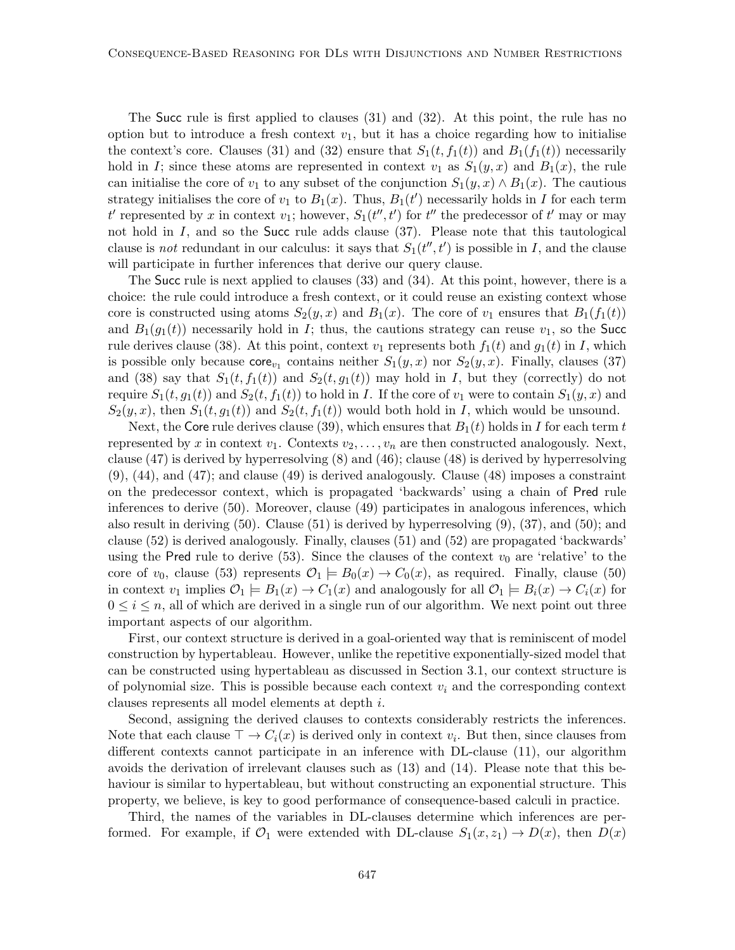The Succ rule is first applied to clauses (31) and (32). At this point, the rule has no option but to introduce a fresh context  $v_1$ , but it has a choice regarding how to initialise the context's core. Clauses (31) and (32) ensure that  $S_1(t, f_1(t))$  and  $B_1(f_1(t))$  necessarily hold in I; since these atoms are represented in context  $v_1$  as  $S_1(y, x)$  and  $B_1(x)$ , the rule can initialise the core of  $v_1$  to any subset of the conjunction  $S_1(y, x) \wedge B_1(x)$ . The cautious strategy initialises the core of  $v_1$  to  $B_1(x)$ . Thus,  $B_1(t')$  necessarily holds in I for each term  $t'$  represented by x in context  $v_1$ ; however,  $S_1(t'', t')$  for  $t''$  the predecessor of  $t'$  may or may not hold in  $I$ , and so the Succ rule adds clause  $(37)$ . Please note that this tautological clause is *not* redundant in our calculus: it says that  $S_1(t'', t')$  is possible in I, and the clause will participate in further inferences that derive our query clause.

The Succ rule is next applied to clauses (33) and (34). At this point, however, there is a choice: the rule could introduce a fresh context, or it could reuse an existing context whose core is constructed using atoms  $S_2(y, x)$  and  $B_1(x)$ . The core of  $v_1$  ensures that  $B_1(f_1(t))$ and  $B_1(g_1(t))$  necessarily hold in I; thus, the cautions strategy can reuse  $v_1$ , so the Succ rule derives clause (38). At this point, context  $v_1$  represents both  $f_1(t)$  and  $g_1(t)$  in I, which is possible only because  $\text{core}_{v_1}$  contains neither  $S_1(y, x)$  nor  $S_2(y, x)$ . Finally, clauses (37) and (38) say that  $S_1(t, f_1(t))$  and  $S_2(t, g_1(t))$  may hold in I, but they (correctly) do not require  $S_1(t, g_1(t))$  and  $S_2(t, f_1(t))$  to hold in I. If the core of  $v_1$  were to contain  $S_1(y, x)$  and  $S_2(y, x)$ , then  $S_1(t, g_1(t))$  and  $S_2(t, f_1(t))$  would both hold in I, which would be unsound.

Next, the Core rule derives clause (39), which ensures that  $B_1(t)$  holds in I for each term t represented by x in context  $v_1$ . Contexts  $v_2, \ldots, v_n$  are then constructed analogously. Next, clause (47) is derived by hyperresolving (8) and (46); clause (48) is derived by hyperresolving (9), (44), and (47); and clause (49) is derived analogously. Clause (48) imposes a constraint on the predecessor context, which is propagated 'backwards' using a chain of Pred rule inferences to derive (50). Moreover, clause (49) participates in analogous inferences, which also result in deriving (50). Clause (51) is derived by hyperresolving (9), (37), and (50); and clause (52) is derived analogously. Finally, clauses (51) and (52) are propagated 'backwards' using the Pred rule to derive (53). Since the clauses of the context  $v_0$  are 'relative' to the core of  $v_0$ , clause (53) represents  $\mathcal{O}_1 \models B_0(x) \rightarrow C_0(x)$ , as required. Finally, clause (50) in context  $v_1$  implies  $\mathcal{O}_1 \models B_1(x) \rightarrow C_1(x)$  and analogously for all  $\mathcal{O}_1 \models B_i(x) \rightarrow C_i(x)$  for  $0 \leq i \leq n$ , all of which are derived in a single run of our algorithm. We next point out three important aspects of our algorithm.

First, our context structure is derived in a goal-oriented way that is reminiscent of model construction by hypertableau. However, unlike the repetitive exponentially-sized model that can be constructed using hypertableau as discussed in Section 3.1, our context structure is of polynomial size. This is possible because each context  $v_i$  and the corresponding context clauses represents all model elements at depth i.

Second, assigning the derived clauses to contexts considerably restricts the inferences. Note that each clause  $\top \to C_i(x)$  is derived only in context  $v_i$ . But then, since clauses from different contexts cannot participate in an inference with DL-clause (11), our algorithm avoids the derivation of irrelevant clauses such as (13) and (14). Please note that this behaviour is similar to hypertableau, but without constructing an exponential structure. This property, we believe, is key to good performance of consequence-based calculi in practice.

Third, the names of the variables in DL-clauses determine which inferences are performed. For example, if  $\mathcal{O}_1$  were extended with DL-clause  $S_1(x, z_1) \to D(x)$ , then  $D(x)$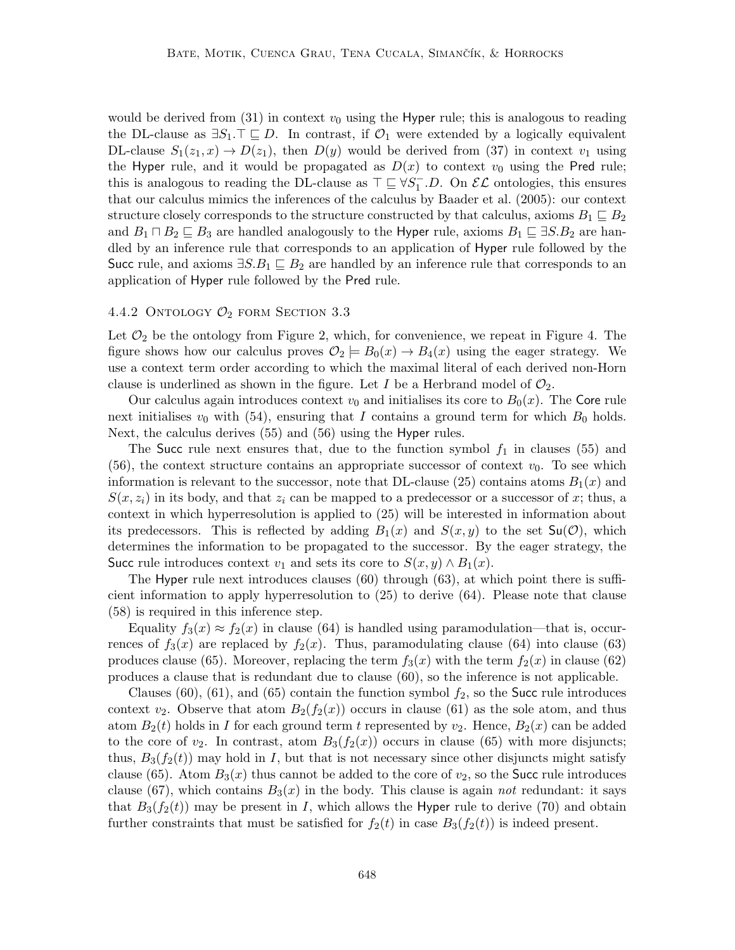would be derived from  $(31)$  in context  $v_0$  using the Hyper rule; this is analogous to reading the DL-clause as  $\exists S_1 \top \sqsubseteq D$ . In contrast, if  $\mathcal{O}_1$  were extended by a logically equivalent DL-clause  $S_1(z_1, x) \to D(z_1)$ , then  $D(y)$  would be derived from (37) in context  $v_1$  using the Hyper rule, and it would be propagated as  $D(x)$  to context  $v_0$  using the Pred rule; this is analogous to reading the DL-clause as  $\top \sqsubseteq \forall S_1^- \ldots D$ . On  $\mathcal{EL}$  ontologies, this ensures that our calculus mimics the inferences of the calculus by Baader et al. (2005): our context structure closely corresponds to the structure constructed by that calculus, axioms  $B_1 \sqsubseteq B_2$ and  $B_1 \sqcap B_2 \sqsubseteq B_3$  are handled analogously to the Hyper rule, axioms  $B_1 \sqsubseteq \exists S.B_2$  are handled by an inference rule that corresponds to an application of Hyper rule followed by the Succ rule, and axioms  $\exists S.B_1 \sqsubseteq B_2$  are handled by an inference rule that corresponds to an application of Hyper rule followed by the Pred rule.

### 4.4.2 ONTOLOGY  $\mathcal{O}_2$  form Section 3.3

Let  $\mathcal{O}_2$  be the ontology from Figure 2, which, for convenience, we repeat in Figure 4. The figure shows how our calculus proves  $\mathcal{O}_2 = B_0(x) \rightarrow B_4(x)$  using the eager strategy. We use a context term order according to which the maximal literal of each derived non-Horn clause is underlined as shown in the figure. Let I be a Herbrand model of  $\mathcal{O}_2$ .

Our calculus again introduces context  $v_0$  and initialises its core to  $B_0(x)$ . The Core rule next initialises  $v_0$  with (54), ensuring that I contains a ground term for which  $B_0$  holds. Next, the calculus derives (55) and (56) using the Hyper rules.

The Succ rule next ensures that, due to the function symbol  $f_1$  in clauses (55) and  $(56)$ , the context structure contains an appropriate successor of context  $v_0$ . To see which information is relevant to the successor, note that DL-clause (25) contains atoms  $B_1(x)$  and  $S(x, z_i)$  in its body, and that  $z_i$  can be mapped to a predecessor or a successor of x; thus, a context in which hyperresolution is applied to (25) will be interested in information about its predecessors. This is reflected by adding  $B_1(x)$  and  $S(x, y)$  to the set  $Su(\mathcal{O})$ , which determines the information to be propagated to the successor. By the eager strategy, the Succ rule introduces context  $v_1$  and sets its core to  $S(x, y) \wedge B_1(x)$ .

The Hyper rule next introduces clauses  $(60)$  through  $(63)$ , at which point there is sufficient information to apply hyperresolution to (25) to derive (64). Please note that clause (58) is required in this inference step.

Equality  $f_3(x) \approx f_2(x)$  in clause (64) is handled using paramodulation—that is, occurrences of  $f_3(x)$  are replaced by  $f_2(x)$ . Thus, paramodulating clause (64) into clause (63) produces clause (65). Moreover, replacing the term  $f_3(x)$  with the term  $f_2(x)$  in clause (62) produces a clause that is redundant due to clause (60), so the inference is not applicable.

Clauses (60), (61), and (65) contain the function symbol  $f_2$ , so the Succ rule introduces context  $v_2$ . Observe that atom  $B_2(f_2(x))$  occurs in clause (61) as the sole atom, and thus atom  $B_2(t)$  holds in I for each ground term t represented by  $v_2$ . Hence,  $B_2(x)$  can be added to the core of  $v_2$ . In contrast, atom  $B_3(f_2(x))$  occurs in clause (65) with more disjuncts; thus,  $B_3(f_2(t))$  may hold in I, but that is not necessary since other disjuncts might satisfy clause (65). Atom  $B_3(x)$  thus cannot be added to the core of  $v_2$ , so the Succ rule introduces clause (67), which contains  $B_3(x)$  in the body. This clause is again not redundant: it says that  $B_3(f_2(t))$  may be present in I, which allows the Hyper rule to derive (70) and obtain further constraints that must be satisfied for  $f_2(t)$  in case  $B_3(f_2(t))$  is indeed present.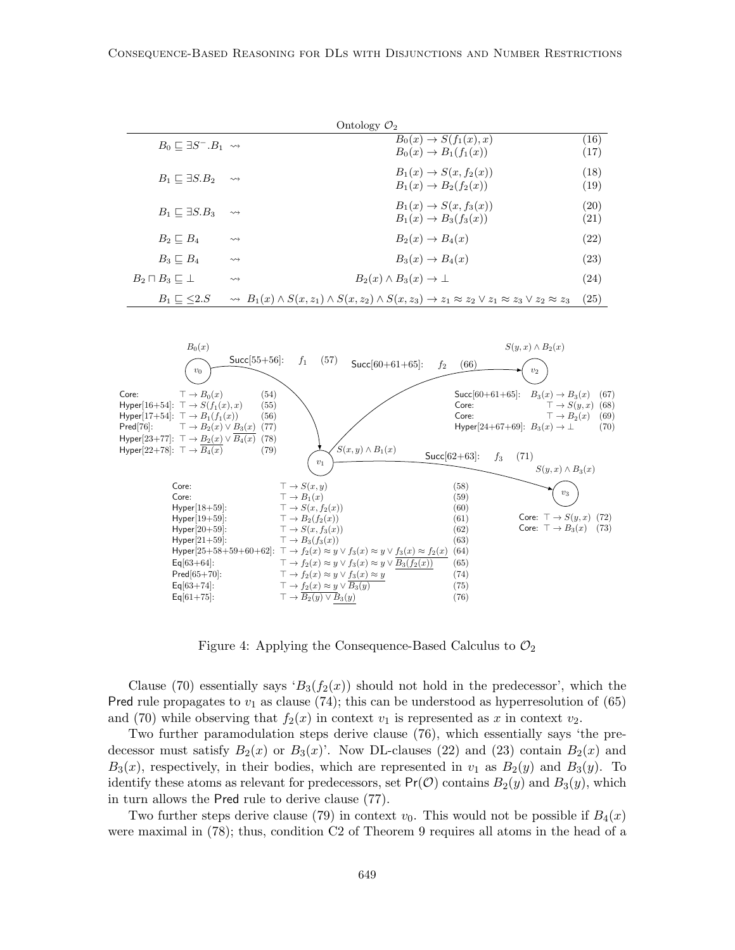|                                            |                    | Ontology $\mathcal{O}_2$                                                                                                                           |              |
|--------------------------------------------|--------------------|----------------------------------------------------------------------------------------------------------------------------------------------------|--------------|
| $B_0 \sqsubset \exists S^- . B_1 \leadsto$ |                    | $B_0(x) \rightarrow S(f_1(x), x)$<br>$B_0(x) \to B_1(f_1(x))$                                                                                      | (16)<br>(17) |
| $B_1 \sqsubset \exists S.B_2$              | $\rightsquigarrow$ | $B_1(x) \rightarrow S(x, f_2(x))$<br>$B_1(x) \to B_2(f_2(x))$                                                                                      | (18)<br>(19) |
| $B_1 \sqsubset \exists S.B_3$              | $\rightsquigarrow$ | $B_1(x) \rightarrow S(x, f_3(x))$<br>$B_1(x) \to B_3(f_3(x))$                                                                                      | (20)<br>(21) |
| $B_2 \sqsubset B_4$                        | $\rightsquigarrow$ | $B_2(x) \rightarrow B_4(x)$                                                                                                                        | (22)         |
| $B_3 \sqsubset B_4$                        | $\rightsquigarrow$ | $B_3(x) \rightarrow B_4(x)$                                                                                                                        | (23)         |
| $B_2 \sqcap B_3 \sqsubseteq \bot$          | $\rightsquigarrow$ | $B_2(x) \wedge B_3(x) \rightarrow \perp$                                                                                                           | (24)         |
| $B_1 \sqsubset \langle 2.S$                |                    | $\rightsquigarrow B_1(x) \wedge S(x, z_1) \wedge S(x, z_2) \wedge S(x, z_3) \rightarrow z_1 \approx z_2 \vee z_1 \approx z_3 \vee z_2 \approx z_3$ | (25)         |



Figure 4: Applying the Consequence-Based Calculus to  $\mathcal{O}_2$ 

Clause (70) essentially says ' $B_3(f_2(x))$  should not hold in the predecessor', which the Pred rule propagates to  $v_1$  as clause (74); this can be understood as hyperresolution of (65) and (70) while observing that  $f_2(x)$  in context  $v_1$  is represented as x in context  $v_2$ .

Two further paramodulation steps derive clause (76), which essentially says 'the predecessor must satisfy  $B_2(x)$  or  $B_3(x)$ . Now DL-clauses (22) and (23) contain  $B_2(x)$  and  $B_3(x)$ , respectively, in their bodies, which are represented in  $v_1$  as  $B_2(y)$  and  $B_3(y)$ . To identify these atoms as relevant for predecessors, set  $Pr(\mathcal{O})$  contains  $B_2(y)$  and  $B_3(y)$ , which in turn allows the Pred rule to derive clause (77).

Two further steps derive clause (79) in context  $v_0$ . This would not be possible if  $B_4(x)$ were maximal in (78); thus, condition C2 of Theorem 9 requires all atoms in the head of a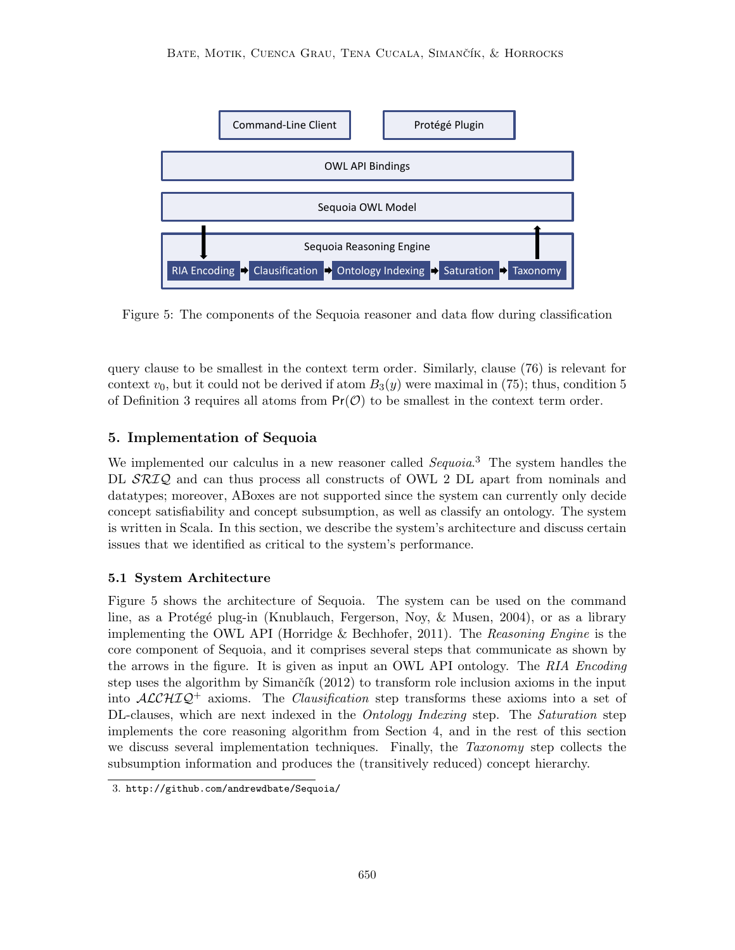

Figure 5: The components of the Sequoia reasoner and data flow during classification

query clause to be smallest in the context term order. Similarly, clause (76) is relevant for context  $v_0$ , but it could not be derived if atom  $B_3(y)$  were maximal in (75); thus, condition 5 of Definition 3 requires all atoms from  $Pr(\mathcal{O})$  to be smallest in the context term order.

## 5. Implementation of Sequoia

We implemented our calculus in a new reasoner called  $Sequoia.$ <sup>3</sup> The system handles the DL  $\mathcal{SRIQ}$  and can thus process all constructs of OWL 2 DL apart from nominals and datatypes; moreover, ABoxes are not supported since the system can currently only decide concept satisfiability and concept subsumption, as well as classify an ontology. The system is written in Scala. In this section, we describe the system's architecture and discuss certain issues that we identified as critical to the system's performance.

## 5.1 System Architecture

Figure 5 shows the architecture of Sequoia. The system can be used on the command line, as a Protégé plug-in (Knublauch, Fergerson, Noy, & Musen, 2004), or as a library implementing the OWL API (Horridge & Bechhofer, 2011). The Reasoning Engine is the core component of Sequoia, and it comprises several steps that communicate as shown by the arrows in the figure. It is given as input an OWL API ontology. The RIA Encoding step uses the algorithm by Simančík  $(2012)$  to transform role inclusion axioms in the input into  $ALCHIQ^+$  axioms. The *Clausification* step transforms these axioms into a set of DL-clauses, which are next indexed in the *Ontology Indexing* step. The *Saturation* step implements the core reasoning algorithm from Section 4, and in the rest of this section we discuss several implementation techniques. Finally, the Taxonomy step collects the subsumption information and produces the (transitively reduced) concept hierarchy.

<sup>3.</sup> http://github.com/andrewdbate/Sequoia/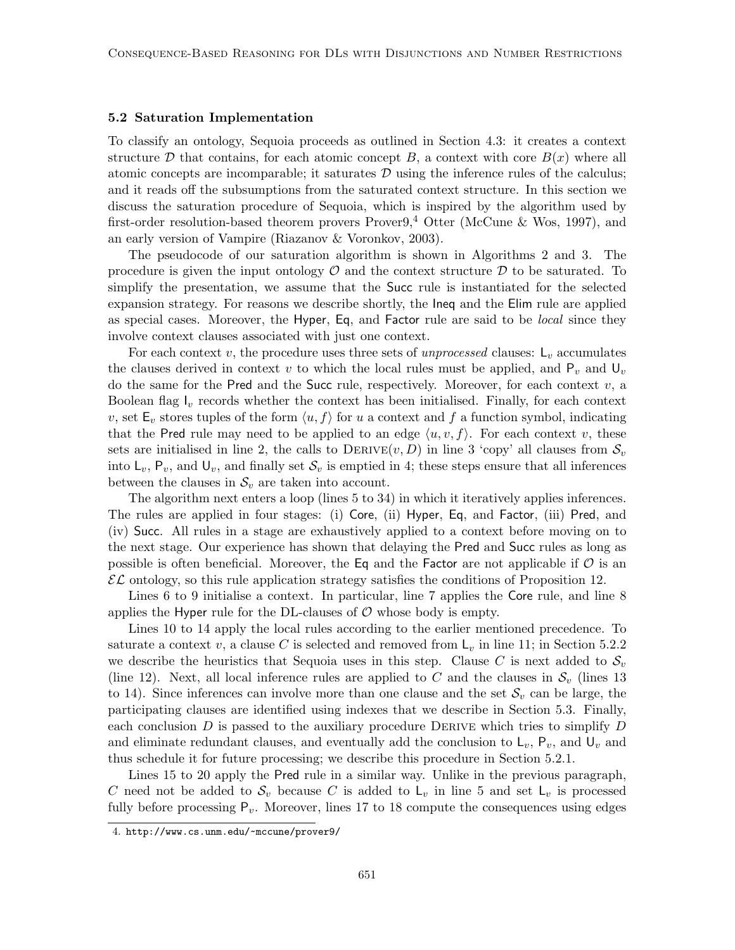#### 5.2 Saturation Implementation

To classify an ontology, Sequoia proceeds as outlined in Section 4.3: it creates a context structure D that contains, for each atomic concept B, a context with core  $B(x)$  where all atomic concepts are incomparable; it saturates  $\mathcal D$  using the inference rules of the calculus; and it reads off the subsumptions from the saturated context structure. In this section we discuss the saturation procedure of Sequoia, which is inspired by the algorithm used by first-order resolution-based theorem provers Prover $9,4$  Otter (McCune & Wos, 1997), and an early version of Vampire (Riazanov & Voronkov, 2003).

The pseudocode of our saturation algorithm is shown in Algorithms 2 and 3. The procedure is given the input ontology  $\mathcal O$  and the context structure  $\mathcal D$  to be saturated. To simplify the presentation, we assume that the Succ rule is instantiated for the selected expansion strategy. For reasons we describe shortly, the Ineq and the Elim rule are applied as special cases. Moreover, the Hyper, Eq, and Factor rule are said to be *local* since they involve context clauses associated with just one context.

For each context v, the procedure uses three sets of unprocessed clauses:  $L_v$  accumulates the clauses derived in context v to which the local rules must be applied, and  $P_v$  and  $U_v$ do the same for the Pred and the Succ rule, respectively. Moreover, for each context  $v$ , a Boolean flag  $I_v$  records whether the context has been initialised. Finally, for each context v, set  $\mathsf{E}_v$  stores tuples of the form  $\langle u, f \rangle$  for u a context and f a function symbol, indicating that the Pred rule may need to be applied to an edge  $\langle u, v, f \rangle$ . For each context v, these sets are initialised in line 2, the calls to  $DERIVE(v, D)$  in line 3 'copy' all clauses from  $S_v$ into  $L_v$ ,  $P_v$ , and  $U_v$ , and finally set  $\mathcal{S}_v$  is emptied in 4; these steps ensure that all inferences between the clauses in  $S_v$  are taken into account.

The algorithm next enters a loop (lines 5 to 34) in which it iteratively applies inferences. The rules are applied in four stages: (i) Core, (ii) Hyper, Eq, and Factor, (iii) Pred, and (iv) Succ. All rules in a stage are exhaustively applied to a context before moving on to the next stage. Our experience has shown that delaying the Pred and Succ rules as long as possible is often beneficial. Moreover, the Eq and the Factor are not applicable if  $\mathcal O$  is an  $\mathcal{EL}$  ontology, so this rule application strategy satisfies the conditions of Proposition 12.

Lines 6 to 9 initialise a context. In particular, line 7 applies the Core rule, and line 8 applies the Hyper rule for the DL-clauses of  $\mathcal O$  whose body is empty.

Lines 10 to 14 apply the local rules according to the earlier mentioned precedence. To saturate a context v, a clause C is selected and removed from  $L_v$  in line 11; in Section 5.2.2 we describe the heuristics that Sequoia uses in this step. Clause C is next added to  $S_v$ (line 12). Next, all local inference rules are applied to C and the clauses in  $\mathcal{S}_v$  (lines 13) to 14). Since inferences can involve more than one clause and the set  $\mathcal{S}_v$  can be large, the participating clauses are identified using indexes that we describe in Section 5.3. Finally, each conclusion  $D$  is passed to the auxiliary procedure DERIVE which tries to simplify  $D$ and eliminate redundant clauses, and eventually add the conclusion to  $L_v$ ,  $P_v$ , and  $U_v$  and thus schedule it for future processing; we describe this procedure in Section 5.2.1.

Lines 15 to 20 apply the Pred rule in a similar way. Unlike in the previous paragraph, C need not be added to  $S_v$  because C is added to  $L_v$  in line 5 and set  $L_v$  is processed fully before processing  $P_v$ . Moreover, lines 17 to 18 compute the consequences using edges

<sup>4.</sup> http://www.cs.unm.edu/~mccune/prover9/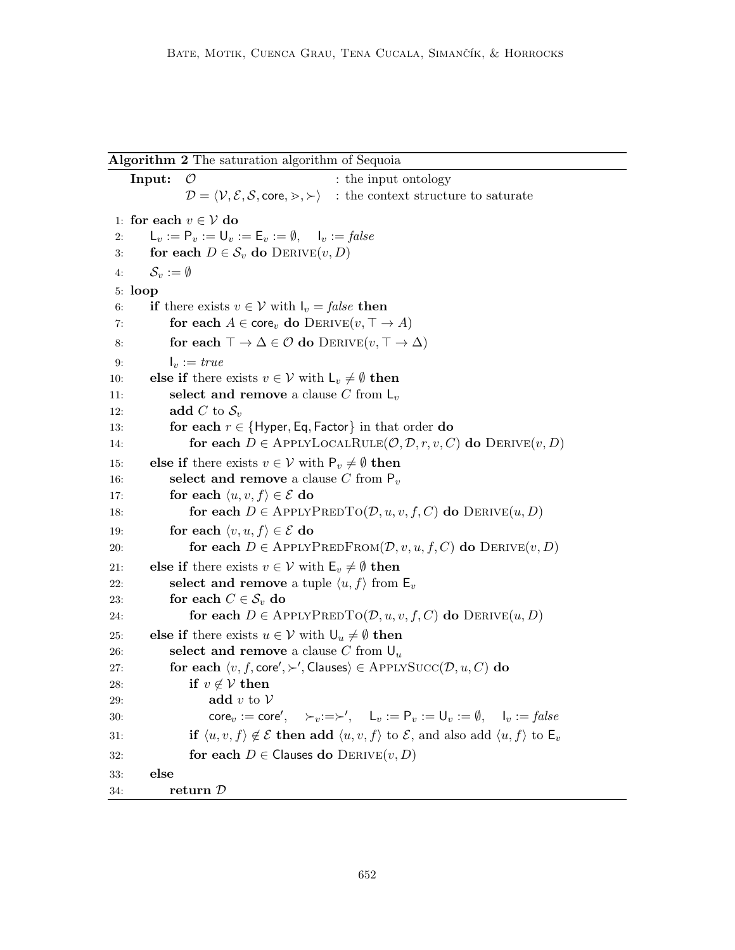Algorithm 2 The saturation algorithm of Sequoia

**Input:**  $\mathcal{O}$  : the input ontology  $\mathcal{D} = \langle \mathcal{V}, \mathcal{E}, \mathcal{S}, \mathsf{core}, \rangle$ ,  $\rangle$  : the context structure to saturate 1: for each  $v \in V$  do 2:  $L_v := P_v := U_v := E_v := \emptyset, \quad I_v := \text{false}$ 3: for each  $D \in \mathcal{S}_v$  do  $D_{\text{ERIVE}}(v, D)$ 4:  $\mathcal{S}_v := \emptyset$ 5: loop 6: if there exists  $v \in V$  with  $I_v = false$  then 7: for each  $A \in \text{core}_v$  do  $D_{\text{ERIVE}}(v, \top \rightarrow A)$ 8: for each  $\top \to \Delta \in \mathcal{O}$  do  $DerkIVE(v, \top \to \Delta)$ 9:  $I_v := true$ 10: **else if** there exists  $v \in V$  with  $L_v \neq \emptyset$  then 11: **select and remove** a clause C from  $L_v$ 12: **add** C to  $S_v$ 13: for each  $r \in \{Hyper, Eq, Factor\}$  in that order do 14: **for each**  $D \in \text{APPLYLOCALRULE}(\mathcal{O}, \mathcal{D}, r, v, C)$  do  $\text{DERIVE}(v, D)$ 15: else if there exists  $v \in V$  with  $P_v \neq \emptyset$  then 16: select and remove a clause C from  $P_v$ 17: for each  $\langle u, v, f \rangle \in \mathcal{E}$  do 18: for each  $D \in \text{APPLYPREDTo}(\mathcal{D}, u, v, f, C)$  do  $\text{DERIVE}(u, D)$ 19: **for each**  $\langle v, u, f \rangle \in \mathcal{E}$  do 20: **for each**  $D \in \text{APPLYPREDFROM}(\mathcal{D}, v, u, f, C)$  do  $\text{DERIVE}(v, D)$ 21: **else if** there exists  $v \in V$  with  $\mathsf{E}_v \neq \emptyset$  then 22: **select and remove** a tuple  $\langle u, f \rangle$  from  $\mathsf{E}_v$ 23: for each  $C \in \mathcal{S}_v$  do 24: for each  $D \in \text{APPLYPREDTO}(\mathcal{D}, u, v, f, C)$  do  $\text{DERIVE}(u, D)$ 25: else if there exists  $u \in \mathcal{V}$  with  $\mathsf{U}_u \neq \emptyset$  then 26: select and remove a clause C from  $U_u$ 27: for each  $\langle v, f, \text{core}', \rangle$ , Clauses)  $\in$  ApplySucc $(\mathcal{D}, u, C)$  do 28: if  $v \notin V$  then 29: **add** v to  $V$ 30: core $v := \text{core}'$ ,  $\succ_v := \succ'$ ,  $L_v := P_v := U_v := \emptyset$ ,  $I_v := \text{false}$ 31: if  $\langle u, v, f \rangle \notin \mathcal{E}$  then add  $\langle u, v, f \rangle$  to  $\mathcal{E}$ , and also add  $\langle u, f \rangle$  to  $\mathsf{E}_v$ 32: for each  $D \in$  Clauses do  $D_{\text{ERIVE}}(v, D)$ 33: else 34: return D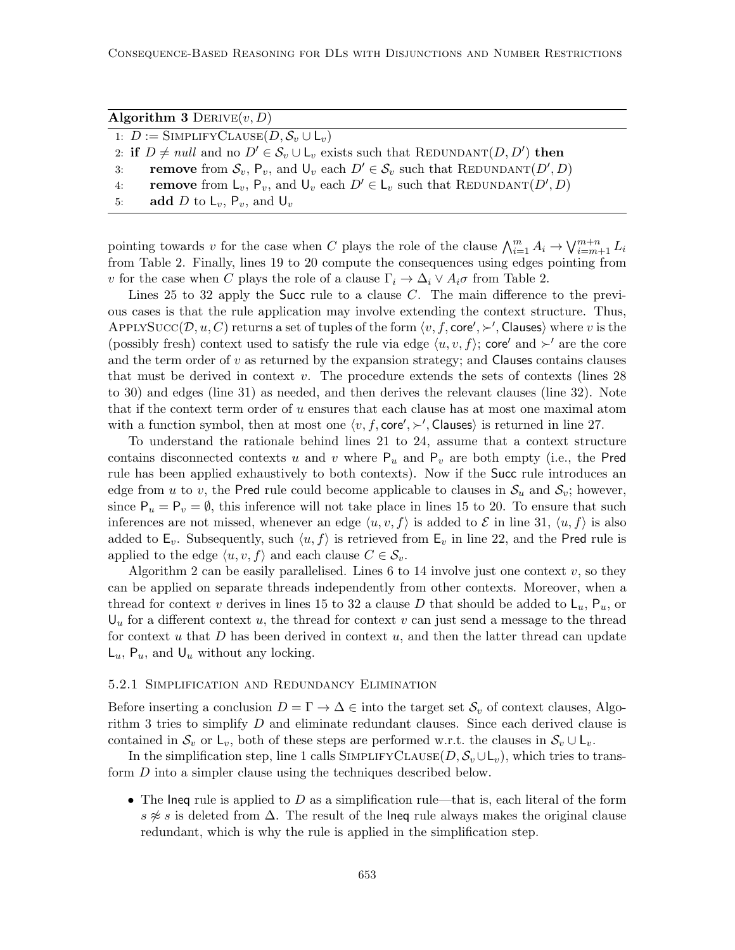| Algorithm 3 DERIVE $(v, D)$                                                                        |
|----------------------------------------------------------------------------------------------------|
| 1: $D := \text{SIMPLIFY}\text{CLASS}(D, \mathcal{S}_v \cup \mathsf{L}_v)$                          |
| 2: if $D \neq null$ and no $D' \in S_n \cup L_n$ exists such that REDUNDANT $(D, D')$ then         |
| <b>remove</b> from $S_v$ , $P_v$ , and $U_v$ each $D' \in S_v$ such that REDUNDANT $(D', D)$<br>3: |
| <b>remove</b> from $L_v$ , $P_v$ , and $U_v$ each $D' \in L_v$ such that REDUNDANT $(D', D)$<br>4: |
| add D to $L_v$ , $P_v$ , and $U_v$<br>5:                                                           |

pointing towards v for the case when C plays the role of the clause  $\bigwedge_{i=1}^{m} A_i \to \bigvee_{i=m+1}^{m+n} L_i$ from Table 2. Finally, lines 19 to 20 compute the consequences using edges pointing from v for the case when C plays the role of a clause  $\Gamma_i \to \Delta_i \vee A_i \sigma$  from Table 2.

Lines 25 to 32 apply the Succ rule to a clause C. The main difference to the previous cases is that the rule application may involve extending the context structure. Thus, APPLYSUCC $(D, u, C)$  returns a set of tuples of the form  $\langle v, f, \text{core}', \succ'$ , Clauses) where v is the (possibly fresh) context used to satisfy the rule via edge  $\langle u, v, f \rangle$ ; core' and  $\succ'$  are the core and the term order of  $v$  as returned by the expansion strategy; and Clauses contains clauses that must be derived in context v. The procedure extends the sets of contexts (lines 28 to 30) and edges (line 31) as needed, and then derives the relevant clauses (line 32). Note that if the context term order of u ensures that each clause has at most one maximal atom with a function symbol, then at most one  $\langle v, f, \text{core}' \rangle$ . Clauses is returned in line 27.

To understand the rationale behind lines 21 to 24, assume that a context structure contains disconnected contexts u and v where  $P_u$  and  $P_v$  are both empty (i.e., the Pred rule has been applied exhaustively to both contexts). Now if the Succ rule introduces an edge from u to v, the Pred rule could become applicable to clauses in  $\mathcal{S}_u$  and  $\mathcal{S}_v$ ; however, since  $P_u = P_v = \emptyset$ , this inference will not take place in lines 15 to 20. To ensure that such inferences are not missed, whenever an edge  $\langle u, v, f \rangle$  is added to E in line 31,  $\langle u, f \rangle$  is also added to  $\mathsf{E}_v$ . Subsequently, such  $\langle u, f \rangle$  is retrieved from  $\mathsf{E}_v$  in line 22, and the Pred rule is applied to the edge  $\langle u, v, f \rangle$  and each clause  $C \in \mathcal{S}_v$ .

Algorithm 2 can be easily parallelised. Lines 6 to 14 involve just one context  $v$ , so they can be applied on separate threads independently from other contexts. Moreover, when a thread for context v derives in lines 15 to 32 a clause D that should be added to  $\mathsf{L}_u$ ,  $\mathsf{P}_u$ , or  $U_u$  for a different context u, the thread for context v can just send a message to the thread for context u that  $D$  has been derived in context  $u$ , and then the latter thread can update  $\mathsf{L}_u$ ,  $\mathsf{P}_u$ , and  $\mathsf{U}_u$  without any locking.

#### 5.2.1 Simplification and Redundancy Elimination

Before inserting a conclusion  $D = \Gamma \to \Delta \in \text{into the target set } \mathcal{S}_v$  of context clauses, Algorithm 3 tries to simplify  $D$  and eliminate redundant clauses. Since each derived clause is contained in  $S_v$  or  $L_v$ , both of these steps are performed w.r.t. the clauses in  $S_v \cup L_v$ .

In the simplification step, line 1 calls SIMPLIFYCLAUSE $(D, \mathcal{S}_v \cup L_v)$ , which tries to transform D into a simpler clause using the techniques described below.

• The Ineq rule is applied to D as a simplification rule—that is, each literal of the form s  $\neq s$  is deleted from  $\Delta$ . The result of the lneq rule always makes the original clause redundant, which is why the rule is applied in the simplification step.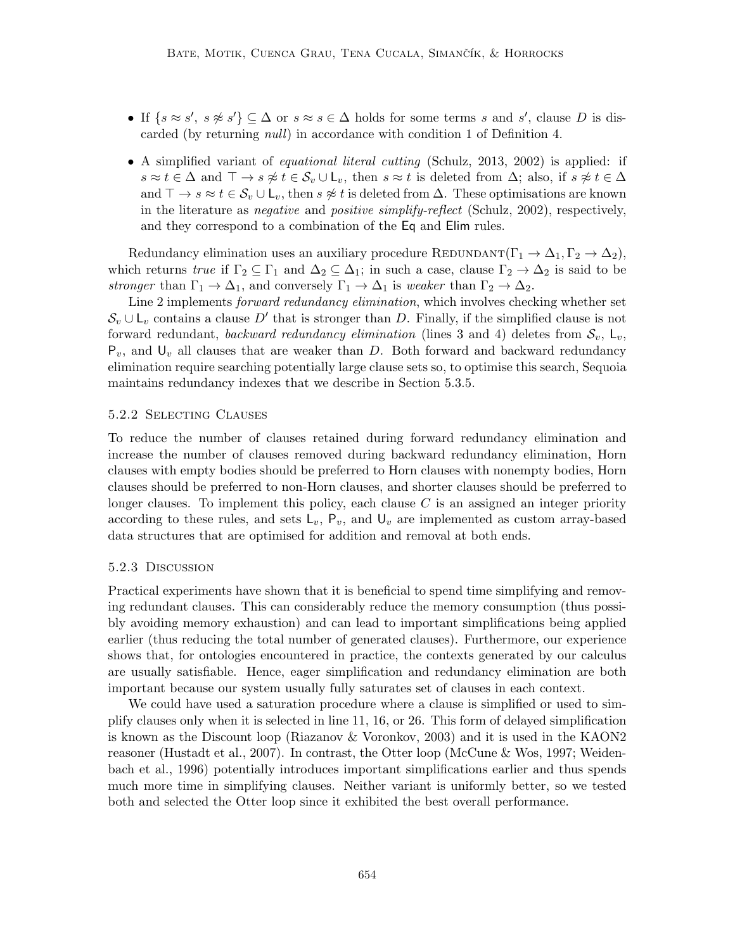- If  $\{s \approx s', s \not\approx s'\} \subseteq \Delta$  or  $s \approx s \in \Delta$  holds for some terms s and s', clause D is discarded (by returning null) in accordance with condition 1 of Definition 4.
- A simplified variant of *equational literal cutting* (Schulz, 2013, 2002) is applied: if  $s \approx t \in \Delta$  and  $\top \to s \not\approx t \in \mathcal{S}_v \cup \mathsf{L}_v$ , then  $s \approx t$  is deleted from  $\Delta$ ; also, if  $s \not\approx t \in \Delta$ and  $\top \to s \approx t \in \mathcal{S}_v \cup \mathsf{L}_v$ , then  $s \not\approx t$  is deleted from  $\Delta$ . These optimisations are known in the literature as negative and positive simplify-reflect (Schulz, 2002), respectively, and they correspond to a combination of the Eq and Elim rules.

Redundancy elimination uses an auxiliary procedure REDUNDANT( $\Gamma_1 \to \Delta_1, \Gamma_2 \to \Delta_2$ ), which returns true if  $\Gamma_2 \subseteq \Gamma_1$  and  $\Delta_2 \subseteq \Delta_1$ ; in such a case, clause  $\Gamma_2 \to \Delta_2$  is said to be stronger than  $\Gamma_1 \to \Delta_1$ , and conversely  $\Gamma_1 \to \Delta_1$  is weaker than  $\Gamma_2 \to \Delta_2$ .

Line 2 implements forward redundancy elimination, which involves checking whether set  $\mathcal{S}_v \cup \mathsf{L}_v$  contains a clause D' that is stronger than D. Finally, if the simplified clause is not forward redundant, backward redundancy elimination (lines 3 and 4) deletes from  $S_v$ ,  $L_v$ ,  $P_v$ , and  $U_v$  all clauses that are weaker than D. Both forward and backward redundancy elimination require searching potentially large clause sets so, to optimise this search, Sequoia maintains redundancy indexes that we describe in Section 5.3.5.

## 5.2.2 Selecting Clauses

To reduce the number of clauses retained during forward redundancy elimination and increase the number of clauses removed during backward redundancy elimination, Horn clauses with empty bodies should be preferred to Horn clauses with nonempty bodies, Horn clauses should be preferred to non-Horn clauses, and shorter clauses should be preferred to longer clauses. To implement this policy, each clause  $C$  is an assigned an integer priority according to these rules, and sets  $L_v$ ,  $P_v$ , and  $U_v$  are implemented as custom array-based data structures that are optimised for addition and removal at both ends.

## 5.2.3 Discussion

Practical experiments have shown that it is beneficial to spend time simplifying and removing redundant clauses. This can considerably reduce the memory consumption (thus possibly avoiding memory exhaustion) and can lead to important simplifications being applied earlier (thus reducing the total number of generated clauses). Furthermore, our experience shows that, for ontologies encountered in practice, the contexts generated by our calculus are usually satisfiable. Hence, eager simplification and redundancy elimination are both important because our system usually fully saturates set of clauses in each context.

We could have used a saturation procedure where a clause is simplified or used to simplify clauses only when it is selected in line 11, 16, or 26. This form of delayed simplification is known as the Discount loop (Riazanov & Voronkov, 2003) and it is used in the KAON2 reasoner (Hustadt et al., 2007). In contrast, the Otter loop (McCune & Wos, 1997; Weidenbach et al., 1996) potentially introduces important simplifications earlier and thus spends much more time in simplifying clauses. Neither variant is uniformly better, so we tested both and selected the Otter loop since it exhibited the best overall performance.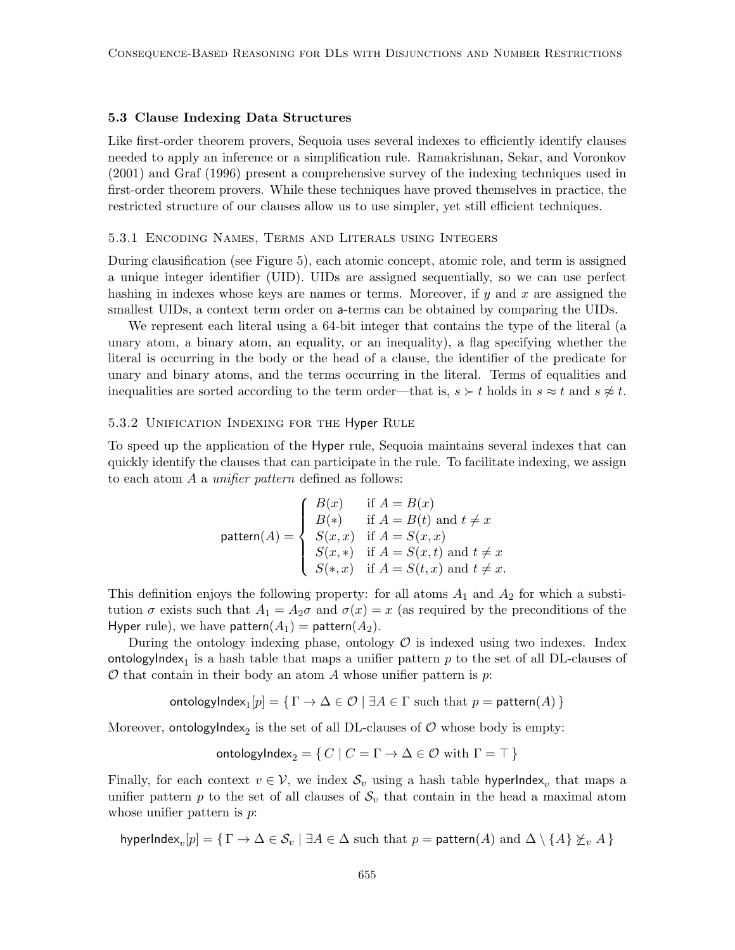#### 5.3 Clause Indexing Data Structures

Like first-order theorem provers, Sequoia uses several indexes to efficiently identify clauses needed to apply an inference or a simplification rule. Ramakrishnan, Sekar, and Voronkov (2001) and Graf (1996) present a comprehensive survey of the indexing techniques used in first-order theorem provers. While these techniques have proved themselves in practice, the restricted structure of our clauses allow us to use simpler, yet still efficient techniques.

#### 5.3.1 Encoding Names, Terms and Literals using Integers

During clausification (see Figure 5), each atomic concept, atomic role, and term is assigned a unique integer identifier (UID). UIDs are assigned sequentially, so we can use perfect hashing in indexes whose keys are names or terms. Moreover, if  $y$  and  $x$  are assigned the smallest UIDs, a context term order on a-terms can be obtained by comparing the UIDs.

We represent each literal using a 64-bit integer that contains the type of the literal (a unary atom, a binary atom, an equality, or an inequality), a flag specifying whether the literal is occurring in the body or the head of a clause, the identifier of the predicate for unary and binary atoms, and the terms occurring in the literal. Terms of equalities and inequalities are sorted according to the term order—that is,  $s \succ t$  holds in  $s \approx t$  and  $s \not\approx t$ .

#### 5.3.2 Unification Indexing for the Hyper Rule

To speed up the application of the Hyper rule, Sequoia maintains several indexes that can quickly identify the clauses that can participate in the rule. To facilitate indexing, we assign to each atom A a unifier pattern defined as follows:

$$
\text{pattern}(A) = \begin{cases} B(x) & \text{if } A = B(x) \\ B(*) & \text{if } A = B(t) \text{ and } t \neq x \\ S(x, x) & \text{if } A = S(x, x) \\ S(x, *) & \text{if } A = S(x, t) \text{ and } t \neq x \\ S(*, x) & \text{if } A = S(t, x) \text{ and } t \neq x. \end{cases}
$$

This definition enjoys the following property: for all atoms  $A_1$  and  $A_2$  for which a substitution  $\sigma$  exists such that  $A_1 = A_2\sigma$  and  $\sigma(x) = x$  (as required by the preconditions of the Hyper rule), we have pattern $(A_1)$  = pattern $(A_2)$ .

During the ontology indexing phase, ontology  $\mathcal O$  is indexed using two indexes. Index  $\mathsf{ontologyIndex}_1$  is a hash table that maps a unifier pattern  $p$  to the set of all DL-clauses of  $\mathcal O$  that contain in their body an atom A whose unifier pattern is  $p$ .

$$
\mathsf{ontologyIndex}_1[p] = \{ \Gamma \rightarrow \Delta \in \mathcal{O} \mid \exists A \in \Gamma \text{ such that } p = \mathsf{pattern}(A) \}
$$

Moreover, ontologyIndex<sub>2</sub> is the set of all DL-clauses of  $\mathcal O$  whose body is empty:

$$
onto logyIndex_2 = \{ C \mid C = \Gamma \to \Delta \in \mathcal{O} \text{ with } \Gamma = \top \}
$$

Finally, for each context  $v \in V$ , we index  $\mathcal{S}_v$  using a hash table hyperIndex<sub>v</sub> that maps a unifier pattern p to the set of all clauses of  $S_v$  that contain in the head a maximal atom whose unifier pattern is  $p$ .

hyperIndex $_v[p]=\set{\Gamma\to\Delta\in\mathcal S_v|\exists A\in\Delta \text{ such that }p=\mathsf{pattern}(A) \text{ and } \Delta\setminus\{A\}\not\succeq_v A}$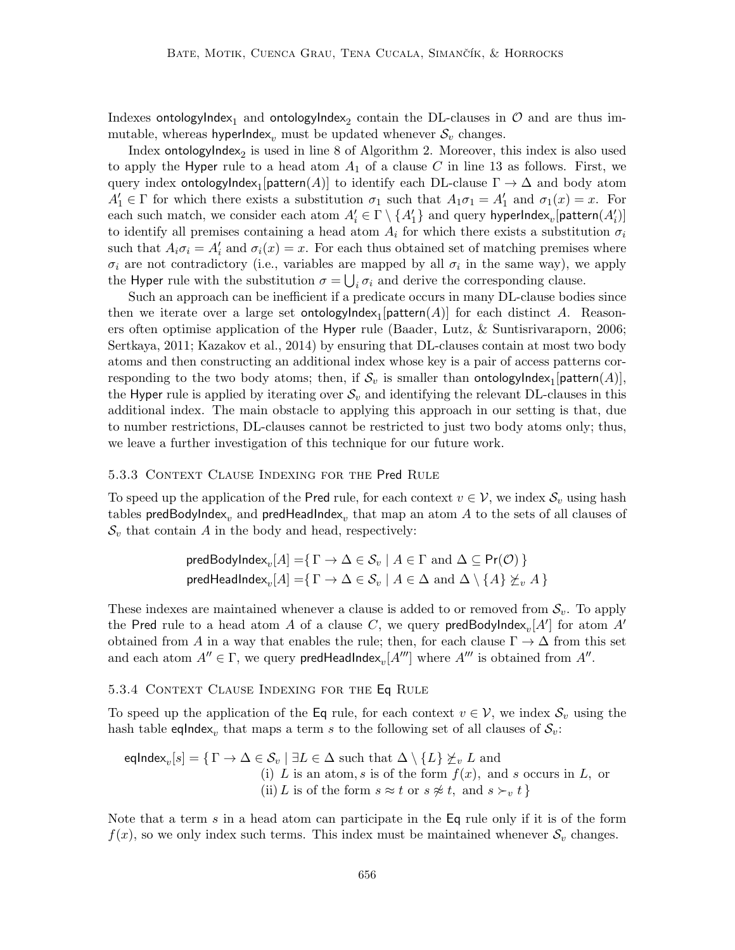Indexes ontologyIndex<sub>1</sub> and ontologyIndex<sub>2</sub> contain the DL-clauses in  ${\cal O}$  and are thus immutable, whereas hyperIndex<sub>v</sub> must be updated whenever  $S_v$  changes.

Index ontologyIndex $_2$  is used in line 8 of Algorithm 2. Moreover, this index is also used to apply the Hyper rule to a head atom  $A_1$  of a clause C in line 13 as follows. First, we query index  $\mathsf{ontologyIndex}_1[\mathsf{pattern}(A)]$  to identify each  $\mathrm{DL}\text{-}\mathrm{clause}\;\Gamma\to\Delta$  and body atom  $A'_1 \in \Gamma$  for which there exists a substitution  $\sigma_1$  such that  $A_1 \sigma_1 = A'_1$  and  $\sigma_1(x) = x$ . For each such match, we consider each atom  $A'_i \in \Gamma \setminus \{A'_1\}$  and query hyperIndex $_v$ [pattern $(A'_i)$ ] to identify all premises containing a head atom  $A_i$  for which there exists a substitution  $\sigma_i$ such that  $A_i \sigma_i = A'_i$  and  $\sigma_i(x) = x$ . For each thus obtained set of matching premises where  $\sigma_i$  are not contradictory (i.e., variables are mapped by all  $\sigma_i$  in the same way), we apply the Hyper rule with the substitution  $\sigma = \bigcup_i \sigma_i$  and derive the corresponding clause.

Such an approach can be inefficient if a predicate occurs in many DL-clause bodies since then we iterate over a large set  $\mathsf{ontologyIndex}_1[\mathsf{pattern}(A)]$  for each distinct  $A$ . Reasoners often optimise application of the Hyper rule (Baader, Lutz, & Suntisrivaraporn, 2006; Sertkaya, 2011; Kazakov et al., 2014) by ensuring that DL-clauses contain at most two body atoms and then constructing an additional index whose key is a pair of access patterns corresponding to the two body atoms; then, if  $\mathcal{S}_v$  is smaller than  $\mathsf{ontologylndex}_1[\mathsf{pattern}(A)],$ the Hyper rule is applied by iterating over  $\mathcal{S}_v$  and identifying the relevant DL-clauses in this additional index. The main obstacle to applying this approach in our setting is that, due to number restrictions, DL-clauses cannot be restricted to just two body atoms only; thus, we leave a further investigation of this technique for our future work.

#### 5.3.3 Context Clause Indexing for the Pred Rule

To speed up the application of the Pred rule, for each context  $v \in V$ , we index  $S_v$  using hash tables  $\mathsf{predBodyIndex}_v$  and  $\mathsf{predHeadIndex}_v$  that map an atom  $A$  to the sets of all clauses of  $\mathcal{S}_v$  that contain A in the body and head, respectively:

$$
\text{predBodyIndex}_{v}[A] = \{ \Gamma \to \Delta \in \mathcal{S}_v \mid A \in \Gamma \text{ and } \Delta \subseteq \text{Pr}(\mathcal{O}) \}
$$
\n
$$
\text{predHeadIndex}_{v}[A] = \{ \Gamma \to \Delta \in \mathcal{S}_v \mid A \in \Delta \text{ and } \Delta \setminus \{A\} \not\succeq_v A \}
$$

These indexes are maintained whenever a clause is added to or removed from  $S_v$ . To apply the Pred rule to a head atom  $A$  of a clause  $C,$  we query  $\mathsf{predBodyIndex}_v[A']$  for atom  $A'$ obtained from A in a way that enables the rule; then, for each clause  $\Gamma \to \Delta$  from this set and each atom  $A'' \in \Gamma$ , we query predHeadIndex<sub>v</sub>[ $A'''$ ] where  $A'''$  is obtained from  $A''$ .

#### 5.3.4 Context Clause Indexing for the Eq Rule

To speed up the application of the Eq rule, for each context  $v \in V$ , we index  $S_v$  using the hash table eqlndex<sub>v</sub> that maps a term s to the following set of all clauses of  $\mathcal{S}_v$ :

$$
\text{eqIndex}_{v}[s] = \{ \Gamma \to \Delta \in \mathcal{S}_{v} \mid \exists L \in \Delta \text{ such that } \Delta \setminus \{L\} \not\subseteq_{v} L \text{ and}
$$
\n(i) L is an atom, s is of the form  $f(x)$ , and s occurs in L, or\n(ii) L is of the form  $s \approx t$  or  $s \not\approx t$ , and  $s \succ_{v} t$ 

Note that a term s in a head atom can participate in the Eq rule only if it is of the form  $f(x)$ , so we only index such terms. This index must be maintained whenever  $\mathcal{S}_v$  changes.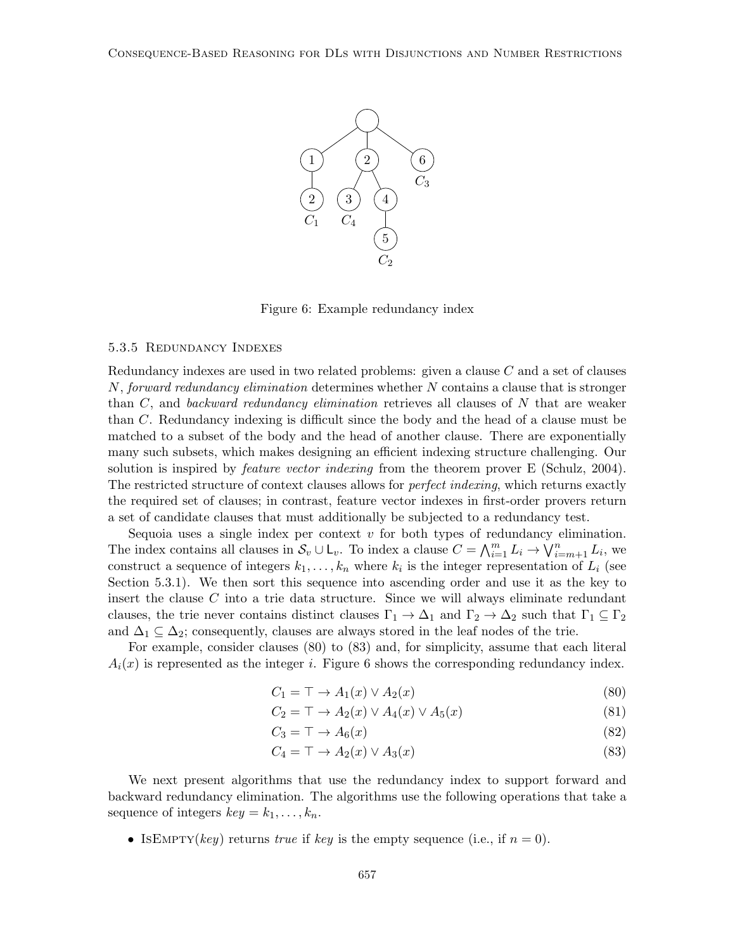

Figure 6: Example redundancy index

#### 5.3.5 Redundancy Indexes

Redundancy indexes are used in two related problems: given a clause C and a set of clauses N, forward redundancy elimination determines whether  $N$  contains a clause that is stronger than  $C$ , and backward redundancy elimination retrieves all clauses of  $N$  that are weaker than C. Redundancy indexing is difficult since the body and the head of a clause must be matched to a subset of the body and the head of another clause. There are exponentially many such subsets, which makes designing an efficient indexing structure challenging. Our solution is inspired by *feature vector indexing* from the theorem prover E (Schulz, 2004). The restricted structure of context clauses allows for *perfect indexing*, which returns exactly the required set of clauses; in contrast, feature vector indexes in first-order provers return a set of candidate clauses that must additionally be subjected to a redundancy test.

Sequoia uses a single index per context  $v$  for both types of redundancy elimination. The index contains all clauses in  $S_v \cup L_v$ . To index a clause  $C = \bigwedge_{i=1}^m L_i \to \bigvee_{i=m+1}^n L_i$ , we construct a sequence of integers  $k_1, \ldots, k_n$  where  $k_i$  is the integer representation of  $L_i$  (see Section 5.3.1). We then sort this sequence into ascending order and use it as the key to insert the clause  $C$  into a trie data structure. Since we will always eliminate redundant clauses, the trie never contains distinct clauses  $\Gamma_1 \to \Delta_1$  and  $\Gamma_2 \to \Delta_2$  such that  $\Gamma_1 \subseteq \Gamma_2$ and  $\Delta_1 \subseteq \Delta_2$ ; consequently, clauses are always stored in the leaf nodes of the trie.

For example, consider clauses (80) to (83) and, for simplicity, assume that each literal  $A_i(x)$  is represented as the integer i. Figure 6 shows the corresponding redundancy index.

$$
C_1 = \top \to A_1(x) \lor A_2(x) \tag{80}
$$

$$
C_2 = \top \to A_2(x) \lor A_4(x) \lor A_5(x) \tag{81}
$$

$$
C_3 = \top \to A_6(x) \tag{82}
$$

$$
C_4 = \top \to A_2(x) \lor A_3(x) \tag{83}
$$

We next present algorithms that use the redundancy index to support forward and backward redundancy elimination. The algorithms use the following operations that take a sequence of integers  $key = k_1, \ldots, k_n$ .

• ISEMPTY(key) returns true if key is the empty sequence (i.e., if  $n = 0$ ).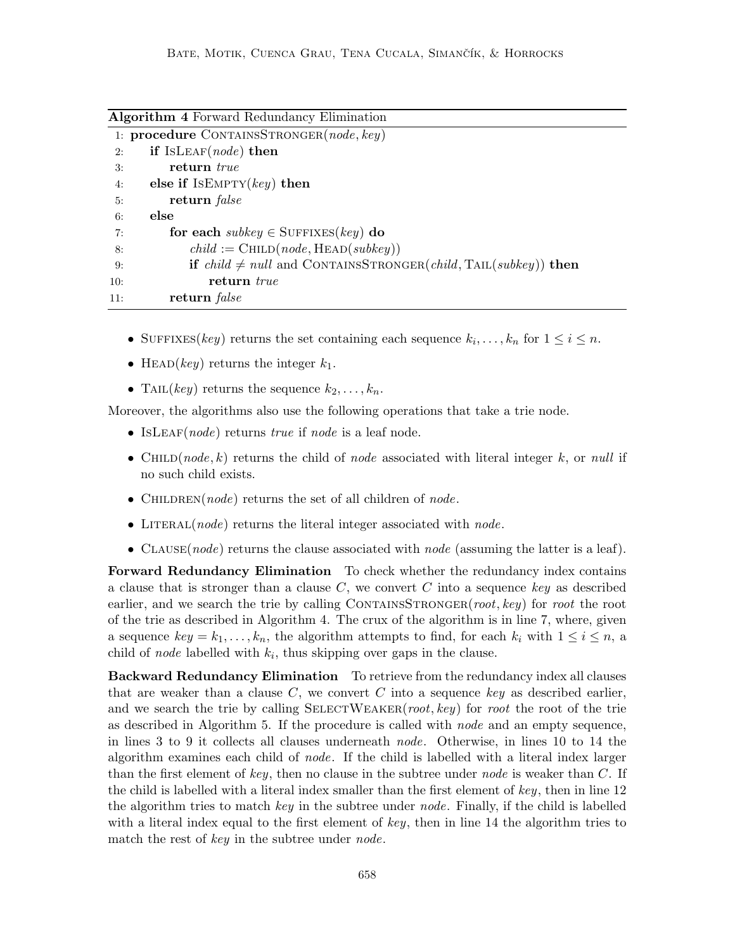Algorithm 4 Forward Redundancy Elimination

|     | 1: procedure CONTAINSSTRONGER(node, key)                                                     |
|-----|----------------------------------------------------------------------------------------------|
| 2:  | if ISLEAF( <i>node</i> ) then                                                                |
| 3:  | return true                                                                                  |
| 4:  | else if $ISEMPTY(key)$ then                                                                  |
| 5:  | return <i>false</i>                                                                          |
| 6:  | else                                                                                         |
| 7:  | for each subkey $\in$ SUFFIXES(key) do                                                       |
| 8:  | $child := \text{CHILD}(node, \text{HEAD}(subkey))$                                           |
| 9:  | <b>if</b> $child \neq null$ and CONTAINSSTRONGER( <i>child</i> , TAIL( <i>subkey</i> )) then |
| 10: | return true                                                                                  |
| 11: | return <i>false</i>                                                                          |

- SUFFIXES(key) returns the set containing each sequence  $k_i, \ldots, k_n$  for  $1 \leq i \leq n$ .
- HEAD(key) returns the integer  $k_1$ .
- TAIL(key) returns the sequence  $k_2, \ldots, k_n$ .

Moreover, the algorithms also use the following operations that take a trie node.

- IsLEAF(*node*) returns *true* if *node* is a leaf node.
- CHILD(node, k) returns the child of node associated with literal integer k, or null if no such child exists.
- CHILDREN(node) returns the set of all children of node.
- LITERAL(*node*) returns the literal integer associated with *node*.
- CLAUSE(*node*) returns the clause associated with *node* (assuming the latter is a leaf).

Forward Redundancy Elimination To check whether the redundancy index contains a clause that is stronger than a clause  $C$ , we convert  $C$  into a sequence key as described earlier, and we search the trie by calling CONTAINSSTRONGER(root, key) for root the root of the trie as described in Algorithm 4. The crux of the algorithm is in line 7, where, given a sequence  $key = k_1, \ldots, k_n$ , the algorithm attempts to find, for each  $k_i$  with  $1 \leq i \leq n$ , a child of *node* labelled with  $k_i$ , thus skipping over gaps in the clause.

Backward Redundancy Elimination To retrieve from the redundancy index all clauses that are weaker than a clause  $C$ , we convert  $C$  into a sequence key as described earlier, and we search the trie by calling  $SELECTWEAKER(root, key)$  for root the root of the trie as described in Algorithm 5. If the procedure is called with node and an empty sequence, in lines 3 to 9 it collects all clauses underneath node. Otherwise, in lines 10 to 14 the algorithm examines each child of node. If the child is labelled with a literal index larger than the first element of key, then no clause in the subtree under node is weaker than  $C$ . If the child is labelled with a literal index smaller than the first element of  $key$ , then in line 12 the algorithm tries to match  $key$  in the subtree under node. Finally, if the child is labelled with a literal index equal to the first element of  $key$ , then in line 14 the algorithm tries to match the rest of key in the subtree under *node*.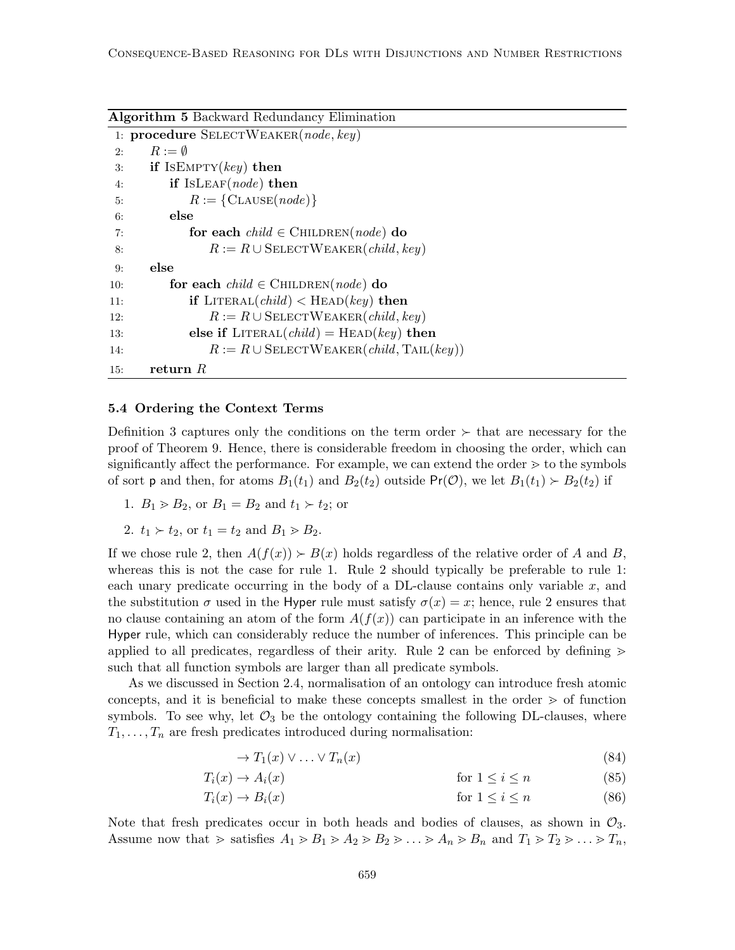Algorithm 5 Backward Redundancy Elimination

```
1: procedure SELECTWEAKER(node, key)2: R := \emptyset3: if ISEMPTY(key) then
4: if ISLEAF(node) then
5: R := \{CLAUSE(node)\}\6: else
7: for each child \in \text{CHILDREN}(node) do
8: R := R \cup \text{SELECTWEAKER}(child, key)9: else
10: for each child \in CHILDREN(node) do
11: if LITERAL(child) < HERAD(key) then
12: R := R \cup \text{SELECTWEAKER}(child, key)13: else if LITERAL(child) = HEAD(key) then
14: R := R \cup \text{SELECTWEAKER}(child, \text{TAIL}(key))15: return R
```
### 5.4 Ordering the Context Terms

Definition 3 captures only the conditions on the term order  $\succ$  that are necessary for the proof of Theorem 9. Hence, there is considerable freedom in choosing the order, which can significantly affect the performance. For example, we can extend the order  $\geq$  to the symbols of sort **p** and then, for atoms  $B_1(t_1)$  and  $B_2(t_2)$  outside  $Pr(\mathcal{O})$ , we let  $B_1(t_1) > B_2(t_2)$  if

1.  $B_1 > B_2$ , or  $B_1 = B_2$  and  $t_1 > t_2$ ; or

2. 
$$
t_1 > t_2
$$
, or  $t_1 = t_2$  and  $B_1 > B_2$ .

If we chose rule 2, then  $A(f(x)) > B(x)$  holds regardless of the relative order of A and B, whereas this is not the case for rule 1. Rule 2 should typically be preferable to rule 1: each unary predicate occurring in the body of a DL-clause contains only variable  $x$ , and the substitution  $\sigma$  used in the Hyper rule must satisfy  $\sigma(x) = x$ ; hence, rule 2 ensures that no clause containing an atom of the form  $A(f(x))$  can participate in an inference with the Hyper rule, which can considerably reduce the number of inferences. This principle can be applied to all predicates, regardless of their arity. Rule 2 can be enforced by defining  $\geq$ such that all function symbols are larger than all predicate symbols.

As we discussed in Section 2.4, normalisation of an ontology can introduce fresh atomic concepts, and it is beneficial to make these concepts smallest in the order  $\geq$  of function symbols. To see why, let  $\mathcal{O}_3$  be the ontology containing the following DL-clauses, where  $T_1, \ldots, T_n$  are fresh predicates introduced during normalisation:

$$
\to T_1(x) \lor \dots \lor T_n(x) \tag{84}
$$

$$
T_i(x) \to A_i(x) \qquad \text{for } 1 \le i \le n \tag{85}
$$

$$
T_i(x) \to B_i(x) \qquad \text{for } 1 \le i \le n \tag{86}
$$

Note that fresh predicates occur in both heads and bodies of clauses, as shown in  $\mathcal{O}_3$ . Assume now that  $\gg$  satisfies  $A_1 \gtrdot B_1 \gtrdot A_2 \gtrdot B_2 \gtrdot \ldots \gtrdot A_n \gtrdot B_n$  and  $T_1 \gtrdot T_2 \gtrdot \ldots \gtrdot T_n$ ,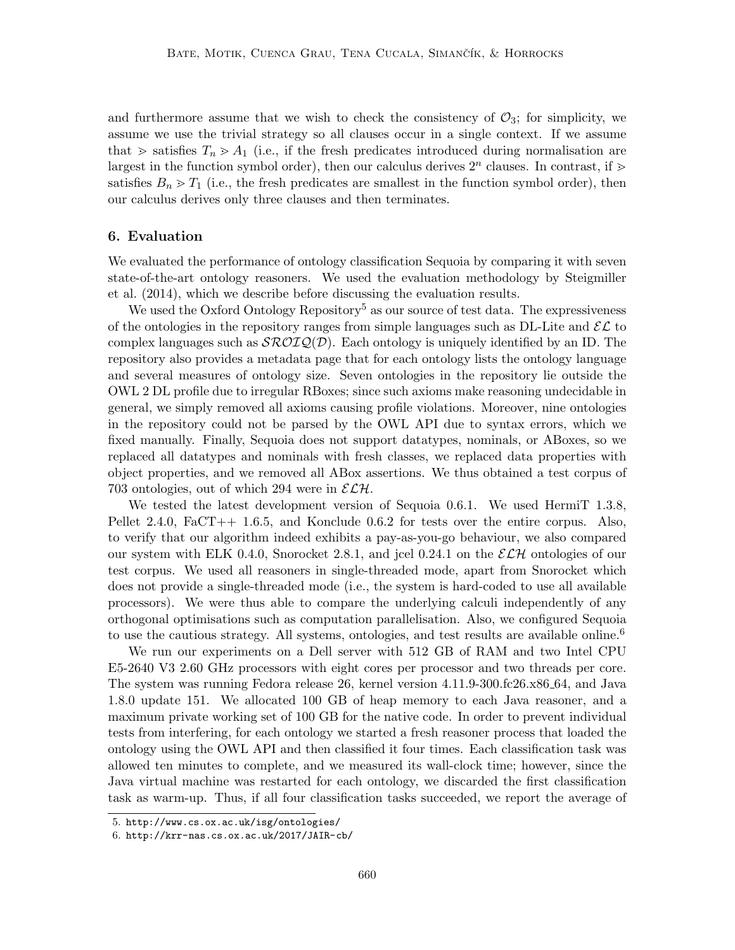and furthermore assume that we wish to check the consistency of  $\mathcal{O}_3$ ; for simplicity, we assume we use the trivial strategy so all clauses occur in a single context. If we assume that  $\geq$  satisfies  $T_n \geq A_1$  (i.e., if the fresh predicates introduced during normalisation are largest in the function symbol order), then our calculus derives  $2^n$  clauses. In contrast, if  $\geq$ satisfies  $B_n > T_1$  (i.e., the fresh predicates are smallest in the function symbol order), then our calculus derives only three clauses and then terminates.

## 6. Evaluation

We evaluated the performance of ontology classification Sequoia by comparing it with seven state-of-the-art ontology reasoners. We used the evaluation methodology by Steigmiller et al. (2014), which we describe before discussing the evaluation results.

We used the Oxford Ontology Repository<sup>5</sup> as our source of test data. The expressiveness of the ontologies in the repository ranges from simple languages such as DL-Lite and  $\mathcal{EL}$  to complex languages such as  $\mathcal{SROLQ}(D)$ . Each ontology is uniquely identified by an ID. The repository also provides a metadata page that for each ontology lists the ontology language and several measures of ontology size. Seven ontologies in the repository lie outside the OWL 2 DL profile due to irregular RBoxes; since such axioms make reasoning undecidable in general, we simply removed all axioms causing profile violations. Moreover, nine ontologies in the repository could not be parsed by the OWL API due to syntax errors, which we fixed manually. Finally, Sequoia does not support datatypes, nominals, or ABoxes, so we replaced all datatypes and nominals with fresh classes, we replaced data properties with object properties, and we removed all ABox assertions. We thus obtained a test corpus of 703 ontologies, out of which 294 were in  $\mathcal{ELH}$ .

We tested the latest development version of Sequoia 0.6.1. We used HermiT 1.3.8, Pellet 2.4.0, FaCT++ 1.6.5, and Konclude 0.6.2 for tests over the entire corpus. Also, to verify that our algorithm indeed exhibits a pay-as-you-go behaviour, we also compared our system with ELK 0.4.0, Snorocket 2.8.1, and jcel 0.24.1 on the  $\mathcal{E}\mathcal{L}\mathcal{H}$  ontologies of our test corpus. We used all reasoners in single-threaded mode, apart from Snorocket which does not provide a single-threaded mode (i.e., the system is hard-coded to use all available processors). We were thus able to compare the underlying calculi independently of any orthogonal optimisations such as computation parallelisation. Also, we configured Sequoia to use the cautious strategy. All systems, ontologies, and test results are available online.<sup>6</sup>

We run our experiments on a Dell server with 512 GB of RAM and two Intel CPU E5-2640 V3 2.60 GHz processors with eight cores per processor and two threads per core. The system was running Fedora release 26, kernel version 4.11.9-300.fc26.x86 64, and Java 1.8.0 update 151. We allocated 100 GB of heap memory to each Java reasoner, and a maximum private working set of 100 GB for the native code. In order to prevent individual tests from interfering, for each ontology we started a fresh reasoner process that loaded the ontology using the OWL API and then classified it four times. Each classification task was allowed ten minutes to complete, and we measured its wall-clock time; however, since the Java virtual machine was restarted for each ontology, we discarded the first classification task as warm-up. Thus, if all four classification tasks succeeded, we report the average of

<sup>5.</sup> http://www.cs.ox.ac.uk/isg/ontologies/

<sup>6.</sup> http://krr-nas.cs.ox.ac.uk/2017/JAIR-cb/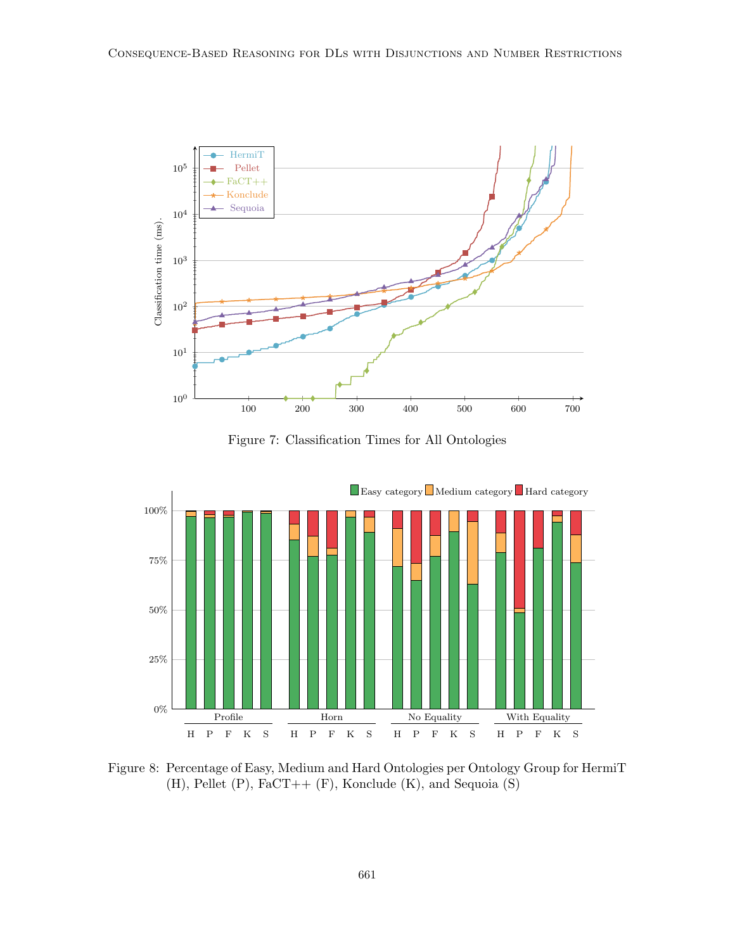

Figure 7: Classification Times for All Ontologies



Figure 8: Percentage of Easy, Medium and Hard Ontologies per Ontology Group for HermiT  $(H)$ , Pellet  $(P)$ , FaCT++  $(F)$ , Konclude  $(K)$ , and Sequoia  $(S)$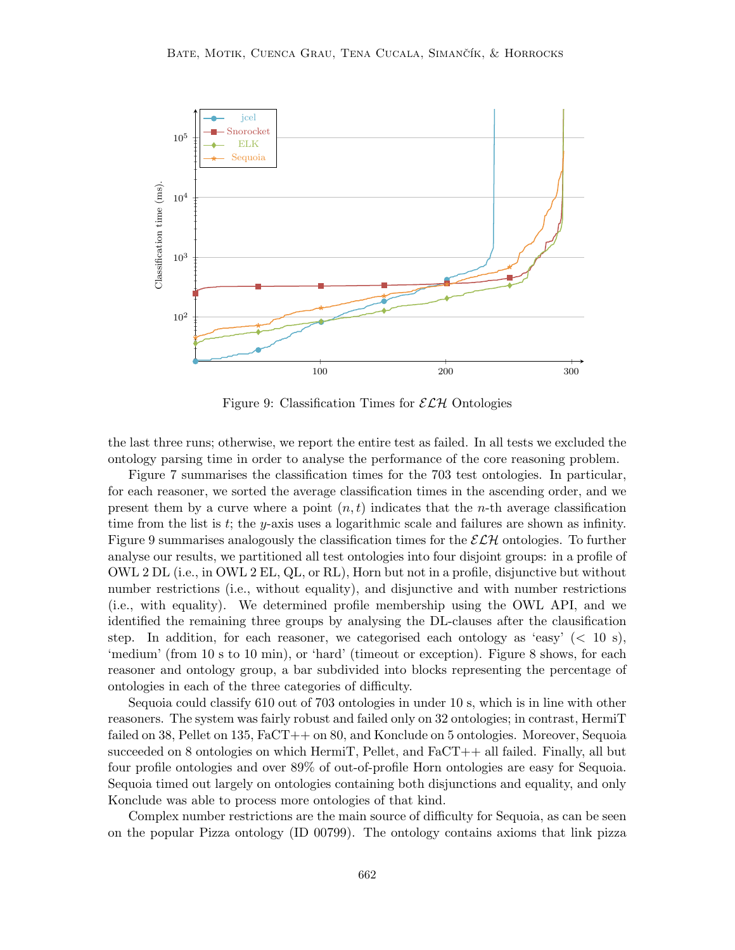

Figure 9: Classification Times for  $\mathcal{ELH}$  Ontologies

the last three runs; otherwise, we report the entire test as failed. In all tests we excluded the ontology parsing time in order to analyse the performance of the core reasoning problem.

Figure 7 summarises the classification times for the 703 test ontologies. In particular, for each reasoner, we sorted the average classification times in the ascending order, and we present them by a curve where a point  $(n, t)$  indicates that the *n*-th average classification time from the list is  $t$ ; the y-axis uses a logarithmic scale and failures are shown as infinity. Figure 9 summarises analogously the classification times for the  $\mathcal{ELH}$  ontologies. To further analyse our results, we partitioned all test ontologies into four disjoint groups: in a profile of OWL 2 DL (i.e., in OWL 2 EL, QL, or RL), Horn but not in a profile, disjunctive but without number restrictions (i.e., without equality), and disjunctive and with number restrictions (i.e., with equality). We determined profile membership using the OWL API, and we identified the remaining three groups by analysing the DL-clauses after the clausification step. In addition, for each reasoner, we categorised each ontology as 'easy'  $(< 10 \text{ s}$ ), 'medium' (from 10 s to 10 min), or 'hard' (timeout or exception). Figure 8 shows, for each reasoner and ontology group, a bar subdivided into blocks representing the percentage of ontologies in each of the three categories of difficulty.

Sequoia could classify 610 out of 703 ontologies in under 10 s, which is in line with other reasoners. The system was fairly robust and failed only on 32 ontologies; in contrast, HermiT failed on 38, Pellet on 135, FaCT++ on 80, and Konclude on 5 ontologies. Moreover, Sequoia succeeded on 8 ontologies on which HermiT, Pellet, and FaCT++ all failed. Finally, all but four profile ontologies and over 89% of out-of-profile Horn ontologies are easy for Sequoia. Sequoia timed out largely on ontologies containing both disjunctions and equality, and only Konclude was able to process more ontologies of that kind.

Complex number restrictions are the main source of difficulty for Sequoia, as can be seen on the popular Pizza ontology (ID 00799). The ontology contains axioms that link pizza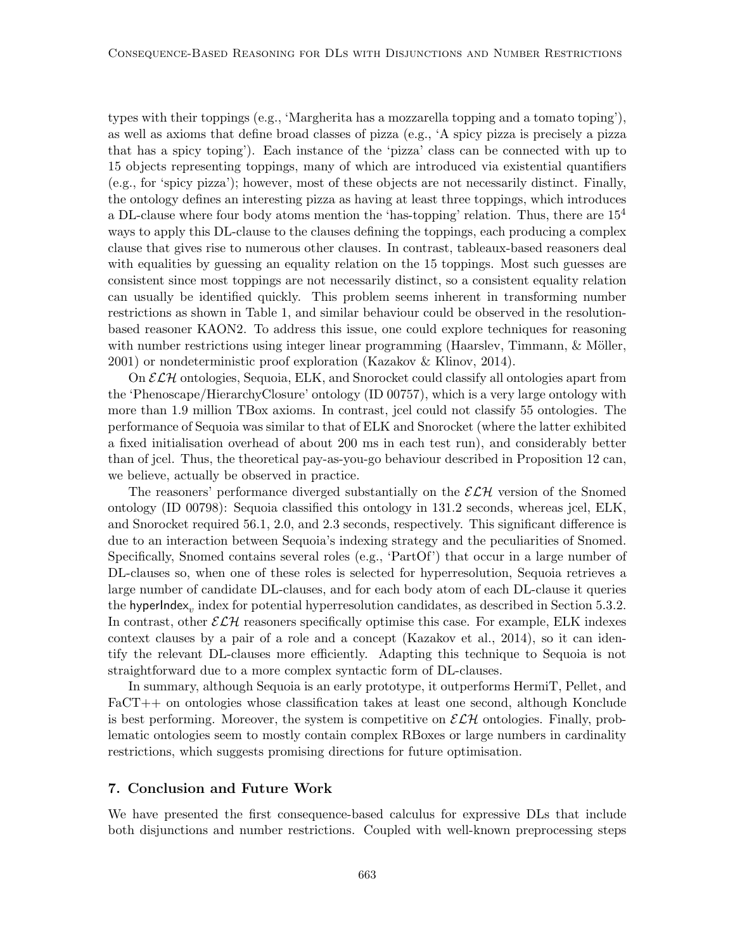types with their toppings (e.g., 'Margherita has a mozzarella topping and a tomato toping'), as well as axioms that define broad classes of pizza (e.g., 'A spicy pizza is precisely a pizza that has a spicy toping'). Each instance of the 'pizza' class can be connected with up to 15 objects representing toppings, many of which are introduced via existential quantifiers (e.g., for 'spicy pizza'); however, most of these objects are not necessarily distinct. Finally, the ontology defines an interesting pizza as having at least three toppings, which introduces a DL-clause where four body atoms mention the 'has-topping' relation. Thus, there are  $15<sup>4</sup>$ ways to apply this DL-clause to the clauses defining the toppings, each producing a complex clause that gives rise to numerous other clauses. In contrast, tableaux-based reasoners deal with equalities by guessing an equality relation on the 15 toppings. Most such guesses are consistent since most toppings are not necessarily distinct, so a consistent equality relation can usually be identified quickly. This problem seems inherent in transforming number restrictions as shown in Table 1, and similar behaviour could be observed in the resolutionbased reasoner KAON2. To address this issue, one could explore techniques for reasoning with number restrictions using integer linear programming (Haarslev, Timmann,  $\&$  Möller, 2001) or nondeterministic proof exploration (Kazakov & Klinov, 2014).

On  $\mathcal{ELH}$  ontologies, Sequoia, ELK, and Snorocket could classify all ontologies apart from the 'Phenoscape/HierarchyClosure' ontology (ID 00757), which is a very large ontology with more than 1.9 million TBox axioms. In contrast, jcel could not classify 55 ontologies. The performance of Sequoia was similar to that of ELK and Snorocket (where the latter exhibited a fixed initialisation overhead of about 200 ms in each test run), and considerably better than of jcel. Thus, the theoretical pay-as-you-go behaviour described in Proposition 12 can, we believe, actually be observed in practice.

The reasoners' performance diverged substantially on the  $\mathcal{E}\mathcal{L}\mathcal{H}$  version of the Snomed ontology (ID 00798): Sequoia classified this ontology in 131.2 seconds, whereas jcel, ELK, and Snorocket required 56.1, 2.0, and 2.3 seconds, respectively. This significant difference is due to an interaction between Sequoia's indexing strategy and the peculiarities of Snomed. Specifically, Snomed contains several roles (e.g., 'PartOf') that occur in a large number of DL-clauses so, when one of these roles is selected for hyperresolution, Sequoia retrieves a large number of candidate DL-clauses, and for each body atom of each DL-clause it queries the <code>hyperIndex</code>  $_{v}$  index for potential hyperresolution candidates, as described in Section 5.3.2. In contrast, other  $\mathcal{ELH}$  reasoners specifically optimise this case. For example, ELK indexes context clauses by a pair of a role and a concept (Kazakov et al., 2014), so it can identify the relevant DL-clauses more efficiently. Adapting this technique to Sequoia is not straightforward due to a more complex syntactic form of DL-clauses.

In summary, although Sequoia is an early prototype, it outperforms HermiT, Pellet, and FaCT++ on ontologies whose classification takes at least one second, although Konclude is best performing. Moreover, the system is competitive on  $\mathcal{E}\mathcal{L}\mathcal{H}$  ontologies. Finally, problematic ontologies seem to mostly contain complex RBoxes or large numbers in cardinality restrictions, which suggests promising directions for future optimisation.

## 7. Conclusion and Future Work

We have presented the first consequence-based calculus for expressive DLs that include both disjunctions and number restrictions. Coupled with well-known preprocessing steps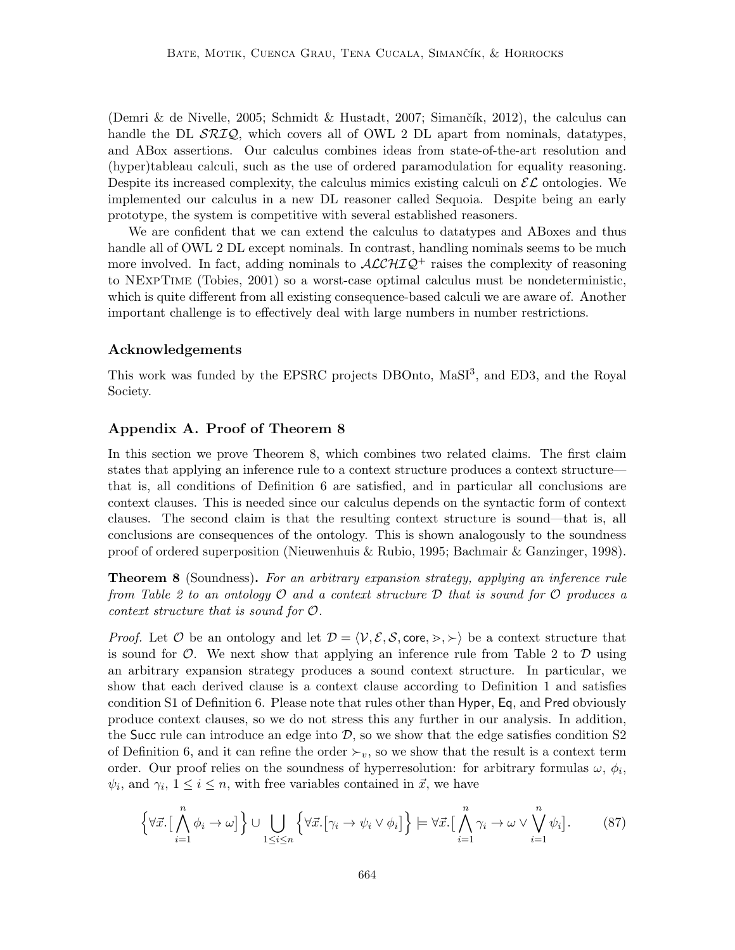(Demri & de Nivelle, 2005; Schmidt & Hustadt, 2007; Simančík, 2012), the calculus can handle the DL  $\mathcal{SRIQ}$ , which covers all of OWL 2 DL apart from nominals, datatypes, and ABox assertions. Our calculus combines ideas from state-of-the-art resolution and (hyper)tableau calculi, such as the use of ordered paramodulation for equality reasoning. Despite its increased complexity, the calculus mimics existing calculi on  $\mathcal{EL}$  ontologies. We implemented our calculus in a new DL reasoner called Sequoia. Despite being an early prototype, the system is competitive with several established reasoners.

We are confident that we can extend the calculus to datatypes and ABoxes and thus handle all of OWL 2 DL except nominals. In contrast, handling nominals seems to be much more involved. In fact, adding nominals to  $\mathcal{ALCHIQ}^+$  raises the complexity of reasoning to NExpTime (Tobies, 2001) so a worst-case optimal calculus must be nondeterministic, which is quite different from all existing consequence-based calculi we are aware of. Another important challenge is to effectively deal with large numbers in number restrictions.

## Acknowledgements

This work was funded by the EPSRC projects DBOnto, MaSI<sup>3</sup>, and ED3, and the Royal Society.

## Appendix A. Proof of Theorem 8

In this section we prove Theorem 8, which combines two related claims. The first claim states that applying an inference rule to a context structure produces a context structure that is, all conditions of Definition 6 are satisfied, and in particular all conclusions are context clauses. This is needed since our calculus depends on the syntactic form of context clauses. The second claim is that the resulting context structure is sound—that is, all conclusions are consequences of the ontology. This is shown analogously to the soundness proof of ordered superposition (Nieuwenhuis & Rubio, 1995; Bachmair & Ganzinger, 1998).

Theorem 8 (Soundness). For an arbitrary expansion strategy, applying an inference rule from Table 2 to an ontology  $\mathcal O$  and a context structure  $\mathcal D$  that is sound for  $\mathcal O$  produces a context structure that is sound for O.

*Proof.* Let O be an ontology and let  $\mathcal{D} = \langle \mathcal{V}, \mathcal{E}, \mathcal{S}, \text{core}, \rangle$ ,  $\rangle$  be a context structure that is sound for  $\mathcal{O}$ . We next show that applying an inference rule from Table 2 to  $\mathcal{D}$  using an arbitrary expansion strategy produces a sound context structure. In particular, we show that each derived clause is a context clause according to Definition 1 and satisfies condition S1 of Definition 6. Please note that rules other than Hyper, Eq, and Pred obviously produce context clauses, so we do not stress this any further in our analysis. In addition, the Succ rule can introduce an edge into  $D$ , so we show that the edge satisfies condition S2 of Definition 6, and it can refine the order  $\succ_v$ , so we show that the result is a context term order. Our proof relies on the soundness of hyperresolution: for arbitrary formulas  $\omega, \phi_i$ ,  $\psi_i$ , and  $\gamma_i$ ,  $1 \leq i \leq n$ , with free variables contained in  $\vec{x}$ , we have

$$
\left\{\forall \vec{x}.\left[\bigwedge_{i=1}^{n} \phi_{i} \to \omega\right]\right\} \cup \bigcup_{1 \leq i \leq n} \left\{\forall \vec{x}.\left[\gamma_{i} \to \psi_{i} \vee \phi_{i}\right]\right\} \models \forall \vec{x}.\left[\bigwedge_{i=1}^{n} \gamma_{i} \to \omega \vee \bigvee_{i=1}^{n} \psi_{i}\right].
$$
 (87)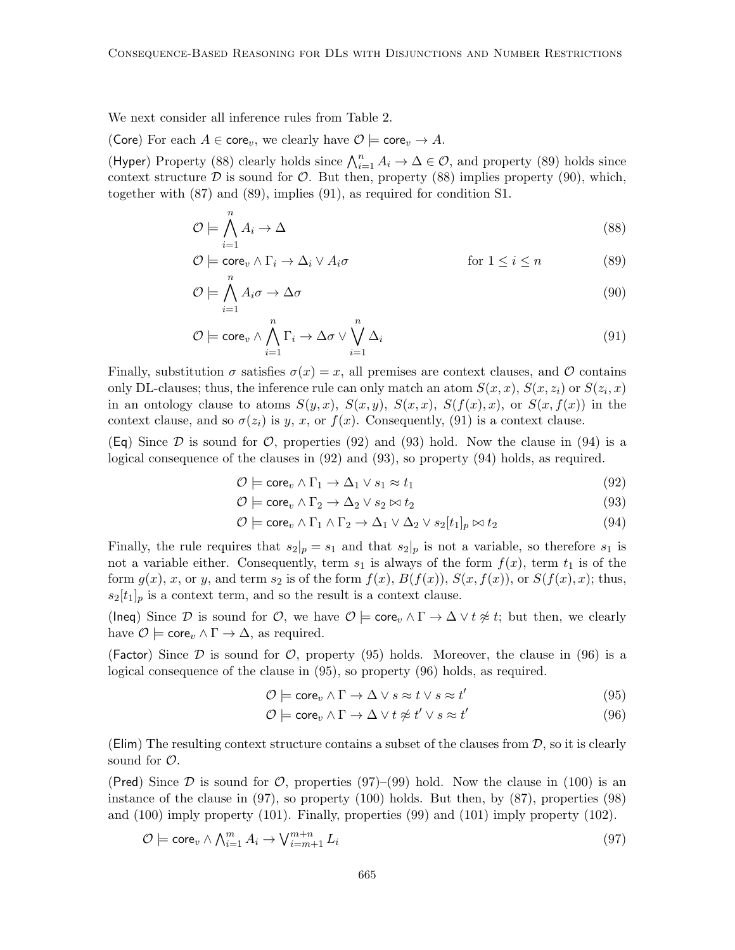We next consider all inference rules from Table 2.

(Core) For each  $A \in \text{core}_v$ , we clearly have  $\mathcal{O} \models \text{core}_v \rightarrow A$ .

(Hyper) Property (88) clearly holds since  $\bigwedge_{i=1}^{n} A_i \to \Delta \in \mathcal{O}$ , and property (89) holds since context structure  $D$  is sound for  $O$ . But then, property (88) implies property (90), which, together with (87) and (89), implies (91), as required for condition S1.

$$
\mathcal{O} \models \bigwedge_{i=1}^{n} A_i \to \Delta \tag{88}
$$

$$
\mathcal{O} \models \mathsf{core}_v \land \Gamma_i \to \Delta_i \lor A_i \sigma \qquad \qquad \text{for } 1 \le i \le n \tag{89}
$$

$$
\mathcal{O} \models \bigwedge_{i=1}^{\cdot} A_i \sigma \to \Delta \sigma \tag{90}
$$

$$
\mathcal{O} \models \text{core}_v \land \bigwedge_{i=1}^n \Gamma_i \to \Delta \sigma \lor \bigvee_{i=1}^n \Delta_i
$$
\n(91)

Finally, substitution  $\sigma$  satisfies  $\sigma(x) = x$ , all premises are context clauses, and  $\mathcal O$  contains only DL-clauses; thus, the inference rule can only match an atom  $S(x, x)$ ,  $S(x, z<sub>i</sub>)$  or  $S(z<sub>i</sub>, x)$ in an ontology clause to atoms  $S(y, x)$ ,  $S(x, y)$ ,  $S(x, x)$ ,  $S(f(x), x)$ , or  $S(x, f(x))$  in the context clause, and so  $\sigma(z_i)$  is y, x, or  $f(x)$ . Consequently, (91) is a context clause.

(Eq) Since  $\mathcal D$  is sound for  $\mathcal O$ , properties (92) and (93) hold. Now the clause in (94) is a logical consequence of the clauses in (92) and (93), so property (94) holds, as required.

$$
\mathcal{O} \models \mathsf{core}_v \land \Gamma_1 \to \Delta_1 \lor s_1 \approx t_1 \tag{92}
$$

$$
\mathcal{O} \models \mathsf{core}_v \land \Gamma_2 \to \Delta_2 \lor s_2 \bowtie t_2 \tag{93}
$$

$$
\mathcal{O} \models \text{core}_v \land \Gamma_1 \land \Gamma_2 \rightarrow \Delta_1 \lor \Delta_2 \lor s_2[t_1]_p \bowtie t_2 \tag{94}
$$

Finally, the rule requires that  $s_2|_p = s_1$  and that  $s_2|_p$  is not a variable, so therefore  $s_1$  is not a variable either. Consequently, term  $s_1$  is always of the form  $f(x)$ , term  $t_1$  is of the form  $g(x)$ , x, or y, and term  $s_2$  is of the form  $f(x)$ ,  $B(f(x))$ ,  $S(x, f(x))$ , or  $S(f(x), x)$ ; thus,  $s_2[t_1]_p$  is a context term, and so the result is a context clause.

(Ineq) Since D is sound for O, we have  $\mathcal{O} \models \text{core}_v \land \Gamma \to \Delta \lor t \not\approx t$ ; but then, we clearly have  $\mathcal{O} \models \mathsf{core}_v \land \Gamma \to \Delta$ , as required.

(Factor) Since  $\mathcal D$  is sound for  $\mathcal O$ , property (95) holds. Moreover, the clause in (96) is a logical consequence of the clause in (95), so property (96) holds, as required.

$$
\mathcal{O} \models \mathsf{core}_v \land \Gamma \to \Delta \lor s \approx t \lor s \approx t' \tag{95}
$$

$$
\mathcal{O} \models \mathsf{core}_v \land \Gamma \to \Delta \lor t \not\approx t' \lor s \approx t'
$$
\n(96)

(Elim) The resulting context structure contains a subset of the clauses from  $D$ , so it is clearly sound for  $\mathcal{O}$ .

(Pred) Since  $\mathcal D$  is sound for  $\mathcal O$ , properties (97)–(99) hold. Now the clause in (100) is an instance of the clause in  $(97)$ , so property  $(100)$  holds. But then, by  $(87)$ , properties  $(98)$ and (100) imply property (101). Finally, properties (99) and (101) imply property (102).

$$
\mathcal{O} \models \text{core}_v \land \bigwedge_{i=1}^m A_i \to \bigvee_{i=m+1}^{m+n} L_i \tag{97}
$$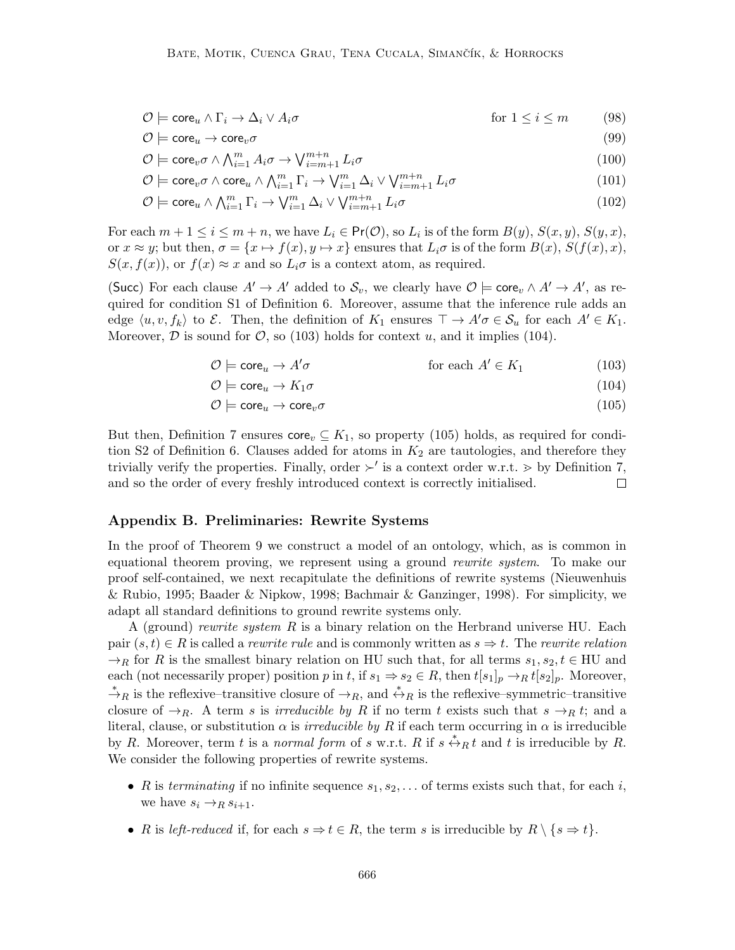$$
\mathcal{O} \models \mathsf{core}_u \land \Gamma_i \to \Delta_i \lor A_i \sigma \qquad \qquad \text{for } 1 \leq i \leq m \qquad (98)
$$

$$
\mathcal{O} \models \mathsf{core}_u \to \mathsf{core}_v \sigma \tag{99}
$$

$$
\mathcal{O} \models \text{core}_v \sigma \land \bigwedge_{i=1}^m A_i \sigma \to \bigvee_{i=m+1}^{m+n} L_i \sigma \tag{100}
$$

$$
\mathcal{O} \models \text{core}_v \sigma \land \text{core}_u \land \bigwedge_{i=1}^m \Gamma_i \rightarrow \bigvee_{i=1}^m \Delta_i \lor \bigvee_{i=m+1}^{m+n} L_i \sigma
$$
\n(101)

$$
\mathcal{O} \models \text{core}_u \land \bigwedge_{i=1}^m \Gamma_i \rightarrow \bigvee_{i=1}^m \Delta_i \lor \bigvee_{i=m+1}^{m+n} L_i \sigma \tag{102}
$$

For each  $m + 1 \leq i \leq m + n$ , we have  $L_i \in \mathsf{Pr}(\mathcal{O})$ , so  $L_i$  is of the form  $B(y)$ ,  $S(x, y)$ ,  $S(y, x)$ , or  $x \approx y$ ; but then,  $\sigma = \{x \mapsto f(x), y \mapsto x\}$  ensures that  $L_i \sigma$  is of the form  $B(x)$ ,  $S(f(x), x)$ ,  $S(x, f(x))$ , or  $f(x) \approx x$  and so  $L_i \sigma$  is a context atom, as required.

(Succ) For each clause  $A' \to A'$  added to  $S_v$ , we clearly have  $\mathcal{O} \models \text{core}_v \wedge A' \to A'$ , as required for condition S1 of Definition 6. Moreover, assume that the inference rule adds an edge  $\langle u, v, f_k \rangle$  to E. Then, the definition of  $K_1$  ensures  $\top \to A' \sigma \in \mathcal{S}_u$  for each  $A' \in K_1$ . Moreover,  $D$  is sound for  $\mathcal{O}$ , so (103) holds for context u, and it implies (104).

$$
\mathcal{O} \models \mathsf{core}_u \to A' \sigma \qquad \qquad \text{for each } A' \in K_1 \tag{103}
$$

$$
\mathcal{O} \models \mathsf{core}_u \to K_1 \sigma \tag{104}
$$

$$
\mathcal{O} \models \text{core}_u \to \text{core}_v \sigma \tag{105}
$$

But then, Definition 7 ensures  $\text{core}_v \subseteq K_1$ , so property (105) holds, as required for condition S2 of Definition 6. Clauses added for atoms in  $K_2$  are tautologies, and therefore they trivially verify the properties. Finally, order  $\succ'$  is a context order w.r.t.  $\geq$  by Definition 7, and so the order of every freshly introduced context is correctly initialised.  $\Box$ 

## Appendix B. Preliminaries: Rewrite Systems

In the proof of Theorem 9 we construct a model of an ontology, which, as is common in equational theorem proving, we represent using a ground rewrite system. To make our proof self-contained, we next recapitulate the definitions of rewrite systems (Nieuwenhuis & Rubio, 1995; Baader & Nipkow, 1998; Bachmair & Ganzinger, 1998). For simplicity, we adapt all standard definitions to ground rewrite systems only.

A (ground) rewrite system R is a binary relation on the Herbrand universe HU. Each pair  $(s, t) \in R$  is called a *rewrite rule* and is commonly written as  $s \Rightarrow t$ . The *rewrite relation*  $\rightarrow_R$  for R is the smallest binary relation on HU such that, for all terms  $s_1, s_2, t \in HU$  and each (not necessarily proper) position p in t, if  $s_1 \Rightarrow s_2 \in R$ , then  $t[s_1]_p \to_R t[s_2]_p$ . Moreover,  $\stackrel{*}{\to}_R$  is the reflexive–transitive closure of  $\to_R$ , and  $\stackrel{*}{\leftrightarrow}_R$  is the reflexive–symmetric–transitive closure of  $\rightarrow_R$ . A term s is *irreducible by R* if no term t exists such that  $s \rightarrow_R t$ ; and a literal, clause, or substitution  $\alpha$  is *irreducible by R* if each term occurring in  $\alpha$  is irreducible by R. Moreover, term t is a normal form of s w.r.t. R if  $s \stackrel{*}{\leftrightarrow}_R t$  and t is irreducible by R. We consider the following properties of rewrite systems.

- R is terminating if no infinite sequence  $s_1, s_2, \ldots$  of terms exists such that, for each i, we have  $s_i \rightarrow_R s_{i+1}$ .
- R is left-reduced if, for each  $s \Rightarrow t \in R$ , the term s is irreducible by  $R \setminus \{s \Rightarrow t\}.$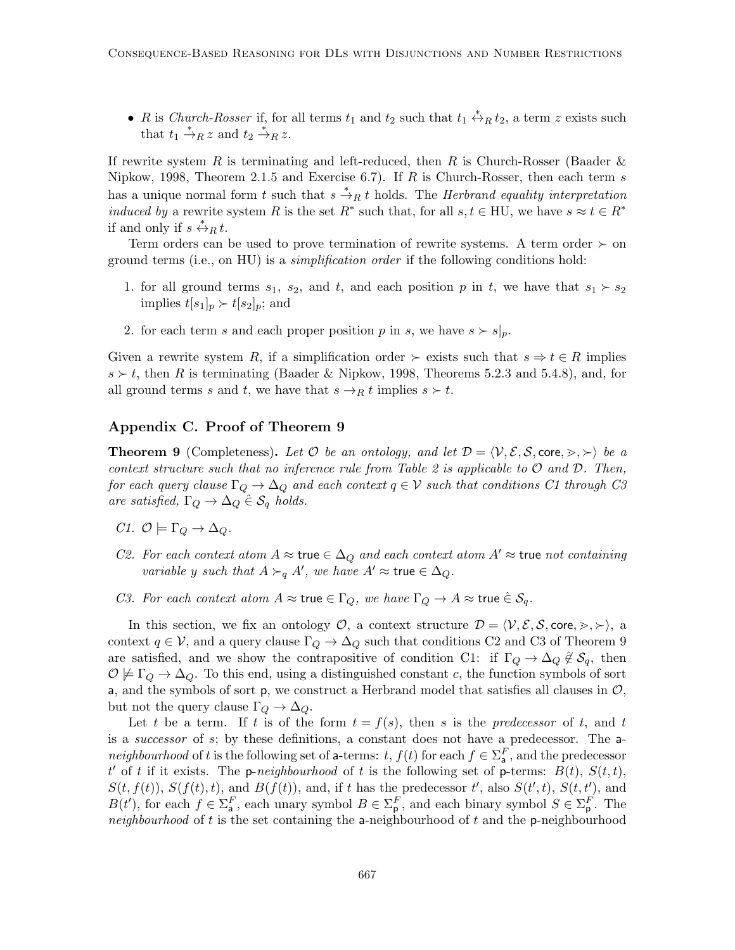• R is Church-Rosser if, for all terms  $t_1$  and  $t_2$  such that  $t_1 \stackrel{*}{\leftrightarrow}_R t_2$ , a term z exists such that  $t_1 \stackrel{*}{\rightarrow}_R z$  and  $t_2 \stackrel{*}{\rightarrow}_R z$ .

If rewrite system R is terminating and left-reduced, then R is Church-Rosser (Baader  $\&$ Nipkow, 1998, Theorem 2.1.5 and Exercise 6.7). If  $R$  is Church-Rosser, then each term  $s$ has a unique normal form t such that  $s \stackrel{*}{\rightarrow}_R t$  holds. The *Herbrand equality interpretation* induced by a rewrite system R is the set  $R^*$  such that, for all  $s, t \in H$ U, we have  $s \approx t \in R^*$ if and only if  $s \stackrel{*}{\leftrightarrow}_R t$ .

Term orders can be used to prove termination of rewrite systems. A term order  $\succ$  on ground terms (i.e., on HU) is a *simplification order* if the following conditions hold:

- 1. for all ground terms  $s_1$ ,  $s_2$ , and  $t$ , and each position p in t, we have that  $s_1 \succ s_2$ implies  $t[s_1]_p \succ t[s_2]_p$ ; and
- 2. for each term s and each proper position p in s, we have  $s > s|_p$ .

Given a rewrite system R, if a simplification order  $\succ$  exists such that  $s \Rightarrow t \in R$  implies  $s \succ t$ , then R is terminating (Baader & Nipkow, 1998, Theorems 5.2.3 and 5.4.8), and, for all ground terms s and t, we have that  $s \rightarrow_R t$  implies  $s \succ t$ .

### Appendix C. Proof of Theorem 9

**Theorem 9** (Completeness). Let  $\mathcal{O}$  be an ontology, and let  $\mathcal{D} = \langle \mathcal{V}, \mathcal{E}, \mathcal{S}, \text{core}, \succ, \succ \rangle$  be a context structure such that no inference rule from Table 2 is applicable to  $\mathcal O$  and  $\mathcal D$ . Then, for each query clause  $\Gamma_Q \to \Delta_Q$  and each context  $q \in \mathcal{V}$  such that conditions C1 through C3 are satisfied,  $\Gamma_Q \rightarrow \Delta_Q \hat{\in} \mathcal{S}_q$  holds.

- C1.  $\mathcal{O} \models \Gamma_{\mathcal{Q}} \rightarrow \Delta_{\mathcal{Q}}$ .
- C2. For each context atom  $A \approx \text{true} \in \Delta_Q$  and each context atom  $A' \approx \text{true}$  not containing variable y such that  $A \succ_q A'$ , we have  $A' \approx \text{true} \in \Delta_Q$ .
- C3. For each context atom  $A \approx \text{true} \in \Gamma_Q$ , we have  $\Gamma_Q \to A \approx \text{true} \in \mathcal{S}_q$ .

In this section, we fix an ontology  $\mathcal{O}$ , a context structure  $\mathcal{D} = \langle \mathcal{V}, \mathcal{E}, \mathcal{S}, \text{core}, \rangle, \rangle$ , a context  $q \in \mathcal{V}$ , and a query clause  $\Gamma_Q \to \Delta_Q$  such that conditions C2 and C3 of Theorem 9 are satisfied, and we show the contrapositive of condition C1: if  $\Gamma_Q \to \Delta_Q \notin \mathcal{S}_q$ , then  $\mathcal{O} \not\models \Gamma_Q \rightarrow \Delta_Q$ . To this end, using a distinguished constant c, the function symbols of sort a, and the symbols of sort  $p$ , we construct a Herbrand model that satisfies all clauses in  $\mathcal{O}$ , but not the query clause  $\Gamma_Q \to \Delta_Q$ .

Let t be a term. If t is of the form  $t = f(s)$ , then s is the predecessor of t, and t is a successor of s; by these definitions, a constant does not have a predecessor. The aneighbourhood of t is the following set of a-terms:  $t, f(t)$  for each  $f \in \Sigma_{\mathsf{a}}^F$ , and the predecessor t' of t if it exists. The p-neighbourhood of t is the following set of p-terms:  $B(t)$ ,  $S(t,t)$ ,  $S(t, f(t)), S(f(t), t)$ , and  $B(f(t)),$  and, if t has the predecessor t', also  $S(t', t), S(t, t')$ , and  $B(t')$ , for each  $f \in \Sigma_{\mathsf{a}}^F$ , each unary symbol  $B \in \Sigma_{\mathsf{p}}^F$ , and each binary symbol  $S \in \Sigma_{\mathsf{p}}^F$ . The neighbourhood of t is the set containing the a-neighbourhood of t and the p-neighbourhood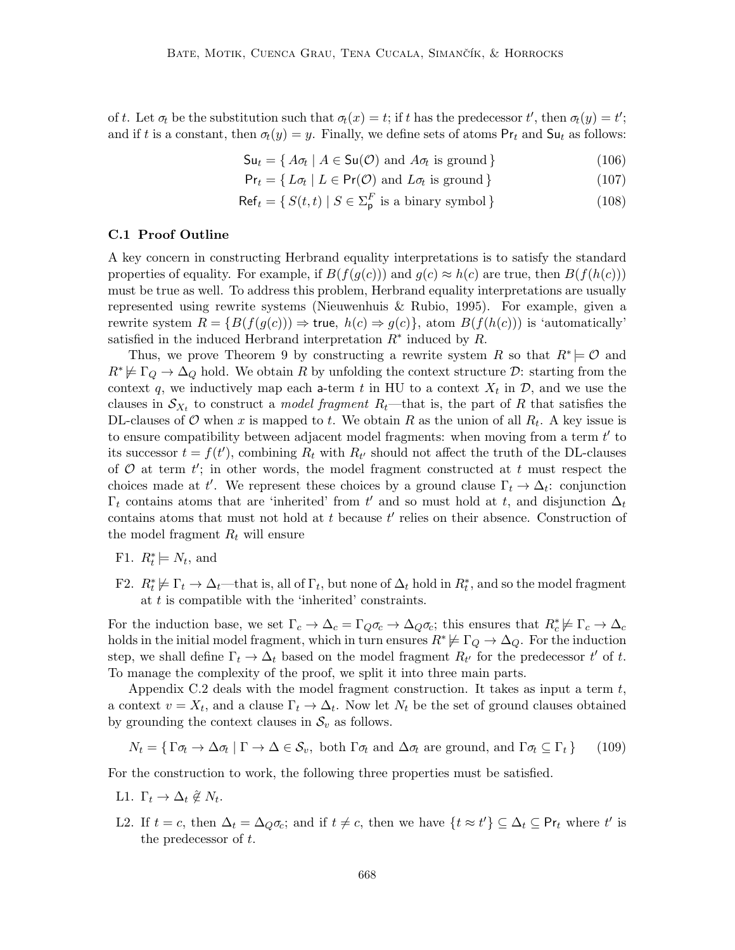of t. Let  $\sigma_t$  be the substitution such that  $\sigma_t(x) = t$ ; if t has the predecessor t', then  $\sigma_t(y) = t'$ ; and if t is a constant, then  $\sigma_t(y) = y$ . Finally, we define sets of atoms  $Pr_t$  and  $Su_t$  as follows:

$$
\mathsf{S}\mathsf{u}_t = \{ A\sigma_t \mid A \in \mathsf{S}\mathsf{u}(\mathcal{O}) \text{ and } A\sigma_t \text{ is ground} \}
$$
\n
$$
(106)
$$

$$
\mathsf{Pr}_t = \{ L\sigma_t \mid L \in \mathsf{Pr}(\mathcal{O}) \text{ and } L\sigma_t \text{ is ground} \}
$$
\n
$$
(107)
$$

$$
\mathsf{Ref}_t = \{ S(t, t) \mid S \in \Sigma_{\mathsf{p}}^F \text{ is a binary symbol} \}
$$
\n
$$
(108)
$$

#### C.1 Proof Outline

A key concern in constructing Herbrand equality interpretations is to satisfy the standard properties of equality. For example, if  $B(f(q(c)))$  and  $q(c) \approx h(c)$  are true, then  $B(f(h(c)))$ must be true as well. To address this problem, Herbrand equality interpretations are usually represented using rewrite systems (Nieuwenhuis & Rubio, 1995). For example, given a rewrite system  $R = \{B(f(g(c))) \Rightarrow \text{true}, h(c) \Rightarrow g(c)\}\)$ , atom  $B(f(h(c)))$  is 'automatically' satisfied in the induced Herbrand interpretation  $R^*$  induced by  $R$ .

Thus, we prove Theorem 9 by constructing a rewrite system R so that  $R^* \models \mathcal{O}$  and  $R^* \not\models \Gamma_Q \rightarrow \Delta_Q$  hold. We obtain R by unfolding the context structure D: starting from the context q, we inductively map each a-term t in HU to a context  $X_t$  in  $\mathcal{D}$ , and we use the clauses in  $\mathcal{S}_{X_t}$  to construct a *model fragment*  $R_t$ —that is, the part of R that satisfies the DL-clauses of  $\mathcal O$  when x is mapped to t. We obtain R as the union of all  $R_t$ . A key issue is to ensure compatibility between adjacent model fragments: when moving from a term  $t'$  to its successor  $t = f(t')$ , combining  $R_t$  with  $R_{t'}$  should not affect the truth of the DL-clauses of  $\mathcal O$  at term  $t'$ ; in other words, the model fragment constructed at t must respect the choices made at t'. We represent these choices by a ground clause  $\Gamma_t \to \Delta_t$ : conjunction  $\Gamma_t$  contains atoms that are 'inherited' from  $t'$  and so must hold at t, and disjunction  $\Delta_t$ contains atoms that must not hold at  $t$  because  $t'$  relies on their absence. Construction of the model fragment  $R_t$  will ensure

- F1.  $R_t^* \models N_t$ , and
- F2.  $R_t^* \not\models \Gamma_t \to \Delta_t$ —that is, all of  $\Gamma_t$ , but none of  $\Delta_t$  hold in  $R_t^*$ , and so the model fragment at  $t$  is compatible with the 'inherited' constraints.

For the induction base, we set  $\Gamma_c \to \Delta_c = \Gamma_Q \sigma_c \to \Delta_Q \sigma_c$ ; this ensures that  $R_c^* \not\models \Gamma_c \to \Delta_c$ holds in the initial model fragment, which in turn ensures  $R^* \not\models \Gamma_Q \rightarrow \Delta_Q$ . For the induction step, we shall define  $\Gamma_t \to \Delta_t$  based on the model fragment  $R_{t'}$  for the predecessor  $t'$  of t. To manage the complexity of the proof, we split it into three main parts.

Appendix C.2 deals with the model fragment construction. It takes as input a term  $t$ , a context  $v = X_t$ , and a clause  $\Gamma_t \to \Delta_t$ . Now let  $N_t$  be the set of ground clauses obtained by grounding the context clauses in  $\mathcal{S}_v$  as follows.

$$
N_t = \{ \Gamma \sigma_t \to \Delta \sigma_t \mid \Gamma \to \Delta \in \mathcal{S}_v, \text{ both } \Gamma \sigma_t \text{ and } \Delta \sigma_t \text{ are ground, and } \Gamma \sigma_t \subseteq \Gamma_t \} \tag{109}
$$

For the construction to work, the following three properties must be satisfied.

- L1.  $\Gamma_t \to \Delta_t \hat{\not} \in N_t$ .
- L2. If  $t = c$ , then  $\Delta_t = \Delta_Q \sigma_c$ ; and if  $t \neq c$ , then we have  $\{t \approx t'\} \subseteq \Delta_t \subseteq \mathsf{Pr}_t$  where  $t'$  is the predecessor of t.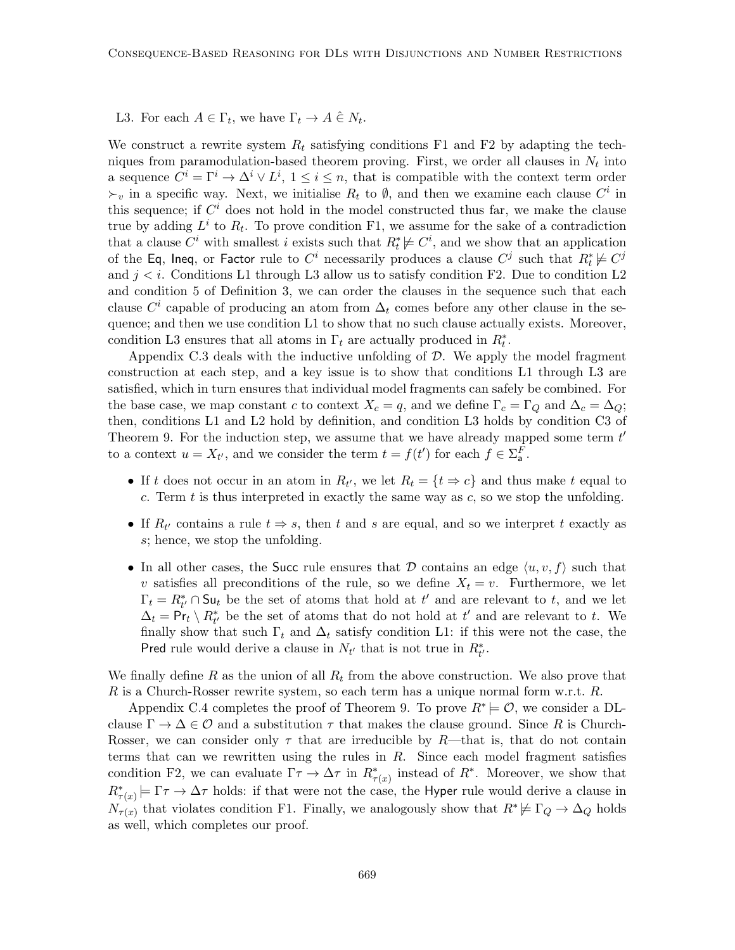## L3. For each  $A \in \Gamma_t$ , we have  $\Gamma_t \to A \hat{\in} N_t$ .

We construct a rewrite system  $R_t$  satisfying conditions F1 and F2 by adapting the techniques from paramodulation-based theorem proving. First, we order all clauses in  $N_t$  into a sequence  $C^i = \Gamma^i \to \Delta^i \vee L^i$ ,  $1 \leq i \leq n$ , that is compatible with the context term order  $\succ_v$  in a specific way. Next, we initialise  $R_t$  to  $\emptyset$ , and then we examine each clause  $C^i$  in this sequence; if  $C<sup>i</sup>$  does not hold in the model constructed thus far, we make the clause true by adding  $L^i$  to  $R_t$ . To prove condition F1, we assume for the sake of a contradiction that a clause  $C^i$  with smallest i exists such that  $R_t^* \not\models C^i$ , and we show that an application of the Eq, Ineq, or Factor rule to  $C^i$  necessarily produces a clause  $C^j$  such that  $R_t^*\not\models C^j$ and  $j < i$ . Conditions L1 through L3 allow us to satisfy condition F2. Due to condition L2 and condition 5 of Definition 3, we can order the clauses in the sequence such that each clause  $C^i$  capable of producing an atom from  $\Delta_t$  comes before any other clause in the sequence; and then we use condition L1 to show that no such clause actually exists. Moreover, condition L3 ensures that all atoms in  $\Gamma_t$  are actually produced in  $R_t^*$ .

Appendix C.3 deals with the inductive unfolding of  $D$ . We apply the model fragment construction at each step, and a key issue is to show that conditions L1 through L3 are satisfied, which in turn ensures that individual model fragments can safely be combined. For the base case, we map constant c to context  $X_c = q$ , and we define  $\Gamma_c = \Gamma_Q$  and  $\Delta_c = \Delta_Q$ ; then, conditions L1 and L2 hold by definition, and condition L3 holds by condition C3 of Theorem 9. For the induction step, we assume that we have already mapped some term  $t'$ to a context  $u = X_{t'}$ , and we consider the term  $t = f(t')$  for each  $f \in \Sigma_{\mathsf{a}}^F$ .

- If t does not occur in an atom in  $R_{t'}$ , we let  $R_t = \{t \Rightarrow c\}$  and thus make t equal to c. Term  $t$  is thus interpreted in exactly the same way as  $c$ , so we stop the unfolding.
- If  $R_{t'}$  contains a rule  $t \Rightarrow s$ , then t and s are equal, and so we interpret t exactly as s; hence, we stop the unfolding.
- In all other cases, the Succ rule ensures that D contains an edge  $\langle u, v, f \rangle$  such that v satisfies all preconditions of the rule, so we define  $X_t = v$ . Furthermore, we let  $\Gamma_t = R_{t'}^* \cap \mathsf{S}\mathsf{u}_t$  be the set of atoms that hold at  $t'$  and are relevant to t, and we let  $\Delta_t = \Pr_t \setminus R^*_{t'}$  be the set of atoms that do not hold at  $t'$  and are relevant to t. We finally show that such  $\Gamma_t$  and  $\Delta_t$  satisfy condition L1: if this were not the case, the Pred rule would derive a clause in  $N_{t'}$  that is not true in  $R_{t'}^*$ .

We finally define R as the union of all  $R_t$  from the above construction. We also prove that R is a Church-Rosser rewrite system, so each term has a unique normal form w.r.t.  $R$ .

Appendix C.4 completes the proof of Theorem 9. To prove  $R^* \models \mathcal{O}$ , we consider a DLclause  $\Gamma \to \Delta \in \mathcal{O}$  and a substitution  $\tau$  that makes the clause ground. Since R is Church-Rosser, we can consider only  $\tau$  that are irreducible by R—that is, that do not contain terms that can we rewritten using the rules in  $R$ . Since each model fragment satisfies condition F2, we can evaluate  $\Gamma \tau \to \Delta \tau$  in  $R^*_{\tau(x)}$  instead of  $R^*$ . Moreover, we show that  $R^*_{\tau(x)} \models \Gamma \tau \to \Delta \tau$  holds: if that were not the case, the Hyper rule would derive a clause in  $N_{\tau(x)}$  that violates condition F1. Finally, we analogously show that  $R^* \not\models \Gamma_Q \to \Delta_Q$  holds as well, which completes our proof.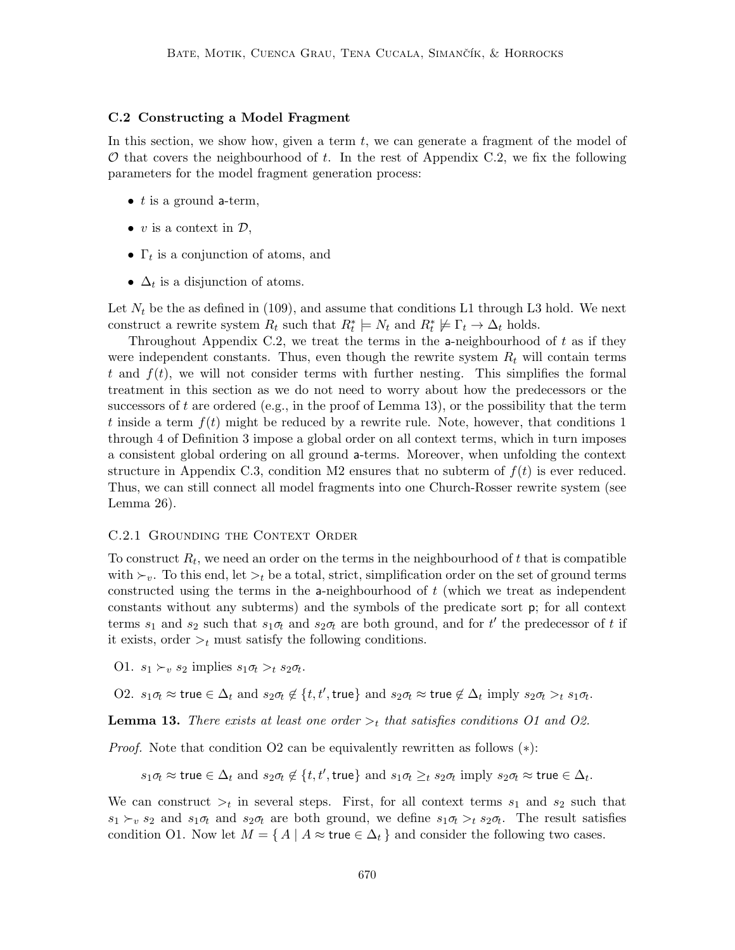#### C.2 Constructing a Model Fragment

In this section, we show how, given a term  $t$ , we can generate a fragment of the model of  $\mathcal O$  that covers the neighbourhood of t. In the rest of Appendix C.2, we fix the following parameters for the model fragment generation process:

- $t$  is a ground a-term,
- v is a context in  $\mathcal{D},$
- $\Gamma_t$  is a conjunction of atoms, and
- $\Delta_t$  is a disjunction of atoms.

Let  $N_t$  be the as defined in (109), and assume that conditions L1 through L3 hold. We next construct a rewrite system  $R_t$  such that  $R_t^* \models N_t$  and  $R_t^* \not\models \Gamma_t \to \Delta_t$  holds.

Throughout Appendix C.2, we treat the terms in the a-neighbourhood of  $t$  as if they were independent constants. Thus, even though the rewrite system  $R_t$  will contain terms t and  $f(t)$ , we will not consider terms with further nesting. This simplifies the formal treatment in this section as we do not need to worry about how the predecessors or the successors of t are ordered (e.g., in the proof of Lemma 13), or the possibility that the term t inside a term  $f(t)$  might be reduced by a rewrite rule. Note, however, that conditions 1 through 4 of Definition 3 impose a global order on all context terms, which in turn imposes a consistent global ordering on all ground a-terms. Moreover, when unfolding the context structure in Appendix C.3, condition M2 ensures that no subterm of  $f(t)$  is ever reduced. Thus, we can still connect all model fragments into one Church-Rosser rewrite system (see Lemma 26).

#### C.2.1 Grounding the Context Order

To construct  $R_t$ , we need an order on the terms in the neighbourhood of t that is compatible with  $\succ_v$ . To this end, let  $\succ_t$  be a total, strict, simplification order on the set of ground terms constructed using the terms in the **a**-neighbourhood of  $t$  (which we treat as independent constants without any subterms) and the symbols of the predicate sort p; for all context terms  $s_1$  and  $s_2$  such that  $s_1\sigma_t$  and  $s_2\sigma_t$  are both ground, and for t' the predecessor of t if it exists, order  $\geq_t$  must satisfy the following conditions.

O1.  $s_1 \succ_v s_2$  implies  $s_1 \sigma_t >_t s_2 \sigma_t$ .

O2.  $s_1\sigma_t \approx \text{true} \in \Delta_t$  and  $s_2\sigma_t \notin \{t, t', \text{true}\}$  and  $s_2\sigma_t \approx \text{true} \notin \Delta_t$  imply  $s_2\sigma_t >_t s_1\sigma_t$ .

**Lemma 13.** There exists at least one order  $>_t$  that satisfies conditions O1 and O2.

*Proof.* Note that condition O2 can be equivalently rewritten as follows  $(*):$ 

 $s_1\sigma_t \approx \textsf{true} \in \Delta_t$  and  $s_2\sigma_t \not\in \{t, t', \textsf{true}\}$  and  $s_1\sigma_t \geq_t s_2\sigma_t$  imply  $s_2\sigma_t \approx \textsf{true} \in \Delta_t$ .

We can construct  $\geq_t$  in several steps. First, for all context terms  $s_1$  and  $s_2$  such that  $s_1 \succ_v s_2$  and  $s_1\sigma_t$  and  $s_2\sigma_t$  are both ground, we define  $s_1\sigma_t >_t s_2\sigma_t$ . The result satisfies condition O1. Now let  $M = \{ A \mid A \approx \text{true} \in \Delta_t \}$  and consider the following two cases.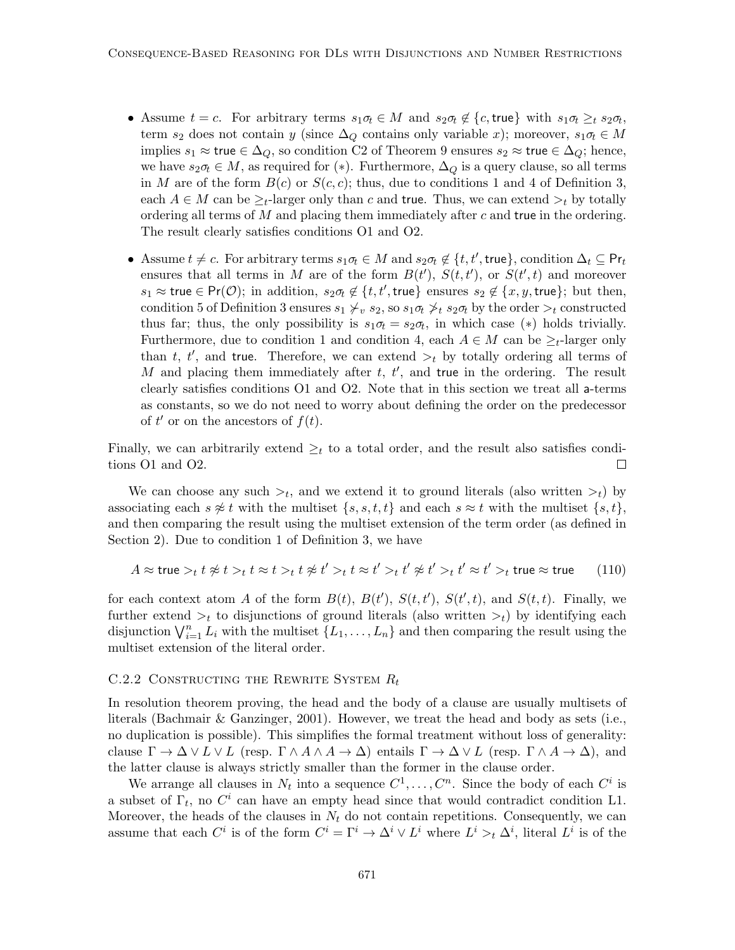- Assume  $t = c$ . For arbitrary terms  $s_1 \sigma_t \in M$  and  $s_2 \sigma_t \notin \{c, \text{true}\}\$  with  $s_1 \sigma_t \geq_t s_2 \sigma_t$ , term  $s_2$  does not contain y (since  $\Delta_Q$  contains only variable x); moreover,  $s_1\sigma_t \in M$ implies  $s_1 \approx \text{true} \in \Delta_Q$ , so condition C2 of Theorem 9 ensures  $s_2 \approx \text{true} \in \Delta_Q$ ; hence, we have  $s_2\sigma_t \in M$ , as required for (\*). Furthermore,  $\Delta_Q$  is a query clause, so all terms in M are of the form  $B(c)$  or  $S(c, c)$ ; thus, due to conditions 1 and 4 of Definition 3, each  $A \in M$  can be  $\geq_t$ -larger only than c and true. Thus, we can extend  $\gt_t$  by totally ordering all terms of  $M$  and placing them immediately after  $c$  and true in the ordering. The result clearly satisfies conditions O1 and O2.
- Assume  $t \neq c$ . For arbitrary terms  $s_1 \sigma_t \in M$  and  $s_2 \sigma_t \notin \{t, t', \text{true}\}$ , condition  $\Delta_t \subseteq \text{Pr}_t$ ensures that all terms in M are of the form  $B(t')$ ,  $S(t,t')$ , or  $S(t',t)$  and moreover  $s_1 \approx \textsf{true} \in \textsf{Pr}(\mathcal{O})$ ; in addition,  $s_2 \sigma_t \notin \{t, t', \textsf{true}\}$  ensures  $s_2 \notin \{x, y, \textsf{true}\}$ ; but then, condition 5 of Definition 3 ensures  $s_1 \not\downarrow_v s_2$ , so  $s_1 \sigma_t \not\downarrow_t s_2 \sigma_t$  by the order  $\gt_t$  constructed thus far; thus, the only possibility is  $s_1\sigma_t = s_2\sigma_t$ , in which case (\*) holds trivially. Furthermore, due to condition 1 and condition 4, each  $A \in M$  can be  $\geq_t$ -larger only than t, t', and true. Therefore, we can extend  $\gt_t$  by totally ordering all terms of M and placing them immediately after  $t, t'$ , and true in the ordering. The result clearly satisfies conditions O1 and O2. Note that in this section we treat all a-terms as constants, so we do not need to worry about defining the order on the predecessor of  $t'$  or on the ancestors of  $f(t)$ .

Finally, we can arbitrarily extend  $\geq_t$  to a total order, and the result also satisfies conditions O1 and O2.  $\Box$ 

We can choose any such  $\geq_t$ , and we extend it to ground literals (also written  $\geq_t$ ) by associating each  $s \not\approx t$  with the multiset  $\{s, s, t, t\}$  and each  $s \approx t$  with the multiset  $\{s, t\}$ , and then comparing the result using the multiset extension of the term order (as defined in Section 2). Due to condition 1 of Definition 3, we have

$$
A \approx \text{true} >_t t \not\approx t >_t t \approx t >_t t \not\approx t' >_t t \approx t' >_t t' \not\approx t' >_t t' \approx t' >_t \text{true} \approx \text{true} \tag{110}
$$

for each context atom A of the form  $B(t)$ ,  $B(t')$ ,  $S(t,t')$ ,  $S(t',t)$ , and  $S(t,t)$ . Finally, we further extend  $\geq_t$  to disjunctions of ground literals (also written  $\geq_t$ ) by identifying each disjunction  $\bigvee_{i=1}^{n} L_i$  with the multiset  $\{L_1, \ldots, L_n\}$  and then comparing the result using the multiset extension of the literal order.

#### C.2.2 CONSTRUCTING THE REWRITE SYSTEM  $R_t$

In resolution theorem proving, the head and the body of a clause are usually multisets of literals (Bachmair & Ganzinger, 2001). However, we treat the head and body as sets (i.e., no duplication is possible). This simplifies the formal treatment without loss of generality: clause  $\Gamma \to \Delta \vee L \vee L$  (resp.  $\Gamma \wedge A \wedge A \to \Delta$ ) entails  $\Gamma \to \Delta \vee L$  (resp.  $\Gamma \wedge A \to \Delta$ ), and the latter clause is always strictly smaller than the former in the clause order.

We arrange all clauses in  $N_t$  into a sequence  $C^1, \ldots, C^n$ . Since the body of each  $C^i$  is a subset of  $\Gamma_t$ , no  $C^i$  can have an empty head since that would contradict condition L1. Moreover, the heads of the clauses in  $N_t$  do not contain repetitions. Consequently, we can assume that each  $C^i$  is of the form  $C^i = \Gamma^i \to \Delta^i \vee L^i$  where  $L^i >_t \Delta^i$ , literal  $L^i$  is of the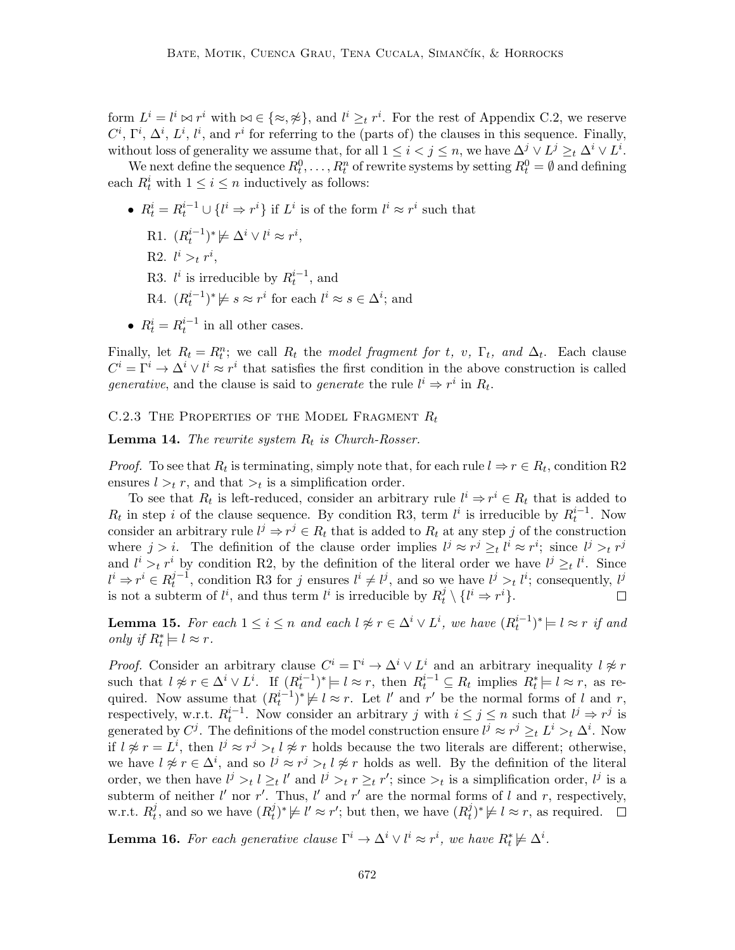form  $L^i = l^i \bowtie r^i$  with  $\bowtie \in {\{\approx, \hat{\#}\}}$ , and  $l^i \geq_t r^i$ . For the rest of Appendix C.2, we reserve  $C^i$ ,  $\Gamma^i$ ,  $\Delta^i$ ,  $L^i$ ,  $l^i$ , and  $r^i$  for referring to the (parts of) the clauses in this sequence. Finally, without loss of generality we assume that, for all  $1 \leq i < j \leq n$ , we have  $\Delta^j \vee L^j \geq_t \Delta^i \vee L^i$ .

We next define the sequence  $R_t^0, \ldots, R_t^n$  of rewrite systems by setting  $R_t^0 = \emptyset$  and defining each  $R_t^i$  with  $1 \leq i \leq n$  inductively as follows:

- $R_t^i = R_t^{i-1} \cup \{l^i \Rightarrow r^i\}$  if  $L^i$  is of the form  $l^i \approx r^i$  such that
	- R1.  $(R_t^{i-1})^* \not\models \Delta^i \vee l^i \approx r^i$ ,
	- R2.  $l^i >_t r^i$ ,
	- R3.  $l^i$  is irreducible by  $R_t^{i-1}$ , and
	- R4.  $(R_t^{i-1})^* \not\models s \approx r^i$  for each  $l^i \approx s \in \Delta^i$ ; and
- $R_t^i = R_t^{i-1}$  in all other cases.

Finally, let  $R_t = R_t^n$ ; we call  $R_t$  the model fragment for t, v,  $\Gamma_t$ , and  $\Delta_t$ . Each clause  $C^i = \Gamma^i \to \Delta^i \vee l^i \approx r^i$  that satisfies the first condition in the above construction is called generative, and the clause is said to generate the rule  $l^i \Rightarrow r^i$  in  $R_t$ .

C.2.3 THE PROPERTIES OF THE MODEL FRAGMENT  $R_t$ 

**Lemma 14.** The rewrite system  $R_t$  is Church-Rosser.

*Proof.* To see that  $R_t$  is terminating, simply note that, for each rule  $l \Rightarrow r \in R_t$ , condition R2 ensures  $l >_t r$ , and that  $>_t$  is a simplification order.

To see that  $R_t$  is left-reduced, consider an arbitrary rule  $l^i \Rightarrow r^i \in R_t$  that is added to  $R_t$  in step i of the clause sequence. By condition R3, term  $l^i$  is irreducible by  $R_t^{i-1}$ . Now consider an arbitrary rule  $l^j \Rightarrow r^j \in R_t$  that is added to  $R_t$  at any step j of the construction where  $j > i$ . The definition of the clause order implies  $l^j \approx r^j \geq_t l^i \approx r^i$ ; since  $l^j >_t r^j$ and  $l^i >_t r^i$  by condition R2, by the definition of the literal order we have  $l^j \geq_t l^i$ . Since  $l^i \Rightarrow r^i \in R_t^{j-1}$  $t^{j-1}$ , condition R3 for j ensures  $l^i \neq l^j$ , and so we have  $l^j >_t l^i$ ; consequently,  $l^j$ is not a subterm of  $l^i$ , and thus term  $l^i$  is irreducible by  $R_t^j$  $i_t^j \setminus \{l^i \Rightarrow r^i\}.$  $\Box$ 

**Lemma 15.** For each  $1 \leq i \leq n$  and each  $l \not\approx r \in \Delta^i \vee L^i$ , we have  $(R_t^{i-1})^* \models l \approx r$  if and only if  $R_t^* \models l \approx r$ .

*Proof.* Consider an arbitrary clause  $C^i = \Gamma^i \to \Delta^i \vee L^i$  and an arbitrary inequality  $l \not\approx r$ such that  $l \not\approx r \in \Delta^i \vee L^i$ . If  $(R_t^{i-1})^* \models l \approx r$ , then  $R_t^{i-1} \subseteq R_t$  implies  $R_t^* \models l \approx r$ , as required. Now assume that  $(R_t^{i-1})^* \not\models l \approx r$ . Let l' and r' be the normal forms of l and r, respectively, w.r.t.  $R_t^{i-1}$ . Now consider an arbitrary j with  $i \leq j \leq n$  such that  $l^j \Rightarrow r^j$  is generated by  $C^j$ . The definitions of the model construction ensure  $l^j \approx r^j \geq_t L^i >_t \Delta^i$ . Now if  $l \not\approx r = L^i$ , then  $l^j \approx r^j >_t l \not\approx r$  holds because the two literals are different; otherwise, we have  $l \not\approx r \in \Delta^i$ , and so  $l^j \approx r^j >_t l \not\approx r$  holds as well. By the definition of the literal order, we then have  $l^j >_t l \geq_t l'$  and  $l^j >_t r \geq_t r'$ ; since  $\gt_t$  is a simplification order,  $l^j$  is a subterm of neither  $l'$  nor r'. Thus,  $l'$  and r' are the normal forms of l and r, respectively, w.r.t.  $R_t^j$  $t$ <sup>*t*</sup>, and so we have  $(R_t^j)$  $(t)$ <sup>*i*</sup>  $\neq$  *l'*  $\approx$  *r'*; but then, we have  $(R_t^j)$  $(t)$ <sup> $(t)$ </sup>  $\nvdash l \approx r$ , as required.

**Lemma 16.** For each generative clause  $\Gamma^i \to \Delta^i \vee l^i \approx r^i$ , we have  $R_t^* \not\models \Delta^i$ .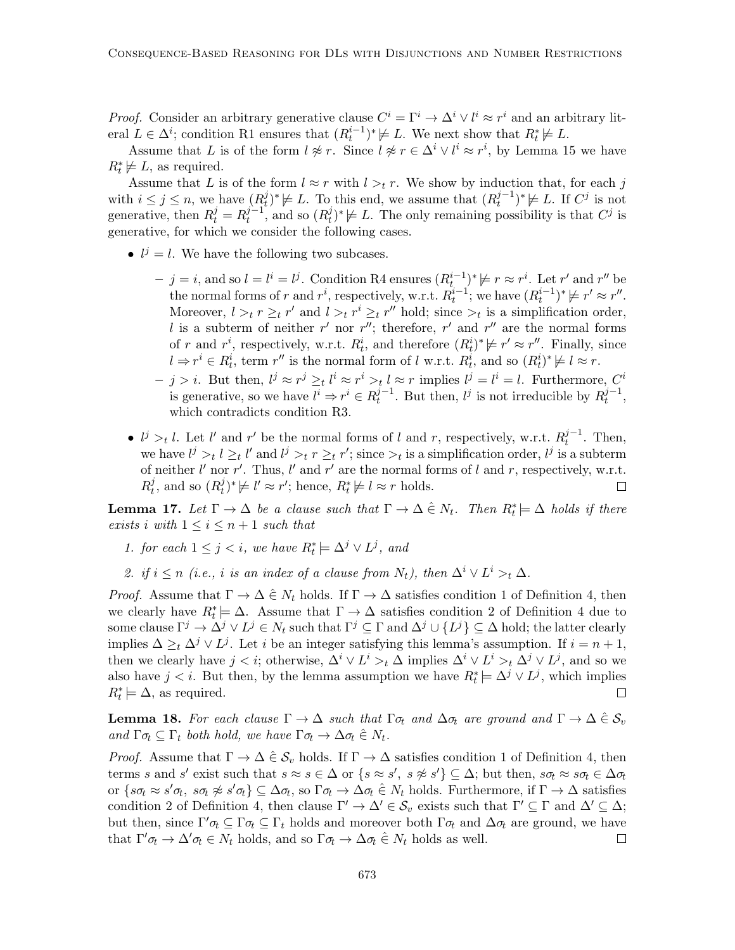*Proof.* Consider an arbitrary generative clause  $C^i = \Gamma^i \to \Delta^i \vee l^i \approx r^i$  and an arbitrary literal  $L \in \Delta^i$ ; condition R1 ensures that  $(R_t^{i-1})^* \not\models L$ . We next show that  $R_t^* \not\models L$ .

Assume that L is of the form  $l \not\approx r$ . Since  $l \not\approx r \in \Delta^i \vee l^i \approx r^i$ , by Lemma 15 we have  $R_t^* \not\models L$ , as required.

Assume that L is of the form  $l \approx r$  with  $l >_t r$ . We show by induction that, for each j with  $i \leq j \leq n$ , we have  $(R_t^j)$  $(t_t^j)^* \not\models L$ . To this end, we assume that  $(R_t^{j-1})$  $(t^{j-1})^* \not\models L$ . If  $C^j$  is not generative, then  $R_t^j = R_t^{j-1}$  $t^{j-1}$ , and so  $(R_t^j)$  $(t)$ <sup>\*</sup> $\not\models L$ . The only remaining possibility is that  $C^j$  is generative, for which we consider the following cases.

- $l^j = l$ . We have the following two subcases.
	- $j = i$ , and so  $l = l^i = l^j$ . Condition R4 ensures  $(R_t^{i-1})^* \not\models r \approx r^i$ . Let r' and r'' be the normal forms of r and  $r^i$ , respectively, w.r.t.  $R_t^{i-1}$ ; we have  $(R_t^{i-1})^* \not\models r' \approx r''$ . Moreover,  $l >_t r \geq_t r'$  and  $l >_t r' \geq_t r''$  hold; since  $\gt_t$  is a simplification order, l is a subterm of neither r' nor r''; therefore, r' and r'' are the normal forms of r and  $r^i$ , respectively, w.r.t.  $R_t^i$ , and therefore  $(R_t^i)^* \not\models r' \approx r''$ . Finally, since  $l \Rightarrow r^i \in R_t^i$ , term  $r''$  is the normal form of l w.r.t.  $R_t^i$ , and so  $(R_t^i)^* \not\models l \approx r$ .
	- $j > i$ . But then,  $l^j \approx r^j \geq_t l^i \approx r^i >_t l \approx r$  implies  $l^j = l^i = l$ . Furthermore,  $C^i$ is generative, so we have  $l^i \Rightarrow r^i \in R_t^{j-1}$  $t^{j-1}$ . But then,  $l^j$  is not irreducible by  $R_t^{j-1}$  $\frac{j-1}{t}$ , which contradicts condition R3.
- $l^j >_t l$ . Let l' and r' be the normal forms of l and r, respectively, w.r.t.  $R_t^{j-1}$  $t^{j-1}$ . Then, we have  $l^j >_t l \geq_t l'$  and  $l^j >_t r \geq_t r'$ ; since  $\gt_t$  is a simplification order,  $l^j$  is a subterm of neither  $l'$  nor  $r'$ . Thus,  $l'$  and  $r'$  are the normal forms of  $l$  and  $r$ , respectively, w.r.t.  $R^j_t$  $t$ <sup>*t*</sup>, and so  $(R_t^j)$  $(t)$ <sup>\*</sup> $\neq$  l'  $\approx$  r'; hence,  $R_t^* \neq l \approx r$  holds.  $\Box$

**Lemma 17.** Let  $\Gamma \to \Delta$  be a clause such that  $\Gamma \to \Delta \in N_t$ . Then  $R_t^* \models \Delta$  holds if there exists i with  $1 \leq i \leq n+1$  such that

- 1. for each  $1 \leq j < i$ , we have  $R_t^* \models \Delta^j \vee L^j$ , and
- 2. if  $i \leq n$  (i.e., i is an index of a clause from  $N_t$ ), then  $\Delta^i \vee L^i >_t \Delta$ .

*Proof.* Assume that  $\Gamma \to \Delta \in N_t$  holds. If  $\Gamma \to \Delta$  satisfies condition 1 of Definition 4, then we clearly have  $R_t^* \models \Delta$ . Assume that  $\Gamma \to \Delta$  satisfies condition 2 of Definition 4 due to some clause  $\Gamma^j \to \Delta^j \vee L^j \in N_t$  such that  $\Gamma^j \subseteq \Gamma$  and  $\Delta^j \cup \{L^j\} \subseteq \Delta$  hold; the latter clearly implies  $\Delta \geq_t \Delta^j \vee L^j$ . Let i be an integer satisfying this lemma's assumption. If  $i = n + 1$ , then we clearly have  $j < i$ ; otherwise,  $\Delta^i \vee L^i >_t \Delta$  implies  $\Delta^i \vee L^i >_t \Delta^j \vee L^j$ , and so we also have  $j < i$ . But then, by the lemma assumption we have  $R_t^* \models \Delta^j \vee L^j$ , which implies  $R_t^* \models \Delta$ , as required. П

**Lemma 18.** For each clause  $\Gamma \to \Delta$  such that  $\Gamma \sigma_t$  and  $\Delta \sigma_t$  are ground and  $\Gamma \to \Delta \in \mathcal{S}_v$ and  $\Gamma \sigma_t \subseteq \Gamma_t$  both hold, we have  $\Gamma \sigma_t \to \Delta \sigma_t \in N_t$ .

*Proof.* Assume that  $\Gamma \to \Delta \in \mathcal{S}_v$  holds. If  $\Gamma \to \Delta$  satisfies condition 1 of Definition 4, then terms s and s' exist such that  $s \approx s \in \Delta$  or  $\{s \approx s', s \not\approx s'\} \subseteq \Delta$ ; but then,  $s\sigma_t \approx s\sigma_t \in \Delta \sigma_t$ or  $\{s\sigma_t \approx s'\sigma_t, s\sigma_t \not\approx s'\sigma_t\} \subseteq \Delta \sigma_t$ , so  $\Gamma \sigma_t \to \Delta \sigma_t \in N_t$  holds. Furthermore, if  $\Gamma \to \Delta$  satisfies condition 2 of Definition 4, then clause  $\Gamma' \to \Delta' \in \mathcal{S}_v$  exists such that  $\Gamma' \subseteq \Gamma$  and  $\Delta' \subseteq \Delta$ ; but then, since  $\Gamma' \sigma_t \subseteq \Gamma \sigma_t \subseteq \Gamma_t$  holds and moreover both  $\Gamma \sigma_t$  and  $\Delta \sigma_t$  are ground, we have that  $\Gamma' \sigma_t \to \Delta' \sigma_t \in N_t$  holds, and so  $\Gamma \sigma_t \to \Delta \sigma_t \hat{\in} N_t$  holds as well.  $\Box$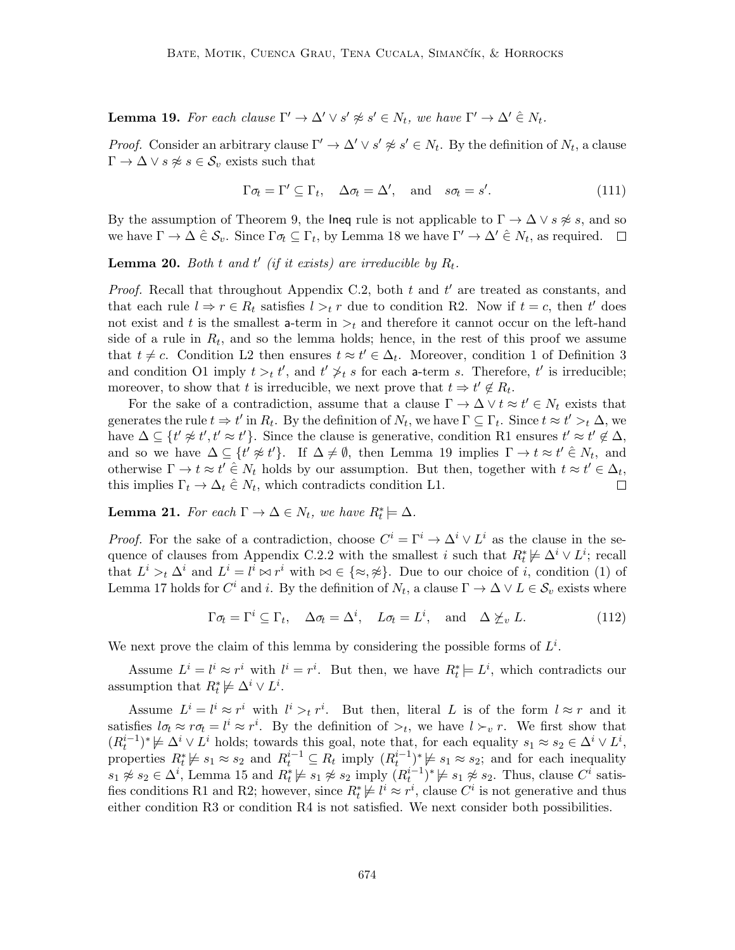**Lemma 19.** For each clause  $\Gamma' \to \Delta' \vee s' \not\approx s' \in N_t$ , we have  $\Gamma' \to \Delta' \in N_t$ .

*Proof.* Consider an arbitrary clause  $\Gamma' \to \Delta' \vee s' \not\approx s' \in N_t$ . By the definition of  $N_t$ , a clause  $\Gamma \to \Delta \vee s \not\approx s \in \mathcal{S}_v$  exists such that

$$
\Gamma \sigma_t = \Gamma' \subseteq \Gamma_t, \quad \Delta \sigma_t = \Delta', \quad \text{and} \quad s\sigma_t = s'. \tag{111}
$$

By the assumption of Theorem 9, the lneq rule is not applicable to  $\Gamma \to \Delta \vee s \not\approx s$ , and so we have  $\Gamma \to \Delta \hat{\in} \mathcal{S}_v$ . Since  $\Gamma \sigma_t \subseteq \Gamma_t$ , by Lemma 18 we have  $\Gamma' \to \Delta' \hat{\in} N_t$ , as required.

**Lemma 20.** Both t and t' (if it exists) are irreducible by  $R_t$ .

*Proof.* Recall that throughout Appendix C.2, both  $t$  and  $t'$  are treated as constants, and that each rule  $l \Rightarrow r \in R_t$  satisfies  $l >_t r$  due to condition R2. Now if  $t = c$ , then  $t'$  does not exist and t is the smallest a-term in  $\gt_t$  and therefore it cannot occur on the left-hand side of a rule in  $R_t$ , and so the lemma holds; hence, in the rest of this proof we assume that  $t \neq c$ . Condition L2 then ensures  $t \approx t' \in \Delta_t$ . Moreover, condition 1 of Definition 3 and condition O1 imply  $t >_t t'$ , and  $t' \nless_t s$  for each a-term s. Therefore, t' is irreducible; moreover, to show that t is irreducible, we next prove that  $t \Rightarrow t' \notin R_t$ .

For the sake of a contradiction, assume that a clause  $\Gamma \to \Delta \vee t \approx t' \in N_t$  exists that generates the rule  $t \to t'$  in  $R_t$ . By the definition of  $N_t$ , we have  $\Gamma \subseteq \Gamma_t$ . Since  $t \approx t' >_t \Delta$ , we have  $\Delta \subseteq \{t' \not\approx t', t' \approx t'\}$ . Since the clause is generative, condition R1 ensures  $t' \approx t' \notin \Delta$ , and so we have  $\Delta \subseteq \{t' \not\approx t'\}$ . If  $\Delta \neq \emptyset$ , then Lemma 19 implies  $\Gamma \to t \approx t' \in N_t$ , and otherwise  $\Gamma \to t \approx t' \in N_t$  holds by our assumption. But then, together with  $t \approx t' \in \Delta_t$ , this implies  $\Gamma_t \to \Delta_t \hat{\in} N_t$ , which contradicts condition L1.  $\Box$ 

**Lemma 21.** For each  $\Gamma \to \Delta \in N_t$ , we have  $R_t^* \models \Delta$ .

*Proof.* For the sake of a contradiction, choose  $C^i = \Gamma^i \to \Delta^i \vee L^i$  as the clause in the sequence of clauses from Appendix C.2.2 with the smallest i such that  $R_t^* \not\models \Delta^i \vee L^i$ ; recall that  $L^i >_t \Delta^i$  and  $L^i = l^i \bowtie r^i$  with  $\bowtie \in {\{\approx, \hat{\varphi}\}}$ . Due to our choice of i, condition (1) of Lemma 17 holds for  $C^i$  and i. By the definition of  $N_t$ , a clause  $\Gamma \to \Delta \vee L \in \mathcal{S}_v$  exists where

$$
\Gamma \sigma_t = \Gamma^i \subseteq \Gamma_t, \quad \Delta \sigma_t = \Delta^i, \quad L \sigma_t = L^i, \quad \text{and} \quad \Delta \not\succeq_v L. \tag{112}
$$

We next prove the claim of this lemma by considering the possible forms of  $L^i$ .

Assume  $L^i = l^i \approx r^i$  with  $l^i = r^i$ . But then, we have  $R_t^* \models L^i$ , which contradicts our assumption that  $R_t^* \not\models \Delta^i \vee L^i$ .

Assume  $L^i = l^i \approx r^i$  with  $l^i >_t r^i$ . But then, literal L is of the form  $l \approx r$  and it satisfies  $l\sigma_t \approx r\sigma_t = l^i \approx r^i$ . By the definition of  $\gt_t$ , we have  $l \succ_v r$ . We first show that  $(R_t^{i-1})^* \not\models \Delta^i \vee L^i$  holds; towards this goal, note that, for each equality  $s_1 \approx s_2 \in \Delta^i \vee L^i$ , properties  $R_t^* \not\models s_1 \approx s_2$  and  $R_t^{i-1} \subseteq R_t$  imply  $(R_t^{i-1})^* \not\models s_1 \approx s_2$ ; and for each inequality  $s_1 \not\approx s_2 \in \Delta^i$ , Lemma 15 and  $R_t^* \not\models s_1 \not\approx s_2$  imply  $(R_t^{i-1})^* \not\models s_1 \not\approx s_2$ . Thus, clause  $C^i$  satisfies conditions R1 and R2; however, since  $R_t^* \not\models l^i \approx r^i$ , clause  $C^i$  is not generative and thus either condition R3 or condition R4 is not satisfied. We next consider both possibilities.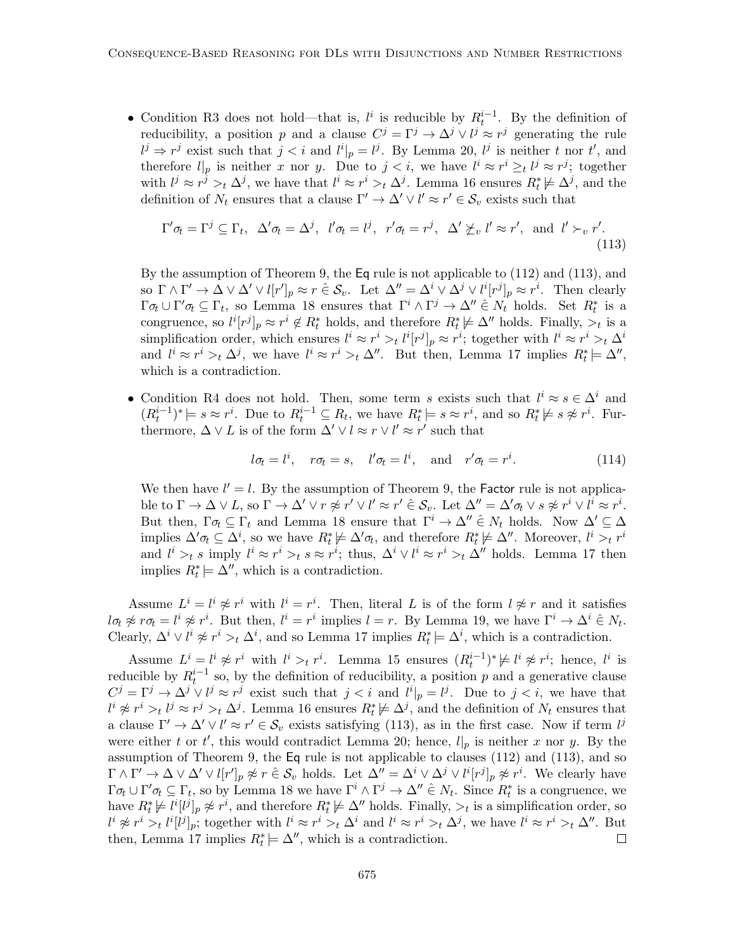• Condition R3 does not hold—that is,  $l^i$  is reducible by  $R_t^{i-1}$ . By the definition of reducibility, a position p and a clause  $C^j = \Gamma^j \to \Delta^j \vee l^j \approx r^j$  generating the rule  $l^j \Rightarrow r^j$  exist such that  $j < i$  and  $l^i|_p = l^j$ . By Lemma 20,  $l^j$  is neither t nor t', and therefore  $l|_p$  is neither x nor y. Due to  $j < i$ , we have  $l^i \approx r^i \geq_t l^j \approx r^j$ ; together with  $l^j \approx r^j >_t \Delta^j$ , we have that  $l^i \approx r^i >_t \Delta^j$ . Lemma 16 ensures  $R_t^* \not\models \Delta^j$ , and the definition of  $N_t$  ensures that a clause  $\Gamma' \to \Delta' \vee l' \approx r' \in \mathcal{S}_v$  exists such that

$$
\Gamma'\sigma_t = \Gamma^j \subseteq \Gamma_t, \ \ \Delta'\sigma_t = \Delta^j, \ \ l'\sigma_t = l^j, \ \ r'\sigma_t = r^j, \ \ \Delta'\not\succeq_v l' \approx r', \ \text{ and } \ l' \succ_v r'.
$$
\n
$$
(113)
$$

By the assumption of Theorem 9, the Eq rule is not applicable to (112) and (113), and so  $\Gamma \wedge \Gamma' \to \Delta \vee \Delta' \vee l[r']_p \approx r \in \mathcal{S}_v$ . Let  $\Delta'' = \Delta^i \vee \Delta^j \vee l^i[r^j]_p \approx r^i$ . Then clearly  $\Gamma \sigma_t \cup \Gamma' \sigma_t \subseteq \Gamma_t$ , so Lemma 18 ensures that  $\Gamma^i \wedge \Gamma^j \to \Delta'' \in N_t$  holds. Set  $R_t^*$  is a congruence, so  $l^i[r^j]_p \approx r^i \notin R_t^*$  holds, and therefore  $R_t^* \not\models \Delta''$  holds. Finally,  $\gt_t$  is a simplification order, which ensures  $l^i \approx r^i >_t l^i [r^j]_p \approx r^i$ ; together with  $l^i \approx r^i >_t \Delta^i$ and  $l^i \approx r^i >_t \Delta^j$ , we have  $l^i \approx r^i >_t \Delta''$ . But then, Lemma 17 implies  $R_t^* \models \Delta''$ , which is a contradiction.

• Condition R4 does not hold. Then, some term s exists such that  $l^i \approx s \in \Delta^i$  and  $(R_t^{i-1})^* \models s \approx r^i$ . Due to  $R_t^{i-1} \subseteq R_t$ , we have  $R_t^* \models s \approx r^i$ , and so  $R_t^* \not\models s \not\approx r^i$ . Furthermore,  $\Delta \vee L$  is of the form  $\Delta' \vee l \approx r \vee l' \approx r'$  such that

$$
l\sigma_t = l^i
$$
,  $r\sigma_t = s$ ,  $l'\sigma_t = l^i$ , and  $r'\sigma_t = r^i$ . (114)

We then have  $l' = l$ . By the assumption of Theorem 9, the Factor rule is not applicable to  $\Gamma \to \Delta \vee L$ , so  $\Gamma \to \Delta' \vee r \not\approx r' \vee l' \approx r' \in \mathcal{S}_v$ . Let  $\Delta'' = \Delta' \sigma_t \vee s \not\approx r^i \vee l^i \approx r^i$ . But then,  $\Gamma \sigma_t \subseteq \Gamma_t$  and Lemma 18 ensure that  $\Gamma^i \to \Delta'' \in N_t$  holds. Now  $\Delta' \subseteq \Delta$ implies  $\Delta' \sigma_t \subseteq \Delta^i$ , so we have  $R_t^* \not\models \Delta' \sigma_t$ , and therefore  $R_t^* \not\models \Delta''$ . Moreover,  $l^i >_t r^i$ and  $l^i >_t s$  imply  $l^i \approx r^i >_t s \approx r^i$ ; thus,  $\Delta^i \vee l^i \approx r^i >_t \Delta''$  holds. Lemma 17 then implies  $R_t^* \models \Delta''$ , which is a contradiction.

Assume  $L^i = l^i \not\approx r^i$  with  $l^i = r^i$ . Then, literal L is of the form  $l \not\approx r$  and it satisfies  $l\sigma_t \not\approx r\sigma_t = l^i \not\approx r^i$ . But then,  $l^i = r^i$  implies  $l = r$ . By Lemma 19, we have  $\Gamma^i \to \Delta^i \in N_t$ . Clearly,  $\Delta^i \vee l^i \not\approx r^i >_t \Delta^i$ , and so Lemma 17 implies  $R_t^* \models \Delta^i$ , which is a contradiction.

Assume  $L^i = l^i \not\approx r^i$  with  $l^i >_t r^i$ . Lemma 15 ensures  $(R_t^{i-1})^* \not\models l^i \not\approx r^i$ ; hence,  $l^i$  is reducible by  $R_t^{i-1}$  so, by the definition of reducibility, a position p and a generative clause  $C^j = \Gamma^j \to \Delta^j \vee l^j \approx r^j$  exist such that  $j < i$  and  $l^i|_p = l^j$ . Due to  $j < i$ , we have that  $l^i \not\approx r^i >_t l^j \approx r^j >_t \Delta^j$ . Lemma 16 ensures  $R_t^* \not\models \Delta^j$ , and the definition of  $N_t$  ensures that a clause  $\Gamma' \to \Delta' \vee l' \approx r' \in \mathcal{S}_v$  exists satisfying (113), as in the first case. Now if term  $l^j$ were either t or t', this would contradict Lemma 20; hence,  $l|_p$  is neither x nor y. By the assumption of Theorem 9, the Eq rule is not applicable to clauses (112) and (113), and so  $\Gamma \wedge \Gamma' \to \Delta \vee \Delta' \vee l[r']_p \not\approx r \in \mathcal{S}_v$  holds. Let  $\Delta'' = \Delta^i \vee \Delta^j \vee l^i[r^j]_p \not\approx r^i$ . We clearly have  $\Gamma \sigma_t \cup \Gamma' \sigma_t \subseteq \Gamma_t$ , so by Lemma 18 we have  $\Gamma^i \wedge \Gamma^j \to \Delta'' \in N_t$ . Since  $R_t^*$  is a congruence, we have  $R_t^* \not\models l^i[l^j]_p \not\approx r^i$ , and therefore  $R_t^* \not\models \Delta''$  holds. Finally,  $\gt_t$  is a simplification order, so  $l^i \not\approx r^i >_t l^i [l^j]_p$ ; together with  $l^i \approx r^i >_t \Delta^i$  and  $l^i \approx r^i >_t \Delta^j$ , we have  $l^i \approx r^i >_t \Delta''$ . But then, Lemma 17 implies  $R_t^* \models \Delta''$ , which is a contradiction.  $\Box$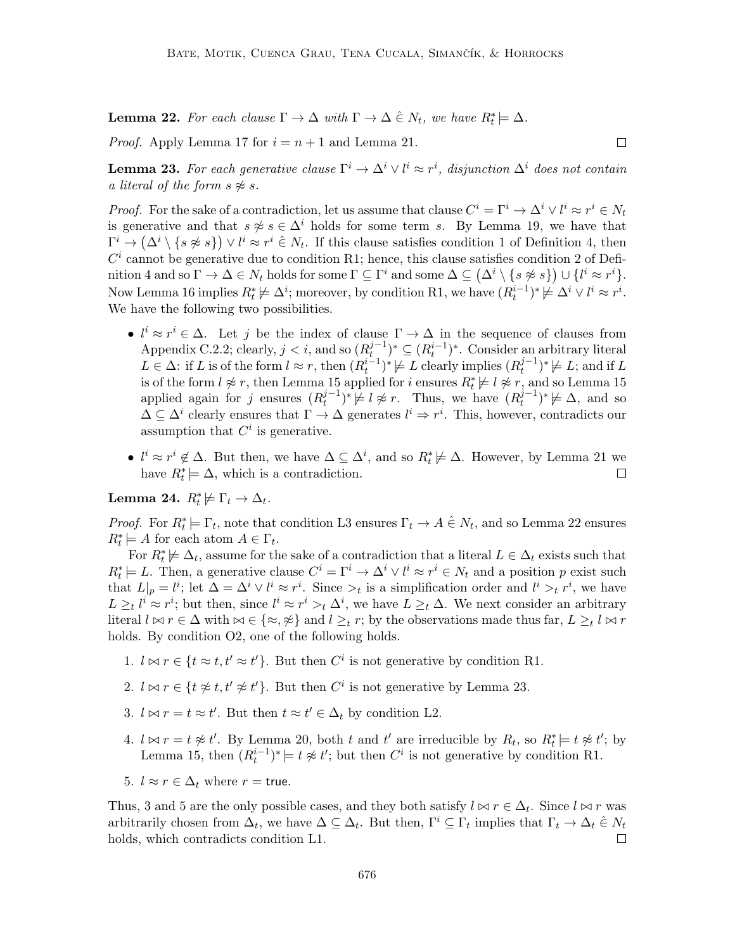**Lemma 22.** For each clause  $\Gamma \to \Delta$  with  $\Gamma \to \Delta \in N_t$ , we have  $R_t^* \models \Delta$ .

*Proof.* Apply Lemma 17 for  $i = n + 1$  and Lemma 21.

**Lemma 23.** For each generative clause  $\Gamma^i \to \Delta^i \vee l^i \approx r^i$ , disjunction  $\Delta^i$  does not contain a literal of the form  $s \not\approx s$ .

*Proof.* For the sake of a contradiction, let us assume that clause  $C^i = \Gamma^i \to \Delta^i \vee l^i \approx r^i \in N_t$ is generative and that  $s \not\approx s \in \Delta^i$  holds for some term s. By Lemma 19, we have that  $\Gamma^i \to (\Delta^i \setminus \{s \not\approx s\}) \vee l^i \approx r^i \in N_t$ . If this clause satisfies condition 1 of Definition 4, then  $C<sup>i</sup>$  cannot be generative due to condition R1; hence, this clause satisfies condition 2 of Definition 4 and so  $\Gamma \to \Delta \in N_t$  holds for some  $\Gamma \subseteq \Gamma^i$  and some  $\Delta \subseteq (\Delta^i \setminus \{s \not\approx s\}) \cup \{l^i \approx r^i\}.$ Now Lemma 16 implies  $R_t^* \not\models \Delta^i$ ; moreover, by condition R1, we have  $(R_t^{i-1})^* \not\models \Delta^i \vee l^i \approx r^i$ . We have the following two possibilities.

- $l^i \approx r^i \in \Delta$ . Let j be the index of clause  $\Gamma \to \Delta$  in the sequence of clauses from Appendix C.2.2; clearly,  $j < i$ , and so  $(R_t^{j-1})$  $(t^{j-1}_{t})^* \subseteq (R_t^{i-1})^*$ . Consider an arbitrary literal  $L \in \Delta$ : if L is of the form  $l \approx r$ , then  $(R_t^{i-1})^* \not\models L$  clearly implies  $(R_t^{j-1})$  $(t^{j-1})^* \not\models L$ ; and if L is of the form  $l \not\approx r$ , then Lemma 15 applied for i ensures  $R_t^* \not\models l \not\approx r$ , and so Lemma 15 applied again for j ensures  $(R_t^{j-1})$  $(t_t^{j-1})^* \not\models l \not\approx r$ . Thus, we have  $(R_t^{j-1})$  $(t^{j-1})^* \not\models \Delta$ , and so  $\Delta \subseteq \Delta^i$  clearly ensures that  $\Gamma \to \Delta$  generates  $l^i \Rightarrow r^i$ . This, however, contradicts our assumption that  $C^i$  is generative.
- $l^i \approx r^i \notin \Delta$ . But then, we have  $\Delta \subseteq \Delta^i$ , and so  $R_t^* \not\models \Delta$ . However, by Lemma 21 we have  $R_t^* \models \Delta$ , which is a contradiction.  $\Box$

Lemma 24.  $R_t^* \not\models \Gamma_t \rightarrow \Delta_t$ .

*Proof.* For  $R_t^* \models \Gamma_t$ , note that condition L3 ensures  $\Gamma_t \to A \in N_t$ , and so Lemma 22 ensures  $R_t^* \models A$  for each atom  $A \in \Gamma_t$ .

For  $R_t^* \not\models \Delta_t$ , assume for the sake of a contradiction that a literal  $L \in \Delta_t$  exists such that  $R_t^* \models L$ . Then, a generative clause  $C^i = \Gamma^i \to \Delta^i \vee l^i \approx r^i \in N_t$  and a position p exist such that  $L|_p = l^i$ ; let  $\Delta = \Delta^i \vee l^i \approx r^i$ . Since  $\gt_t$  is a simplification order and  $l^i \gt_t r^i$ , we have  $L \geq_t l^i \approx r^i$ ; but then, since  $l^i \approx r^i >_t \Delta^i$ , we have  $L \geq_t \Delta$ . We next consider an arbitrary literal  $l \bowtie r \in \Delta$  with  $\bowtie \in {\{\approx, \not\approx\}}$  and  $l \geq_t r$ ; by the observations made thus far,  $L \geq_t l \bowtie r$ holds. By condition O2, one of the following holds.

- 1.  $l \bowtie r \in \{t \approx t, t' \approx t'\}$ . But then  $C^i$  is not generative by condition R1.
- 2.  $l \bowtie r \in \{t \not\approx t, t' \not\approx t'\}$ . But then  $C^i$  is not generative by Lemma 23.
- 3.  $l \bowtie r = t \approx t'$ . But then  $t \approx t' \in \Delta_t$  by condition L2.
- 4.  $l \bowtie r = t \not\approx t'$ . By Lemma 20, both t and t' are irreducible by  $R_t$ , so  $R_t^* \models t \not\approx t'$ ; by Lemma 15, then  $(R_t^{i-1})^* \models t \not\approx t'$ ; but then  $C^i$  is not generative by condition R1.
- 5.  $l \approx r \in \Delta_t$  where  $r = \text{true}$ .

Thus, 3 and 5 are the only possible cases, and they both satisfy  $l \bowtie r \in \Delta_t$ . Since  $l \bowtie r$  was arbitrarily chosen from  $\Delta_t$ , we have  $\Delta \subseteq \Delta_t$ . But then,  $\Gamma^i \subseteq \Gamma_t$  implies that  $\Gamma_t \to \Delta_t \in N_t$ holds, which contradicts condition L1.  $\Box$ 

 $\Box$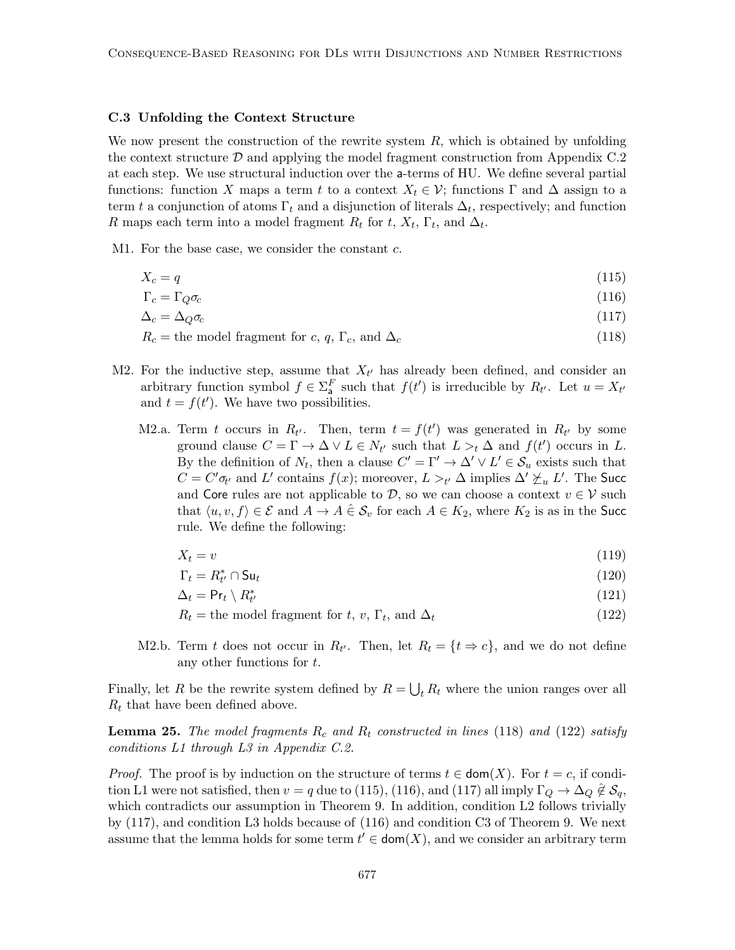#### C.3 Unfolding the Context Structure

We now present the construction of the rewrite system  $R$ , which is obtained by unfolding the context structure  $\mathcal D$  and applying the model fragment construction from Appendix C.2 at each step. We use structural induction over the a-terms of HU. We define several partial functions: function X maps a term t to a context  $X_t \in \mathcal{V}$ ; functions  $\Gamma$  and  $\Delta$  assign to a term t a conjunction of atoms  $\Gamma_t$  and a disjunction of literals  $\Delta_t$ , respectively; and function R maps each term into a model fragment  $R_t$  for  $t$ ,  $X_t$ ,  $\Gamma_t$ , and  $\Delta_t$ .

M1. For the base case, we consider the constant c.

$$
X_c = q \tag{115}
$$

$$
\Gamma_c = \Gamma_Q \sigma_c \tag{116}
$$

$$
\Delta_c = \Delta_Q \sigma_c \tag{117}
$$

 $R_c$  = the model fragment for c, q,  $\Gamma_c$ , and  $\Delta_c$  (118)

- M2. For the inductive step, assume that  $X_{t'}$  has already been defined, and consider an arbitrary function symbol  $f \in \Sigma_{\mathsf{a}}^F$  such that  $f(t')$  is irreducible by  $R_{t'}$ . Let  $u = X_{t'}$ and  $t = f(t')$ . We have two possibilities.
	- M2.a. Term t occurs in  $R_{t'}$ . Then, term  $t = f(t')$  was generated in  $R_{t'}$  by some ground clause  $C = \Gamma \to \Delta \vee L \in N_{t'}$  such that  $L >_t \Delta$  and  $f(t')$  occurs in L. By the definition of  $N_t$ , then a clause  $C' = \Gamma' \to \Delta' \vee L' \in \mathcal{S}_u$  exists such that  $C = C' \sigma_{t'}$  and L' contains  $f(x)$ ; moreover,  $L >_{t'} \Delta$  implies  $\Delta' \not\succeq_u L'$ . The Succ and Core rules are not applicable to  $D$ , so we can choose a context  $v \in V$  such that  $\langle u, v, f \rangle \in \mathcal{E}$  and  $A \to A \in \mathcal{S}_v$  for each  $A \in K_2$ , where  $K_2$  is as in the Succ rule. We define the following:

$$
X_t = v \tag{119}
$$

$$
\Gamma_t = R_{t'}^* \cap \mathsf{S}\mathsf{u}_t \tag{120}
$$

$$
\Delta_t = \mathsf{Pr}_t \setminus R^*_{t'} \tag{121}
$$

$$
R_t = \text{the model fragment for } t, v, \Gamma_t, \text{ and } \Delta_t \tag{122}
$$

M2.b. Term t does not occur in  $R_{t'}$ . Then, let  $R_t = \{t \Rightarrow c\}$ , and we do not define any other functions for t.

Finally, let R be the rewrite system defined by  $R = \bigcup_t R_t$  where the union ranges over all  $R_t$  that have been defined above.

**Lemma 25.** The model fragments  $R_c$  and  $R_t$  constructed in lines (118) and (122) satisfy conditions L1 through L3 in Appendix C.2.

*Proof.* The proof is by induction on the structure of terms  $t \in \text{dom}(X)$ . For  $t = c$ , if condition L1 were not satisfied, then  $v = q$  due to (115), (116), and (117) all imply  $\Gamma_Q \to \Delta_Q \not\in \mathcal{S}_q$ , which contradicts our assumption in Theorem 9. In addition, condition L2 follows trivially by (117), and condition L3 holds because of (116) and condition C3 of Theorem 9. We next assume that the lemma holds for some term  $t' \in \text{dom}(X)$ , and we consider an arbitrary term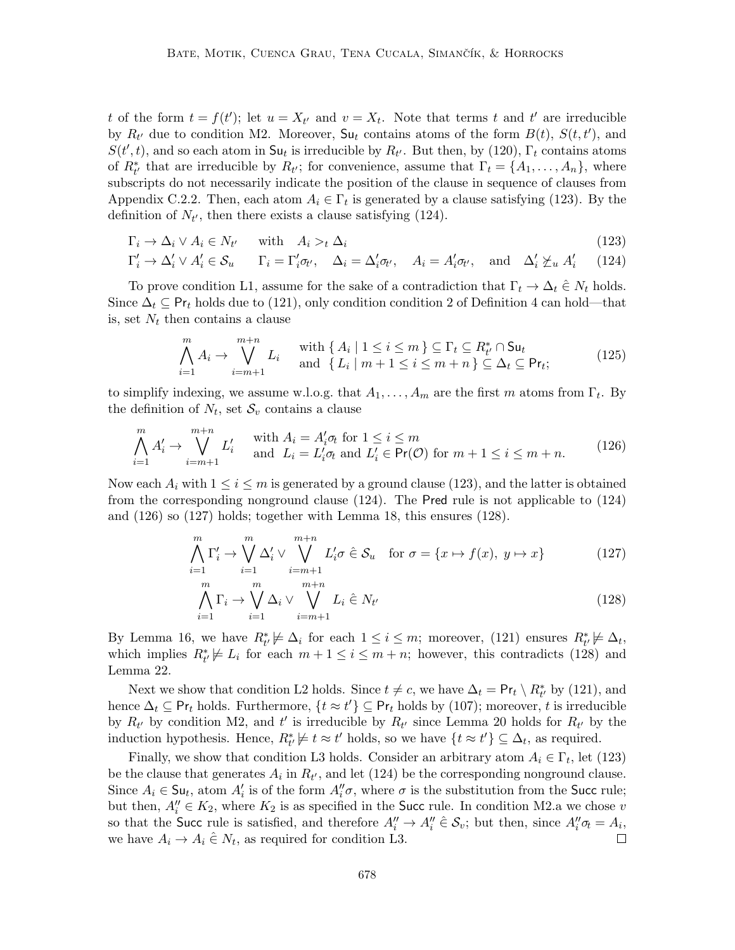t of the form  $t = f(t')$ ; let  $u = X_{t'}$  and  $v = X_t$ . Note that terms t and t' are irreducible by  $R_{t'}$  due to condition M2. Moreover,  $S_{u_t}$  contains atoms of the form  $B(t)$ ,  $S(t, t')$ , and  $S(t',t)$ , and so each atom in  $\mathsf{S}\mathsf{u}_t$  is irreducible by  $R_{t'}$ . But then, by (120),  $\Gamma_t$  contains atoms of  $R^*_{t'}$  that are irreducible by  $R_{t'}$ ; for convenience, assume that  $\Gamma_t = \{A_1, \ldots, A_n\}$ , where subscripts do not necessarily indicate the position of the clause in sequence of clauses from Appendix C.2.2. Then, each atom  $A_i \in \Gamma_t$  is generated by a clause satisfying (123). By the definition of  $N_{t'}$ , then there exists a clause satisfying (124).

$$
\Gamma_i \to \Delta_i \vee A_i \in N_{t'} \quad \text{with} \quad A_i >_t \Delta_i \tag{123}
$$

$$
\Gamma'_i \to \Delta'_i \lor A'_i \in \mathcal{S}_u \qquad \Gamma_i = \Gamma'_i \sigma_{t'}, \quad \Delta_i = \Delta'_i \sigma_{t'}, \quad A_i = A'_i \sigma_{t'}, \quad \text{and} \quad \Delta'_i \not\succeq_u A'_i \tag{124}
$$

To prove condition L1, assume for the sake of a contradiction that  $\Gamma_t \to \Delta_t \in N_t$  holds. Since  $\Delta_t \subseteq \textsf{Pr}_t$  holds due to (121), only condition condition 2 of Definition 4 can hold—that is, set  $N_t$  then contains a clause

$$
\bigwedge_{i=1}^{m} A_i \to \bigvee_{i=m+1}^{m+n} L_i \quad \text{with } \{ A_i \mid 1 \le i \le m \} \subseteq \Gamma_t \subseteq R_{t'}^* \cap \mathsf{S} \mathsf{u}_t
$$
\n
$$
\text{and } \{ L_i \mid m+1 \le i \le m+n \} \subseteq \Delta_t \subseteq \mathsf{Pr}_t; \tag{125}
$$

to simplify indexing, we assume w.l.o.g. that  $A_1, \ldots, A_m$  are the first m atoms from  $\Gamma_t$ . By the definition of  $N_t$ , set  $\mathcal{S}_v$  contains a clause

$$
\bigwedge_{i=1}^{m} A'_{i} \to \bigvee_{i=m+1}^{m+n} L'_{i} \quad \text{with } A_{i} = A'_{i} \sigma_{t} \text{ for } 1 \leq i \leq m
$$
\n
$$
L'_{i} = L'_{i} \sigma_{t} \text{ and } L'_{i} \in \text{Pr}(\mathcal{O}) \text{ for } m+1 \leq i \leq m+n. \tag{126}
$$

Now each  $A_i$  with  $1 \leq i \leq m$  is generated by a ground clause (123), and the latter is obtained from the corresponding nonground clause (124). The Pred rule is not applicable to (124) and (126) so (127) holds; together with Lemma 18, this ensures (128).

$$
\bigwedge_{i=1}^{m} \Gamma'_{i} \to \bigvee_{i=1}^{m} \Delta'_{i} \vee \bigvee_{i=m+1}^{m+n} L'_{i} \sigma \hat{\in} \mathcal{S}_{u} \quad \text{for } \sigma = \{x \mapsto f(x), y \mapsto x\}
$$
 (127)

$$
\bigwedge_{i=1}^{m} \Gamma_i \to \bigvee_{i=1}^{m} \Delta_i \vee \bigvee_{i=m+1}^{m+n} L_i \hat{\in} N_{t'}
$$
\n(128)

By Lemma 16, we have  $R^*_{t'} \not\models \Delta_i$  for each  $1 \leq i \leq m$ ; moreover, (121) ensures  $R^*_{t'} \not\models \Delta_t$ , which implies  $R^*_{t'} \not\models L_i$  for each  $m + 1 \leq i \leq m + n$ ; however, this contradicts (128) and Lemma 22.

Next we show that condition L2 holds. Since  $t \neq c$ , we have  $\Delta_t = \Pr_t \setminus R^*_{t'}$  by (121), and hence  $\Delta_t \subseteq \mathsf{Pr}_t$  holds. Furthermore,  $\{t \approx t'\} \subseteq \mathsf{Pr}_t$  holds by (107); moreover, t is irreducible by  $R_{t'}$  by condition M2, and t' is irreducible by  $R_{t'}$  since Lemma 20 holds for  $R_{t'}$  by the induction hypothesis. Hence,  $R^*_{t'} \neq t \approx t'$  holds, so we have  $\{t \approx t'\} \subseteq \Delta_t$ , as required.

Finally, we show that condition L3 holds. Consider an arbitrary atom  $A_i \in \Gamma_t$ , let (123) be the clause that generates  $A_i$  in  $R_{t'}$ , and let (124) be the corresponding nonground clause. Since  $A_i \in \mathsf{S}\mathsf{u}_t$ , atom  $A_i'$  is of the form  $A_i''\sigma$ , where  $\sigma$  is the substitution from the Succ rule; but then,  $A''_i \in K_2$ , where  $K_2$  is as specified in the Succ rule. In condition M2.a we chose v so that the Succ rule is satisfied, and therefore  $A''_i \to A''_i \in \mathcal{S}_v$ ; but then, since  $A''_i \sigma_t = A_i$ , we have  $A_i \to A_i \in N_t$ , as required for condition L3.  $\Box$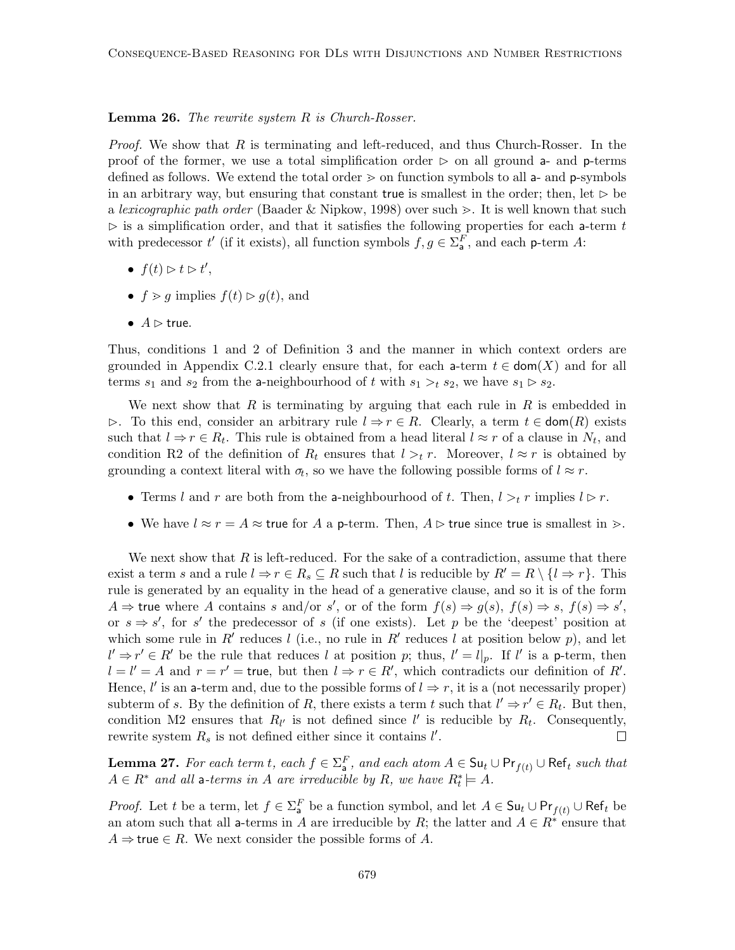#### **Lemma 26.** The rewrite system R is Church-Rosser.

*Proof.* We show that  $R$  is terminating and left-reduced, and thus Church-Rosser. In the proof of the former, we use a total simplification order  $\triangleright$  on all ground a- and p-terms defined as follows. We extend the total order  $\geq$  on function symbols to all a- and p-symbols in an arbitrary way, but ensuring that constant true is smallest in the order; then, let  $\triangleright$  be a lexicographic path order (Baader & Nipkow, 1998) over such  $\geq$ . It is well known that such  $\triangleright$  is a simplification order, and that it satisfies the following properties for each a-term t with predecessor  $t'$  (if it exists), all function symbols  $f, g \in \Sigma_{\mathsf{a}}^F$ , and each p-term A:

- $f(t) \triangleright t \triangleright t'$ ,
- $f > q$  implies  $f(t) \geq q(t)$ , and
- $A \triangleright$  true.

Thus, conditions 1 and 2 of Definition 3 and the manner in which context orders are grounded in Appendix C.2.1 clearly ensure that, for each a-term  $t \in \text{dom}(X)$  and for all terms  $s_1$  and  $s_2$  from the a-neighbourhood of t with  $s_1 >_t s_2$ , we have  $s_1 > s_2$ .

We next show that R is terminating by arguing that each rule in R is embedded in  $\triangleright$ . To this end, consider an arbitrary rule  $l \Rightarrow r \in R$ . Clearly, a term  $t \in \text{dom}(R)$  exists such that  $l \Rightarrow r \in R_t$ . This rule is obtained from a head literal  $l \approx r$  of a clause in  $N_t$ , and condition R2 of the definition of  $R_t$  ensures that  $l >t r$ . Moreover,  $l \approx r$  is obtained by grounding a context literal with  $\sigma_t$ , so we have the following possible forms of  $l \approx r$ .

- Terms l and r are both from the a-neighbourhood of t. Then,  $l >t r$  implies  $l \triangleright r$ .
- We have  $l \approx r = A \approx \text{true}$  for A a p-term. Then,  $A \triangleright$  true since true is smallest in  $\triangleright$ .

We next show that  $R$  is left-reduced. For the sake of a contradiction, assume that there exist a term s and a rule  $l \Rightarrow r \in R_s \subseteq R$  such that l is reducible by  $R' = R \setminus \{l \Rightarrow r\}$ . This rule is generated by an equality in the head of a generative clause, and so it is of the form  $A \Rightarrow$  true where A contains s and/or s', or of the form  $f(s) \Rightarrow g(s)$ ,  $f(s) \Rightarrow s$ ,  $f(s) \Rightarrow s'$ , or  $s \Rightarrow s'$ , for s' the predecessor of s (if one exists). Let p be the 'deepest' position at which some rule in R' reduces l (i.e., no rule in R' reduces l at position below p), and let  $l' \Rightarrow r' \in R'$  be the rule that reduces l at position p; thus,  $l' = l|_p$ . If l' is a p-term, then  $l = l' = A$  and  $r = r' = \text{true}$ , but then  $l \Rightarrow r \in R'$ , which contradicts our definition of R'. Hence,  $l'$  is an a-term and, due to the possible forms of  $l \Rightarrow r$ , it is a (not necessarily proper) subterm of s. By the definition of R, there exists a term t such that  $l' \Rightarrow r' \in R_t$ . But then, condition M2 ensures that  $R_{l'}$  is not defined since  $l'$  is reducible by  $R_t$ . Consequently, rewrite system  $R_s$  is not defined either since it contains  $l'$ .  $\Box$ 

**Lemma 27.** For each term t, each  $f \in \Sigma_a^F$ , and each atom  $A \in \mathsf{S}\mathsf{u}_t \cup \mathsf{Pr}_{f(t)} \cup \mathsf{Ref}_t$  such that  $A \in R^*$  and all a-terms in A are irreducible by R, we have  $R_t^* \models A$ .

*Proof.* Let t be a term, let  $f \in \Sigma_a^F$  be a function symbol, and let  $A \in \mathsf{S} \mathsf{u}_t \cup \mathsf{Pr}_{f(t)} \cup \mathsf{Ref}_t$  be an atom such that all a-terms in A are irreducible by R; the latter and  $A \in \mathbb{R}^*$  ensure that  $A \Rightarrow$  true  $\in R$ . We next consider the possible forms of A.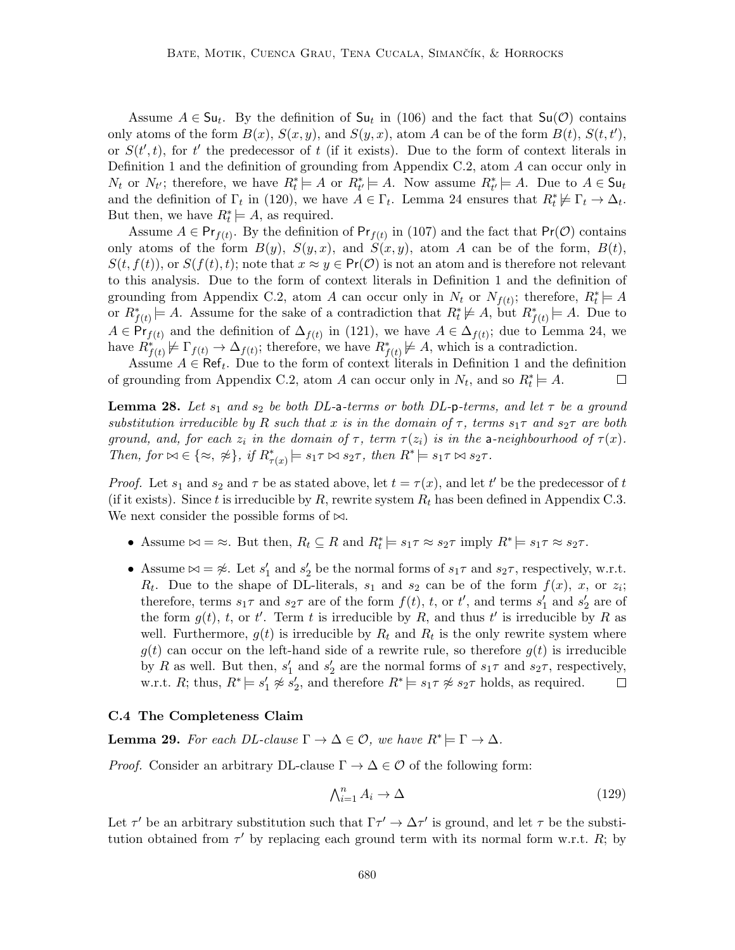Assume  $A \in \mathsf{S}\mathsf{u}_t$ . By the definition of  $\mathsf{S}\mathsf{u}_t$  in (106) and the fact that  $\mathsf{S}\mathsf{u}(\mathcal{O})$  contains only atoms of the form  $B(x)$ ,  $S(x, y)$ , and  $S(y, x)$ , atom A can be of the form  $B(t)$ ,  $S(t, t')$ , or  $S(t',t)$ , for t' the predecessor of t (if it exists). Due to the form of context literals in Definition 1 and the definition of grounding from Appendix C.2, atom A can occur only in  $N_t$  or  $N_{t'}$ ; therefore, we have  $R_t^* \models A$  or  $R_{t'}^* \models A$ . Now assume  $R_{t'}^* \models A$ . Due to  $A \in \mathsf{S}\mathsf{u}_t$ and the definition of  $\Gamma_t$  in (120), we have  $A \in \Gamma_t$ . Lemma 24 ensures that  $R_t^* \not\models \Gamma_t \to \Delta_t$ . But then, we have  $R_t^* \models A$ , as required.

Assume  $A \in \mathsf{Pr}_{f(t)}$ . By the definition of  $\mathsf{Pr}_{f(t)}$  in (107) and the fact that  $\mathsf{Pr}(\mathcal{O})$  contains only atoms of the form  $B(y)$ ,  $S(y, x)$ , and  $S(x, y)$ , atom A can be of the form,  $B(t)$ ,  $S(t, f(t))$ , or  $S(f(t), t)$ ; note that  $x \approx y \in Pr(\mathcal{O})$  is not an atom and is therefore not relevant to this analysis. Due to the form of context literals in Definition 1 and the definition of grounding from Appendix C.2, atom A can occur only in  $N_t$  or  $N_{f(t)}$ ; therefore,  $R_t^* \models A$ or  $R_{f(t)}^* \models A$ . Assume for the sake of a contradiction that  $R_t^* \not\models A$ , but  $R_{f(t)}^* \models A$ . Due to  $A \in \mathsf{Pr}_{f(t)}$  and the definition of  $\Delta_{f(t)}$  in (121), we have  $A \in \Delta_{f(t)}$ ; due to Lemma 24, we have  $R^*_{f(t)} \not\models \Gamma_{f(t)} \to \Delta_{f(t)}$ ; therefore, we have  $R^*_{f(t)} \not\models A$ , which is a contradiction.

Assume  $A \in \text{Ref}_t$ . Due to the form of context literals in Definition 1 and the definition of grounding from Appendix C.2, atom A can occur only in  $N_t$ , and so  $R_t^* \models A$ .  $\Box$ 

**Lemma 28.** Let  $s_1$  and  $s_2$  be both DL-a-terms or both DL-p-terms, and let  $\tau$  be a ground substitution irreducible by R such that x is in the domain of  $\tau$ , terms  $s_1\tau$  and  $s_2\tau$  are both ground, and, for each  $z_i$  in the domain of  $\tau$ , term  $\tau(z_i)$  is in the a-neighbourhood of  $\tau(x)$ . Then, for  $\bowtie \in \{\approx, \; \not\approx\}$ , if  $R^*_{\tau(x)} \models s_1 \tau \bowtie s_2 \tau$ , then  $R^* \models s_1 \tau \bowtie s_2 \tau$ .

*Proof.* Let  $s_1$  and  $s_2$  and  $\tau$  be as stated above, let  $t = \tau(x)$ , and let t' be the predecessor of t (if it exists). Since t is irreducible by R, rewrite system  $R_t$  has been defined in Appendix C.3. We next consider the possible forms of  $\bowtie$ .

- Assume  $\bowtie = \approx$ . But then,  $R_t \subseteq R$  and  $R_t^* \models s_1 \tau \approx s_2 \tau$  imply  $R^* \models s_1 \tau \approx s_2 \tau$ .
- Assume  $\bowtie = \nless$ . Let  $s'_1$  and  $s'_2$  be the normal forms of  $s_1\tau$  and  $s_2\tau$ , respectively, w.r.t.  $R_t$ . Due to the shape of DL-literals,  $s_1$  and  $s_2$  can be of the form  $f(x)$ , x, or  $z_i$ ; therefore, terms  $s_1 \tau$  and  $s_2 \tau$  are of the form  $f(t)$ , t, or t', and terms  $s'_1$  and  $s'_2$  are of the form  $g(t)$ , t, or t'. Term t is irreducible by R, and thus t' is irreducible by R as well. Furthermore,  $g(t)$  is irreducible by  $R_t$  and  $R_t$  is the only rewrite system where  $g(t)$  can occur on the left-hand side of a rewrite rule, so therefore  $g(t)$  is irreducible by R as well. But then,  $s'_1$  and  $s'_2$  are the normal forms of  $s_1\tau$  and  $s_2\tau$ , respectively, w.r.t. R; thus,  $R^* \models s'_1 \not\approx s'_2$ , and therefore  $R^* \models s_1 \tau \not\approx s_2 \tau$  holds, as required.  $\Box$

#### C.4 The Completeness Claim

**Lemma 29.** For each DL-clause  $\Gamma \to \Delta \in \mathcal{O}$ , we have  $R^* \models \Gamma \to \Delta$ .

*Proof.* Consider an arbitrary DL-clause  $\Gamma \to \Delta \in \mathcal{O}$  of the following form:

$$
\bigwedge_{i=1}^{n} A_i \to \Delta \tag{129}
$$

Let  $\tau'$  be an arbitrary substitution such that  $\Gamma \tau' \to \Delta \tau'$  is ground, and let  $\tau$  be the substitution obtained from  $\tau'$  by replacing each ground term with its normal form w.r.t. R; by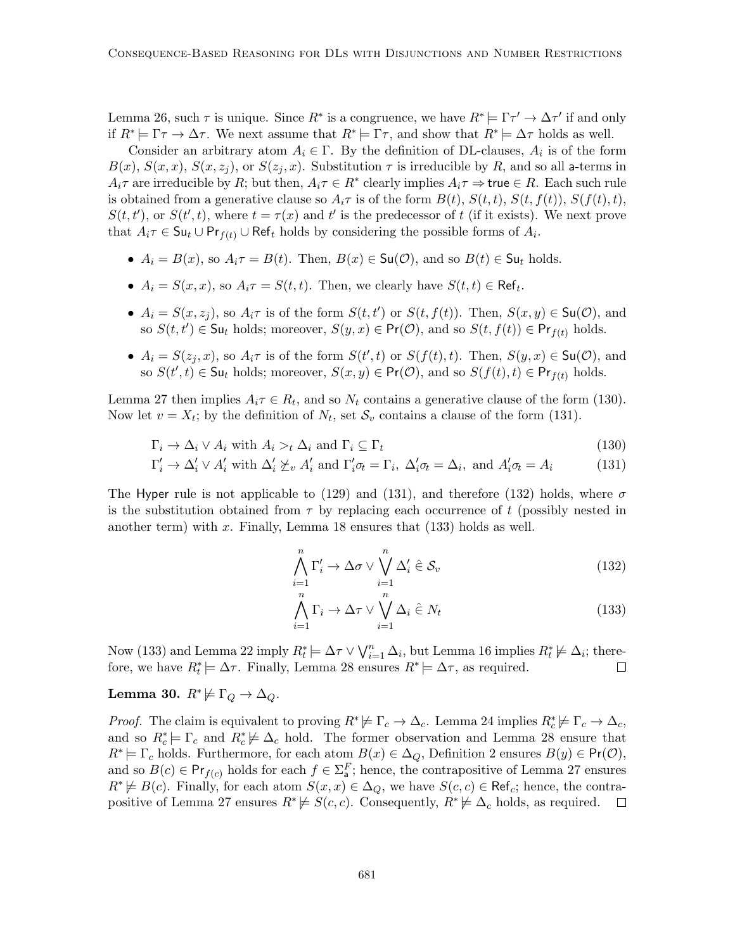Lemma 26, such  $\tau$  is unique. Since  $R^*$  is a congruence, we have  $R^* \models \Gamma \tau' \to \Delta \tau'$  if and only if  $R^* \models \Gamma \tau \to \Delta \tau$ . We next assume that  $R^* \models \Gamma \tau$ , and show that  $R^* \models \Delta \tau$  holds as well.

Consider an arbitrary atom  $A_i \in \Gamma$ . By the definition of DL-clauses,  $A_i$  is of the form  $B(x)$ ,  $S(x, x)$ ,  $S(x, z<sub>i</sub>)$ , or  $S(z<sub>i</sub>, x)$ . Substitution  $\tau$  is irreducible by R, and so all a-terms in  $A_i\tau$  are irreducible by R; but then,  $A_i\tau \in R^*$  clearly implies  $A_i\tau \Rightarrow$  true  $\in R$ . Each such rule is obtained from a generative clause so  $A_i\tau$  is of the form  $B(t)$ ,  $S(t,t)$ ,  $S(t,f(t))$ ,  $S(f(t),t)$ ,  $S(t, t')$ , or  $S(t', t)$ , where  $t = \tau(x)$  and  $t'$  is the predecessor of t (if it exists). We next prove that  $A_i \tau \in \mathsf{S} \mathsf{u}_t \cup \mathsf{Pr}_{f(t)} \cup \mathsf{Ref}_t$  holds by considering the possible forms of  $A_i$ .

- $A_i = B(x)$ , so  $A_i \tau = B(t)$ . Then,  $B(x) \in Su(\mathcal{O})$ , and so  $B(t) \in Su_t$  holds.
- $A_i = S(x, x)$ , so  $A_i \tau = S(t, t)$ . Then, we clearly have  $S(t, t) \in \text{Ref}_t$ .
- $A_i = S(x, z_j)$ , so  $A_i \tau$  is of the form  $S(t, t')$  or  $S(t, f(t))$ . Then,  $S(x, y) \in \mathsf{Su}(\mathcal{O})$ , and so  $S(t, t') \in \mathsf{S}\mathsf{u}_t$  holds; moreover,  $S(y, x) \in \mathsf{Pr}(\mathcal{O})$ , and so  $S(t, f(t)) \in \mathsf{Pr}_{f(t)}$  holds.
- $A_i = S(z_j, x)$ , so  $A_i \tau$  is of the form  $S(t', t)$  or  $S(f(t), t)$ . Then,  $S(y, x) \in \mathsf{Su}(\mathcal{O})$ , and so  $S(t', t) \in \mathsf{S}\mathsf{u}_t$  holds; moreover,  $S(x, y) \in \mathsf{Pr}(\mathcal{O})$ , and so  $S(f(t), t) \in \mathsf{Pr}_{f(t)}$  holds.

Lemma 27 then implies  $A_i \tau \in R_t$ , and so  $N_t$  contains a generative clause of the form (130). Now let  $v = X_t$ ; by the definition of  $N_t$ , set  $S_v$  contains a clause of the form (131).

$$
\Gamma_i \to \Delta_i \vee A_i \text{ with } A_i >_t \Delta_i \text{ and } \Gamma_i \subseteq \Gamma_t \tag{130}
$$

$$
\Gamma_i' \to \Delta_i' \lor A_i' \text{ with } \Delta_i' \not\succeq_v A_i' \text{ and } \Gamma_i' \sigma_t = \Gamma_i, \ \Delta_i' \sigma_t = \Delta_i, \text{ and } A_i' \sigma_t = A_i \tag{131}
$$

The Hyper rule is not applicable to (129) and (131), and therefore (132) holds, where  $\sigma$ is the substitution obtained from  $\tau$  by replacing each occurrence of t (possibly nested in another term) with  $x$ . Finally, Lemma 18 ensures that  $(133)$  holds as well.

$$
\bigwedge_{i=1}^{n} \Gamma'_{i} \to \Delta \sigma \vee \bigvee_{i=1}^{n} \Delta'_{i} \hat{\in} \mathcal{S}_{v}
$$
\n(132)

$$
\bigwedge_{i=1}^{n} \Gamma_i \to \Delta \tau \vee \bigvee_{i=1}^{n} \Delta_i \hat{\in} N_t
$$
\n(133)

Now (133) and Lemma 22 imply  $R_t^* \models \Delta \tau \vee \bigvee_{i=1}^n \Delta_i$ , but Lemma 16 implies  $R_t^* \not\models \Delta_i$ ; therefore, we have  $R_t^* \models \Delta \tau$ . Finally, Lemma 28 ensures  $R^* \models \Delta \tau$ , as required.  $\Box$ 

Lemma 30.  $R^* \not\models \Gamma_Q \rightarrow \Delta_Q$ .

*Proof.* The claim is equivalent to proving  $R^* \not\models \Gamma_c \to \Delta_c$ . Lemma 24 implies  $R_c^* \not\models \Gamma_c \to \Delta_c$ , and so  $R_c^* \models \Gamma_c$  and  $R_c^* \not\models \Delta_c$  hold. The former observation and Lemma 28 ensure that  $R^* \models \Gamma_c$  holds. Furthermore, for each atom  $B(x) \in \Delta_Q$ , Definition 2 ensures  $B(y) \in \text{Pr}(\mathcal{O})$ , and so  $B(c) \in \mathsf{Pr}_{f(c)}$  holds for each  $f \in \Sigma_{\mathsf{a}}^F$ ; hence, the contrapositive of Lemma 27 ensures  $R^* \not\models B(c)$ . Finally, for each atom  $S(x, x) \in \Delta_Q$ , we have  $S(c, c) \in \text{Ref}_c$ ; hence, the contrapositive of Lemma 27 ensures  $R^* \not\models S(c, c)$ . Consequently,  $R^* \not\models \Delta_c$  holds, as required.  $\Box$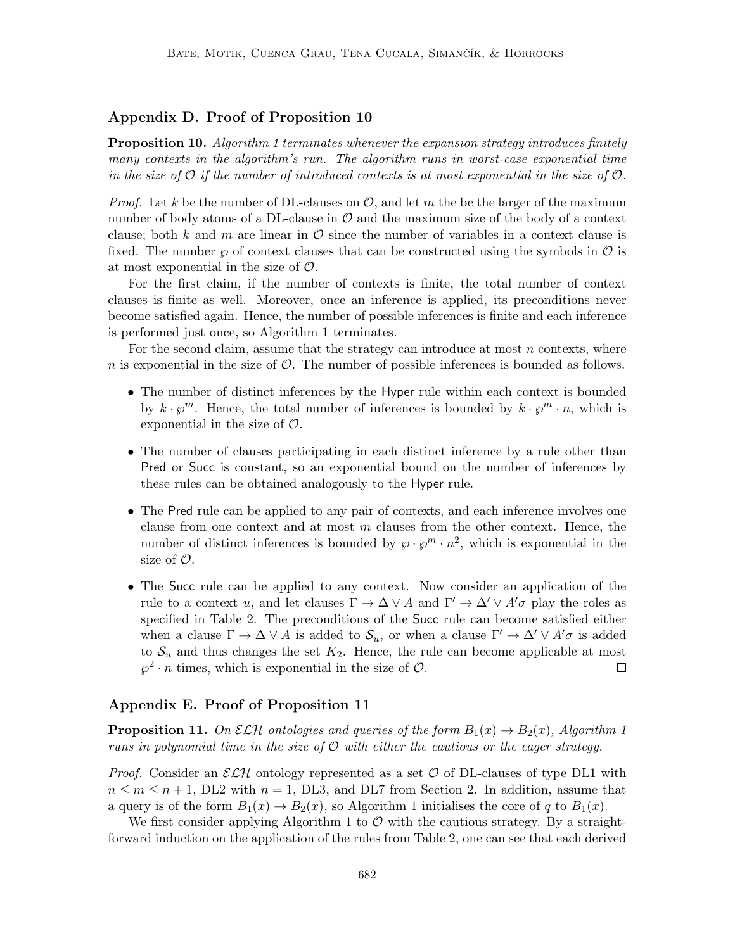## Appendix D. Proof of Proposition 10

**Proposition 10.** Algorithm 1 terminates whenever the expansion strategy introduces finitely many contexts in the algorithm's run. The algorithm runs in worst-case exponential time in the size of  $\mathcal O$  if the number of introduced contexts is at most exponential in the size of  $\mathcal O$ .

*Proof.* Let k be the number of DL-clauses on  $\mathcal{O}$ , and let m the be the larger of the maximum number of body atoms of a DL-clause in  $\mathcal O$  and the maximum size of the body of a context clause; both k and m are linear in  $\mathcal O$  since the number of variables in a context clause is fixed. The number  $\wp$  of context clauses that can be constructed using the symbols in  $\mathcal O$  is at most exponential in the size of  $\mathcal{O}$ .

For the first claim, if the number of contexts is finite, the total number of context clauses is finite as well. Moreover, once an inference is applied, its preconditions never become satisfied again. Hence, the number of possible inferences is finite and each inference is performed just once, so Algorithm 1 terminates.

For the second claim, assume that the strategy can introduce at most  $n$  contexts, where n is exponential in the size of  $\mathcal{O}$ . The number of possible inferences is bounded as follows.

- The number of distinct inferences by the Hyper rule within each context is bounded by  $k \cdot \varphi^m$ . Hence, the total number of inferences is bounded by  $k \cdot \varphi^m \cdot n$ , which is exponential in the size of  $\mathcal{O}$ .
- The number of clauses participating in each distinct inference by a rule other than Pred or Succ is constant, so an exponential bound on the number of inferences by these rules can be obtained analogously to the Hyper rule.
- The Pred rule can be applied to any pair of contexts, and each inference involves one clause from one context and at most  $m$  clauses from the other context. Hence, the number of distinct inferences is bounded by  $\varphi \cdot \varphi^m \cdot n^2$ , which is exponential in the size of  $\mathcal{O}$ .
- The Succ rule can be applied to any context. Now consider an application of the rule to a context u, and let clauses  $\Gamma \to \Delta \vee A$  and  $\Gamma' \to \Delta' \vee A' \sigma$  play the roles as specified in Table 2. The preconditions of the Succ rule can become satisfied either when a clause  $\Gamma \to \Delta \vee A$  is added to  $\mathcal{S}_u$ , or when a clause  $\Gamma' \to \Delta' \vee A' \sigma$  is added to  $S_u$  and thus changes the set  $K_2$ . Hence, the rule can become applicable at most  $\wp^2 \cdot n$  times, which is exponential in the size of  $\mathcal{O}$ .  $\Box$

## Appendix E. Proof of Proposition 11

**Proposition 11.** On  $\mathcal{ELH}$  ontologies and queries of the form  $B_1(x) \to B_2(x)$ , Algorithm 1 runs in polynomial time in the size of  $\mathcal O$  with either the cautious or the eager strategy.

*Proof.* Consider an  $\mathcal{ELH}$  ontology represented as a set  $\mathcal O$  of DL-clauses of type DL1 with  $n \leq m \leq n+1$ , DL2 with  $n = 1$ , DL3, and DL7 from Section 2. In addition, assume that a query is of the form  $B_1(x) \to B_2(x)$ , so Algorithm 1 initialises the core of q to  $B_1(x)$ .

We first consider applying Algorithm 1 to  $\mathcal O$  with the cautious strategy. By a straightforward induction on the application of the rules from Table 2, one can see that each derived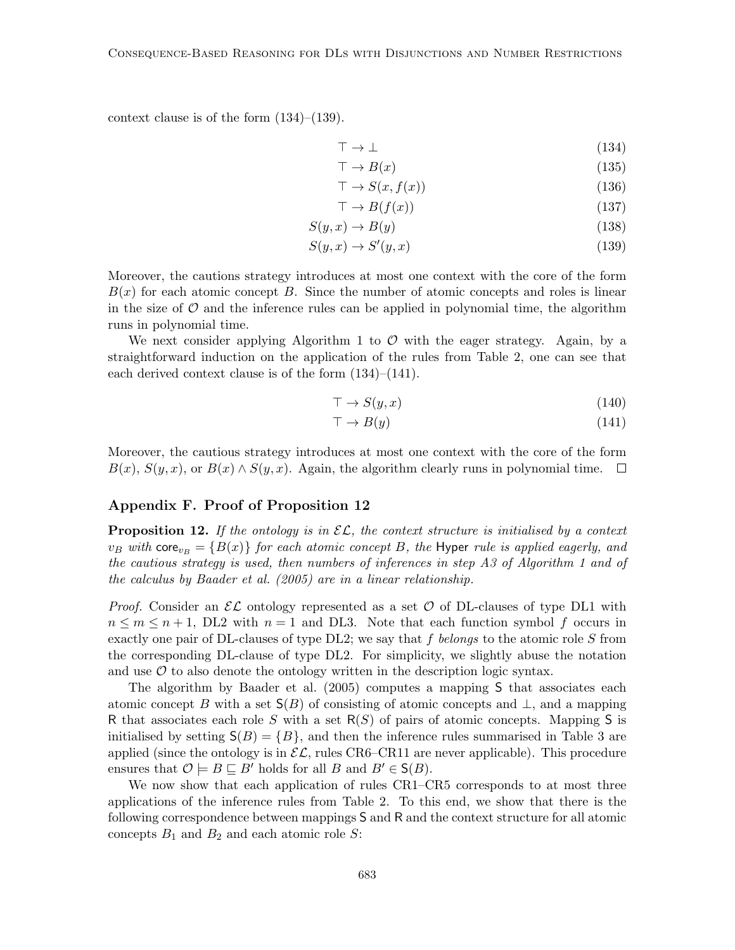context clause is of the form  $(134)$ – $(139)$ .

$$
\top \to \bot \tag{134}
$$

$$
\top \to B(x) \tag{135}
$$

$$
\top \to S(x, f(x)) \tag{136}
$$

$$
\top \to B(f(x))\tag{137}
$$

$$
S(y, x) \to B(y) \tag{138}
$$

$$
S(y, x) \to S'(y, x) \tag{139}
$$

Moreover, the cautions strategy introduces at most one context with the core of the form  $B(x)$  for each atomic concept B. Since the number of atomic concepts and roles is linear in the size of  $\mathcal O$  and the inference rules can be applied in polynomial time, the algorithm runs in polynomial time.

We next consider applying Algorithm 1 to  $\mathcal O$  with the eager strategy. Again, by a straightforward induction on the application of the rules from Table 2, one can see that each derived context clause is of the form (134)–(141).

$$
\top \to S(y, x) \tag{140}
$$

$$
\top \to B(y) \tag{141}
$$

Moreover, the cautious strategy introduces at most one context with the core of the form  $B(x)$ ,  $S(y, x)$ , or  $B(x) \wedge S(y, x)$ . Again, the algorithm clearly runs in polynomial time.  $\square$ 

## Appendix F. Proof of Proposition 12

**Proposition 12.** If the ontology is in  $\mathcal{EL}$ , the context structure is initialised by a context  $v_B$  with core<sub>ve</sub> = { $B(x)$ } for each atomic concept B, the Hyper rule is applied eagerly, and the cautious strategy is used, then numbers of inferences in step A3 of Algorithm 1 and of the calculus by Baader et al. (2005) are in a linear relationship.

*Proof.* Consider an  $\mathcal{EL}$  ontology represented as a set  $\mathcal O$  of DL-clauses of type DL1 with  $n \leq m \leq n+1$ , DL2 with  $n=1$  and DL3. Note that each function symbol f occurs in exactly one pair of DL-clauses of type DL2; we say that f belongs to the atomic role  $S$  from the corresponding DL-clause of type DL2. For simplicity, we slightly abuse the notation and use  $\mathcal O$  to also denote the ontology written in the description logic syntax.

The algorithm by Baader et al. (2005) computes a mapping S that associates each atomic concept B with a set  $S(B)$  of consisting of atomic concepts and  $\perp$ , and a mapping R that associates each role S with a set  $R(S)$  of pairs of atomic concepts. Mapping S is initialised by setting  $S(B) = \{B\}$ , and then the inference rules summarised in Table 3 are applied (since the ontology is in  $\mathcal{EL}$ , rules CR6–CR11 are never applicable). This procedure ensures that  $\mathcal{O} \models B \sqsubseteq B'$  holds for all B and  $B' \in S(B)$ .

We now show that each application of rules CR1–CR5 corresponds to at most three applications of the inference rules from Table 2. To this end, we show that there is the following correspondence between mappings S and R and the context structure for all atomic concepts  $B_1$  and  $B_2$  and each atomic role S: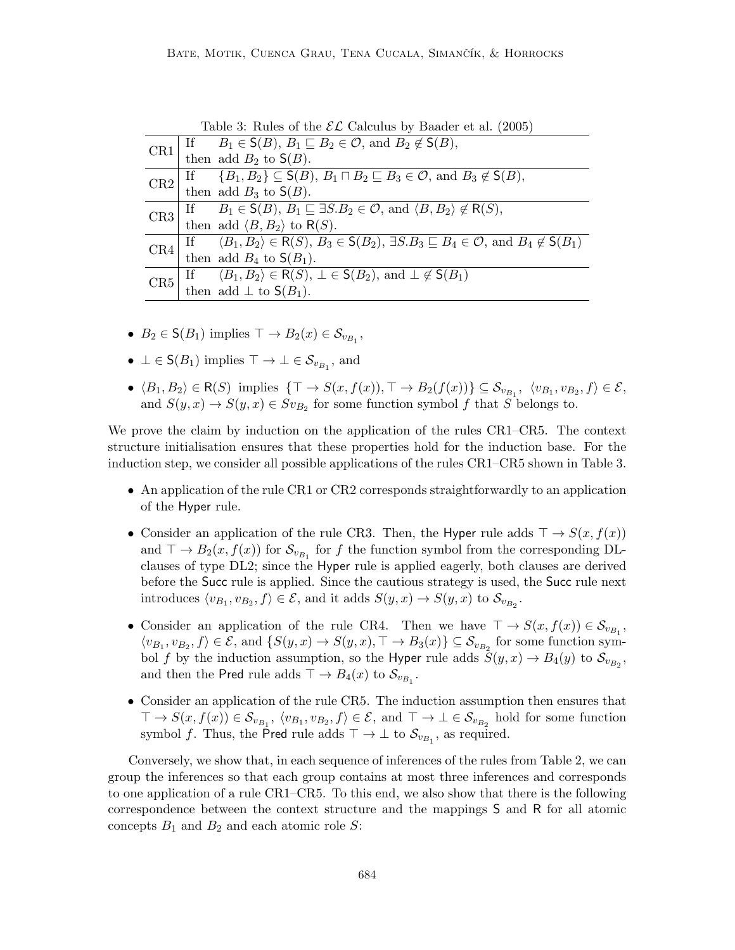CR1  $\begin{array}{|l|}\n\hline\n\text{IF} & B_1 \in \mathsf{S}(B), B_1 \sqsubseteq B_2 \in \mathcal{O}, \text{ and } B_2 \notin \mathsf{S}(B),\n\hline\n\end{array}$ then add  $B_2$  to  $\mathsf{S}(B)$ .  $\overline{\text{CR2}}$  If  $\{B_1, B_2\} \subseteq S(B), B_1 \sqcap B_2 \sqsubseteq B_3 \in \mathcal{O}$ , and  $B_3 \notin S(B)$ , then add  $B_3$  to  $\mathsf{S}(B)$ . CR3 If  $B_1 \in S(B), B_1 \sqsubseteq \exists S.B_2 \in \mathcal{O}$ , and  $\langle B, B_2 \rangle \notin R(S)$ , then add  $\langle B, B_2 \rangle$  to R(S).  $CR4$  If  $\langle B_1, B_2 \rangle \in R(S), B_3 \in S(B_2), \exists S.B_3 \sqsubseteq B_4 \in \mathcal{O}, \text{ and } B_4 \notin S(B_1)$ then add  $B_4$  to  $S(B_1)$ . CR5 If  $\langle B_1, B_2 \rangle \in R(S), \perp \in S(B_2), \text{ and } \perp \notin S(B_1)$ 

Table 3: Rules of the  $\mathcal{EL}$  Calculus by Baader et al. (2005)

•  $B_2 \in \mathsf{S}(B_1)$  implies  $\top \to B_2(x) \in \mathcal{S}_{v_{B_1}}$ ,

then add  $\perp$  to  $S(B_1)$ .

- $\bot \in \mathsf{S}(B_1)$  implies  $\top \to \bot \in \mathcal{S}_{v_{B_1}}$ , and
- $\langle B_1, B_2 \rangle \in \mathsf{R}(S)$  implies  $\{ \top \to S(x, f(x)), \top \to B_2(f(x)) \} \subseteq \mathcal{S}_{v_{B_1}}, \langle v_{B_1}, v_{B_2}, f \rangle \in \mathcal{E},$ and  $S(y, x) \to S(y, x) \in Sv_{B_2}$  for some function symbol f that S belongs to.

We prove the claim by induction on the application of the rules CR1–CR5. The context structure initialisation ensures that these properties hold for the induction base. For the induction step, we consider all possible applications of the rules CR1–CR5 shown in Table 3.

- An application of the rule CR1 or CR2 corresponds straightforwardly to an application of the Hyper rule.
- Consider an application of the rule CR3. Then, the Hyper rule adds  $\top \rightarrow S(x, f(x))$ and  $\top \to B_2(x, f(x))$  for  $S_{v_{B_1}}$  for f the function symbol from the corresponding DLclauses of type DL2; since the Hyper rule is applied eagerly, both clauses are derived before the Succ rule is applied. Since the cautious strategy is used, the Succ rule next introduces  $\langle v_{B_1}, v_{B_2}, f \rangle \in \mathcal{E}$ , and it adds  $S(y, x) \to S(y, x)$  to  $\mathcal{S}_{v_{B_2}}$ .
- Consider an application of the rule CR4. Then we have  $\top \to S(x, f(x)) \in S_{v_{B_1}}$ ,  $\langle v_{B_1}, v_{B_2}, f \rangle \in \mathcal{E}$ , and  $\{S(y, x) \to S(y, x), \top \to B_3(x)\} \subseteq \mathcal{S}_{v_{B_2}}$  for some function symbol f by the induction assumption, so the Hyper rule adds  $S(y, x) \to B_4(y)$  to  $S_{v_{B_2}}$ , and then the Pred rule adds  $\top \rightarrow B_4(x)$  to  $\mathcal{S}_{v_{B_1}}$ .
- Consider an application of the rule CR5. The induction assumption then ensures that  $\top \to S(x, f(x)) \in \mathcal{S}_{v_{B_1}}, \langle v_{B_1}, v_{B_2}, f \rangle \in \mathcal{E}, \text{ and } \top \to \bot \in \mathcal{S}_{v_{B_2}} \text{ hold for some function}$ symbol f. Thus, the Pred rule adds  $\top \rightarrow \bot$  to  $\mathcal{S}_{v_{B_1}}$ , as required.

Conversely, we show that, in each sequence of inferences of the rules from Table 2, we can group the inferences so that each group contains at most three inferences and corresponds to one application of a rule CR1–CR5. To this end, we also show that there is the following correspondence between the context structure and the mappings S and R for all atomic concepts  $B_1$  and  $B_2$  and each atomic role S: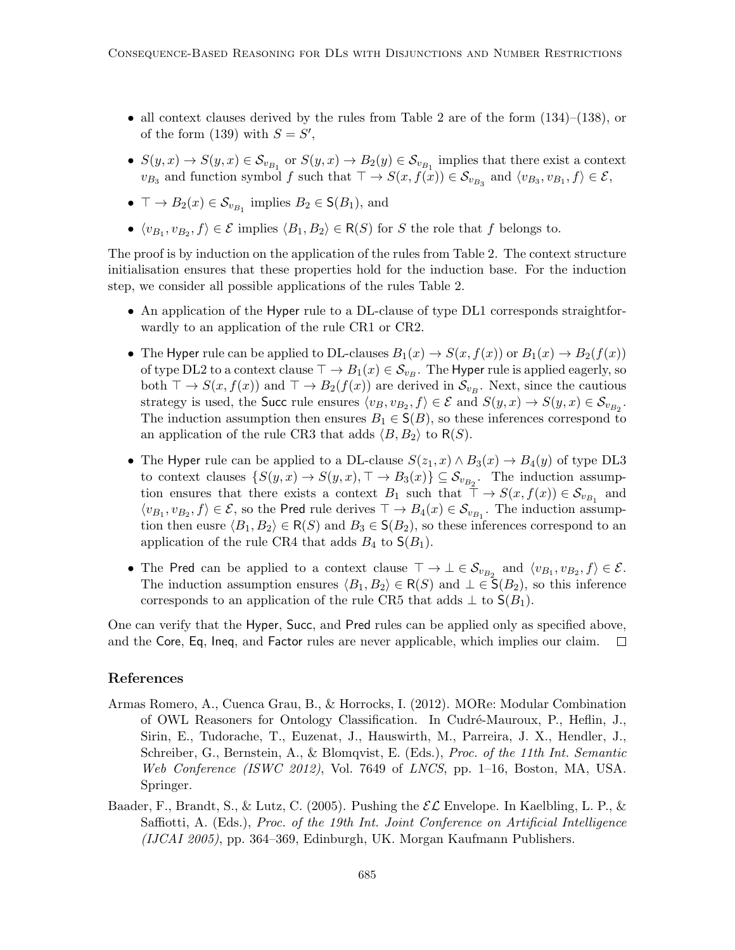- all context clauses derived by the rules from Table 2 are of the form  $(134)$ – $(138)$ , or of the form (139) with  $S = S'$ ,
- $S(y, x) \to S(y, x) \in S_{v_{B_1}}$  or  $S(y, x) \to B_2(y) \in S_{v_{B_1}}$  implies that there exist a context  $v_{B_3}$  and function symbol f such that  $\top \to S(x, f(x)) \in S_{v_{B_3}}$  and  $\langle v_{B_3}, v_{B_1}, f \rangle \in \mathcal{E}$ ,
- $\top \to B_2(x) \in \mathcal{S}_{v_{B_1}}$  implies  $B_2 \in \mathsf{S}(B_1)$ , and
- $\langle v_{B_1}, v_{B_2}, f \rangle \in \mathcal{E}$  implies  $\langle B_1, B_2 \rangle \in R(S)$  for S the role that f belongs to.

The proof is by induction on the application of the rules from Table 2. The context structure initialisation ensures that these properties hold for the induction base. For the induction step, we consider all possible applications of the rules Table 2.

- An application of the Hyper rule to a DL-clause of type DL1 corresponds straightforwardly to an application of the rule CR1 or CR2.
- The Hyper rule can be applied to DL-clauses  $B_1(x) \to S(x, f(x))$  or  $B_1(x) \to B_2(f(x))$ of type DL2 to a context clause  $\top \to B_1(x) \in \mathcal{S}_{v_B}$ . The Hyper rule is applied eagerly, so both  $\top \to S(x, f(x))$  and  $\top \to B_2(f(x))$  are derived in  $\mathcal{S}_{v_B}$ . Next, since the cautious strategy is used, the Succ rule ensures  $\langle v_B, v_{B_2}, f \rangle \in \mathcal{E}$  and  $S(y, x) \to S(y, x) \in \mathcal{S}_{v_{B_2}}$ . The induction assumption then ensures  $B_1 \in S(B)$ , so these inferences correspond to an application of the rule CR3 that adds  $\langle B, B_2 \rangle$  to R(S).
- The Hyper rule can be applied to a DL-clause  $S(z_1, x) \wedge B_3(x) \rightarrow B_4(y)$  of type DL3 to context clauses  $\{S(y, x) \to S(y, x), \top \to B_3(x)\} \subseteq \mathcal{S}_{v_{B_2}}$ . The induction assumption ensures that there exists a context  $B_1$  such that  $\top \to S(x, f(x)) \in S_{v_{B_1}}$  and  $\langle v_{B_1}, v_{B_2}, f \rangle \in \mathcal{E}$ , so the Pred rule derives  $\top \to B_4(x) \in \mathcal{S}_{v_{B_1}}$ . The induction assumption then eusre  $\langle B_1, B_2 \rangle \in R(S)$  and  $B_3 \in S(B_2)$ , so these inferences correspond to an application of the rule CR4 that adds  $B_4$  to  $\mathsf{S}(B_1)$ .
- The Pred can be applied to a context clause  $\top \to \bot \in \mathcal{S}_{v_{B_2}}$  and  $\langle v_{B_1}, v_{B_2}, f \rangle \in \mathcal{E}$ . The induction assumption ensures  $\langle B_1, B_2 \rangle \in R(S)$  and  $\bot \in \mathsf{S}(B_2)$ , so this inference corresponds to an application of the rule CR5 that adds  $\perp$  to  $S(B_1)$ .

One can verify that the Hyper, Succ, and Pred rules can be applied only as specified above, and the Core, Eq, Ineq, and Factor rules are never applicable, which implies our claim.  $\Box$ 

## References

- Armas Romero, A., Cuenca Grau, B., & Horrocks, I. (2012). MORe: Modular Combination of OWL Reasoners for Ontology Classification. In Cudré-Mauroux, P., Heflin, J., Sirin, E., Tudorache, T., Euzenat, J., Hauswirth, M., Parreira, J. X., Hendler, J., Schreiber, G., Bernstein, A., & Blomqvist, E. (Eds.), Proc. of the 11th Int. Semantic Web Conference (ISWC 2012), Vol. 7649 of LNCS, pp. 1–16, Boston, MA, USA. Springer.
- Baader, F., Brandt, S., & Lutz, C. (2005). Pushing the  $\mathcal{EL}$  Envelope. In Kaelbling, L. P., & Saffiotti, A. (Eds.), *Proc. of the 19th Int. Joint Conference on Artificial Intelligence*  $(IJCAI 2005)$ , pp. 364–369, Edinburgh, UK. Morgan Kaufmann Publishers.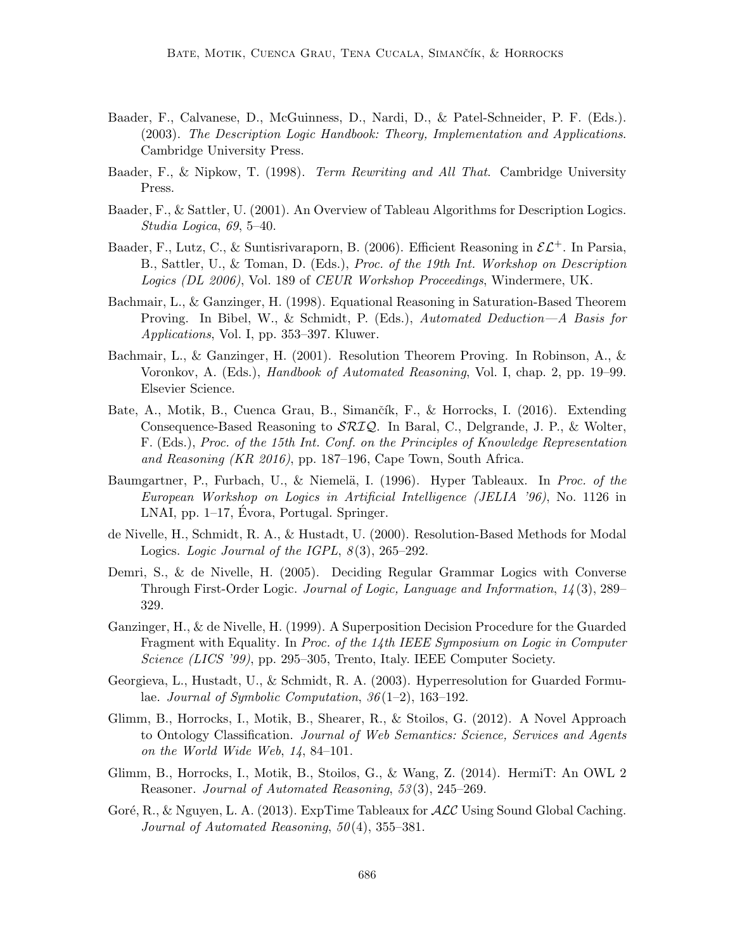- Baader, F., Calvanese, D., McGuinness, D., Nardi, D., & Patel-Schneider, P. F. (Eds.). (2003). The Description Logic Handbook: Theory, Implementation and Applications. Cambridge University Press.
- Baader, F., & Nipkow, T. (1998). Term Rewriting and All That. Cambridge University Press.
- Baader, F., & Sattler, U. (2001). An Overview of Tableau Algorithms for Description Logics. Studia Logica, 69, 5–40.
- Baader, F., Lutz, C., & Suntisrivaraporn, B. (2006). Efficient Reasoning in  $\mathcal{EL}^+$ . In Parsia, B., Sattler, U., & Toman, D. (Eds.), Proc. of the 19th Int. Workshop on Description Logics (DL 2006), Vol. 189 of CEUR Workshop Proceedings, Windermere, UK.
- Bachmair, L., & Ganzinger, H. (1998). Equational Reasoning in Saturation-Based Theorem Proving. In Bibel, W., & Schmidt, P. (Eds.), Automated Deduction—A Basis for Applications, Vol. I, pp. 353–397. Kluwer.
- Bachmair, L., & Ganzinger, H. (2001). Resolution Theorem Proving. In Robinson, A., & Voronkov, A. (Eds.), Handbook of Automated Reasoning, Vol. I, chap. 2, pp. 19–99. Elsevier Science.
- Bate, A., Motik, B., Cuenca Grau, B., Simančík, F., & Horrocks, I. (2016). Extending Consequence-Based Reasoning to SRIQ. In Baral, C., Delgrande, J. P., & Wolter, F. (Eds.), Proc. of the 15th Int. Conf. on the Principles of Knowledge Representation and Reasoning (KR 2016), pp. 187–196, Cape Town, South Africa.
- Baumgartner, P., Furbach, U., & Niemelä, I. (1996). Hyper Tableaux. In Proc. of the European Workshop on Logics in Artificial Intelligence (JELIA '96), No. 1126 in LNAI, pp.  $1-17$ , Évora, Portugal. Springer.
- de Nivelle, H., Schmidt, R. A., & Hustadt, U. (2000). Resolution-Based Methods for Modal Logics. Logic Journal of the IGPL,  $8(3)$ ,  $265-292$ .
- Demri, S., & de Nivelle, H. (2005). Deciding Regular Grammar Logics with Converse Through First-Order Logic. Journal of Logic, Language and Information, 14 (3), 289– 329.
- Ganzinger, H., & de Nivelle, H. (1999). A Superposition Decision Procedure for the Guarded Fragment with Equality. In Proc. of the 14th IEEE Symposium on Logic in Computer Science (LICS '99), pp. 295–305, Trento, Italy. IEEE Computer Society.
- Georgieva, L., Hustadt, U., & Schmidt, R. A. (2003). Hyperresolution for Guarded Formulae. Journal of Symbolic Computation, 36 (1–2), 163–192.
- Glimm, B., Horrocks, I., Motik, B., Shearer, R., & Stoilos, G. (2012). A Novel Approach to Ontology Classification. Journal of Web Semantics: Science, Services and Agents on the World Wide Web, 14, 84–101.
- Glimm, B., Horrocks, I., Motik, B., Stoilos, G., & Wang, Z. (2014). HermiT: An OWL 2 Reasoner. Journal of Automated Reasoning, 53 (3), 245–269.
- Goré, R., & Nguyen, L. A. (2013). ExpTime Tableaux for  $\mathcal{ALC}$  Using Sound Global Caching. Journal of Automated Reasoning,  $50(4)$ ,  $355-381$ .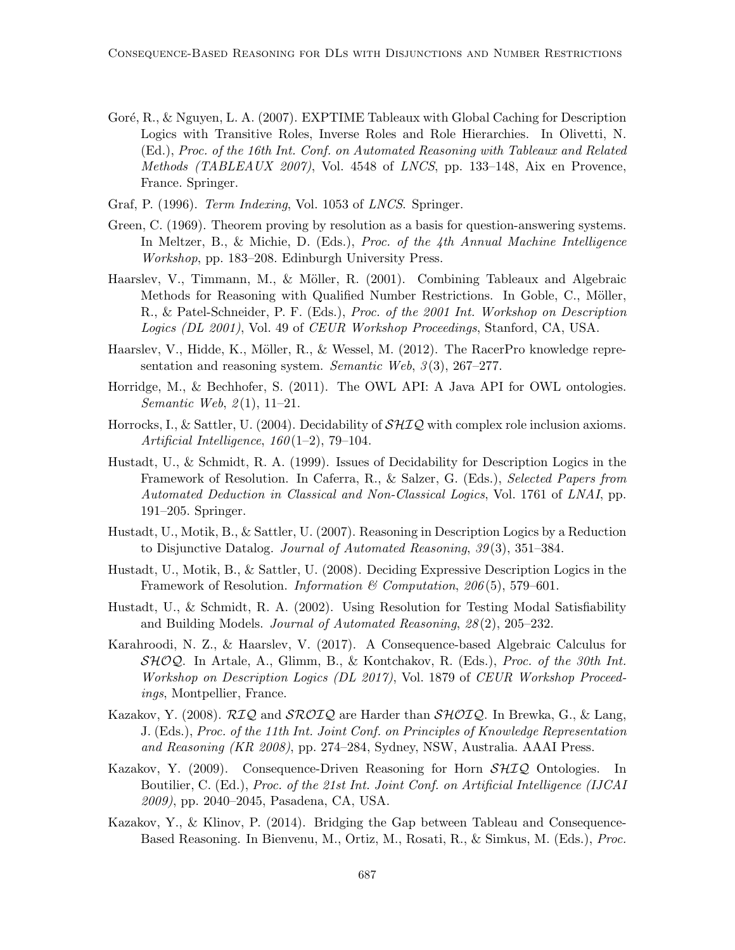- Goré, R., & Nguyen, L. A. (2007). EXPTIME Tableaux with Global Caching for Description Logics with Transitive Roles, Inverse Roles and Role Hierarchies. In Olivetti, N. (Ed.), Proc. of the 16th Int. Conf. on Automated Reasoning with Tableaux and Related Methods (TABLEAUX 2007), Vol. 4548 of LNCS, pp. 133–148, Aix en Provence, France. Springer.
- Graf, P. (1996). *Term Indexing*, Vol. 1053 of *LNCS*. Springer.
- Green, C. (1969). Theorem proving by resolution as a basis for question-answering systems. In Meltzer, B., & Michie, D. (Eds.), Proc. of the 4th Annual Machine Intelligence Workshop, pp. 183–208. Edinburgh University Press.
- Haarslev, V., Timmann, M., & Möller, R. (2001). Combining Tableaux and Algebraic Methods for Reasoning with Qualified Number Restrictions. In Goble, C., Möller, R., & Patel-Schneider, P. F. (Eds.), Proc. of the 2001 Int. Workshop on Description Logics (DL 2001), Vol. 49 of CEUR Workshop Proceedings, Stanford, CA, USA.
- Haarslev, V., Hidde, K., Möller, R., & Wessel, M. (2012). The RacerPro knowledge representation and reasoning system. Semantic Web,  $3(3)$ , 267–277.
- Horridge, M., & Bechhofer, S. (2011). The OWL API: A Java API for OWL ontologies. Semantic Web,  $2(1)$ , 11–21.
- Horrocks, I., & Sattler, U. (2004). Decidability of  $\mathcal{SHIQ}$  with complex role inclusion axioms. Artificial Intelligence,  $160(1-2)$ , 79-104.
- Hustadt, U., & Schmidt, R. A. (1999). Issues of Decidability for Description Logics in the Framework of Resolution. In Caferra, R., & Salzer, G. (Eds.), Selected Papers from Automated Deduction in Classical and Non-Classical Logics, Vol. 1761 of LNAI, pp. 191–205. Springer.
- Hustadt, U., Motik, B., & Sattler, U. (2007). Reasoning in Description Logics by a Reduction to Disjunctive Datalog. Journal of Automated Reasoning, 39 (3), 351–384.
- Hustadt, U., Motik, B., & Sattler, U. (2008). Deciding Expressive Description Logics in the Framework of Resolution. *Information* & Computation, 206(5), 579–601.
- Hustadt, U., & Schmidt, R. A. (2002). Using Resolution for Testing Modal Satisfiability and Building Models. Journal of Automated Reasoning, 28 (2), 205–232.
- Karahroodi, N. Z., & Haarslev, V. (2017). A Consequence-based Algebraic Calculus for  $\mathcal{SHOQ}$ . In Artale, A., Glimm, B., & Kontchakov, R. (Eds.), *Proc. of the 30th Int.* Workshop on Description Logics (DL 2017), Vol. 1879 of CEUR Workshop Proceedings, Montpellier, France.
- Kazakov, Y. (2008).  $\mathcal{R}IQ$  and  $\mathcal{SROLQ}$  are Harder than  $\mathcal{SHOLQ}$ . In Brewka, G., & Lang, J. (Eds.), Proc. of the 11th Int. Joint Conf. on Principles of Knowledge Representation and Reasoning (KR 2008), pp. 274–284, Sydney, NSW, Australia. AAAI Press.
- Kazakov, Y. (2009). Consequence-Driven Reasoning for Horn  $\mathcal{SHIO}$  Ontologies. In Boutilier, C. (Ed.), Proc. of the 21st Int. Joint Conf. on Artificial Intelligence (IJCAI 2009), pp. 2040–2045, Pasadena, CA, USA.
- Kazakov, Y., & Klinov, P. (2014). Bridging the Gap between Tableau and Consequence-Based Reasoning. In Bienvenu, M., Ortiz, M., Rosati, R., & Simkus, M. (Eds.), Proc.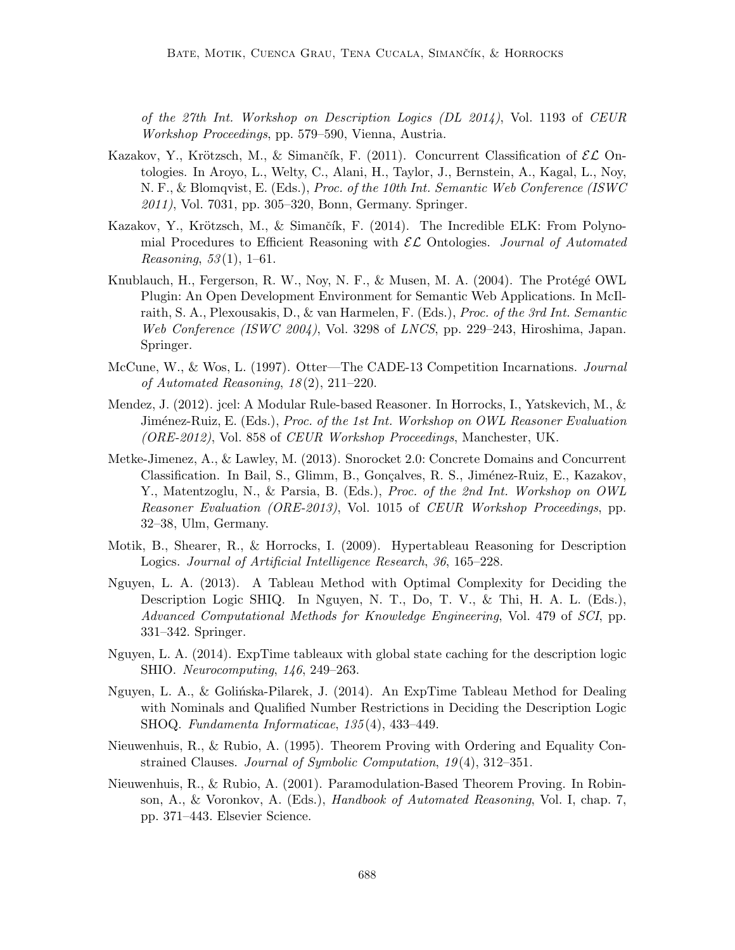of the 27th Int. Workshop on Description Logics (DL 2014), Vol. 1193 of CEUR Workshop Proceedings, pp. 579–590, Vienna, Austria.

- Kazakov, Y., Krötzsch, M., & Simančík, F. (2011). Concurrent Classification of  $\mathcal{EL}$  Ontologies. In Aroyo, L., Welty, C., Alani, H., Taylor, J., Bernstein, A., Kagal, L., Noy, N. F., & Blomqvist, E. (Eds.), Proc. of the 10th Int. Semantic Web Conference (ISWC 2011), Vol. 7031, pp. 305–320, Bonn, Germany. Springer.
- Kazakov, Y., Krötzsch, M., & Simančík, F. (2014). The Incredible ELK: From Polynomial Procedures to Efficient Reasoning with  $\mathcal{EL}$  Ontologies. Journal of Automated *Reasoning*,  $53(1)$ ,  $1-61$ .
- Knublauch, H., Fergerson, R. W., Nov, N. F.,  $\&$  Musen, M. A. (2004). The Protégé OWL Plugin: An Open Development Environment for Semantic Web Applications. In McIlraith, S. A., Plexousakis, D., & van Harmelen, F. (Eds.), Proc. of the 3rd Int. Semantic Web Conference (ISWC 2004), Vol. 3298 of LNCS, pp. 229–243, Hiroshima, Japan. Springer.
- McCune, W., & Wos, L. (1997). Otter—The CADE-13 Competition Incarnations. Journal of Automated Reasoning,  $18(2)$ ,  $211-220$ .
- Mendez, J. (2012). jcel: A Modular Rule-based Reasoner. In Horrocks, I., Yatskevich, M., & Jiménez-Ruiz, E. (Eds.), Proc. of the 1st Int. Workshop on OWL Reasoner Evaluation (ORE-2012), Vol. 858 of CEUR Workshop Proceedings, Manchester, UK.
- Metke-Jimenez, A., & Lawley, M. (2013). Snorocket 2.0: Concrete Domains and Concurrent Classification. In Bail, S., Glimm, B., Gonçalves, R. S., Jiménez-Ruiz, E., Kazakov, Y., Matentzoglu, N., & Parsia, B. (Eds.), Proc. of the 2nd Int. Workshop on OWL Reasoner Evaluation (ORE-2013), Vol. 1015 of CEUR Workshop Proceedings, pp. 32–38, Ulm, Germany.
- Motik, B., Shearer, R., & Horrocks, I. (2009). Hypertableau Reasoning for Description Logics. Journal of Artificial Intelligence Research, 36, 165–228.
- Nguyen, L. A. (2013). A Tableau Method with Optimal Complexity for Deciding the Description Logic SHIQ. In Nguyen, N. T., Do, T. V., & Thi, H. A. L. (Eds.), Advanced Computational Methods for Knowledge Engineering, Vol. 479 of SCI, pp. 331–342. Springer.
- Nguyen, L. A. (2014). ExpTime tableaux with global state caching for the description logic SHIO. Neurocomputing, 146, 249–263.
- Nguyen, L. A., & Golińska-Pilarek, J. (2014). An ExpTime Tableau Method for Dealing with Nominals and Qualified Number Restrictions in Deciding the Description Logic SHOQ. Fundamenta Informaticae, 135 (4), 433–449.
- Nieuwenhuis, R., & Rubio, A. (1995). Theorem Proving with Ordering and Equality Constrained Clauses. Journal of Symbolic Computation, 19(4), 312–351.
- Nieuwenhuis, R., & Rubio, A. (2001). Paramodulation-Based Theorem Proving. In Robinson, A., & Voronkov, A. (Eds.), Handbook of Automated Reasoning, Vol. I, chap. 7, pp. 371–443. Elsevier Science.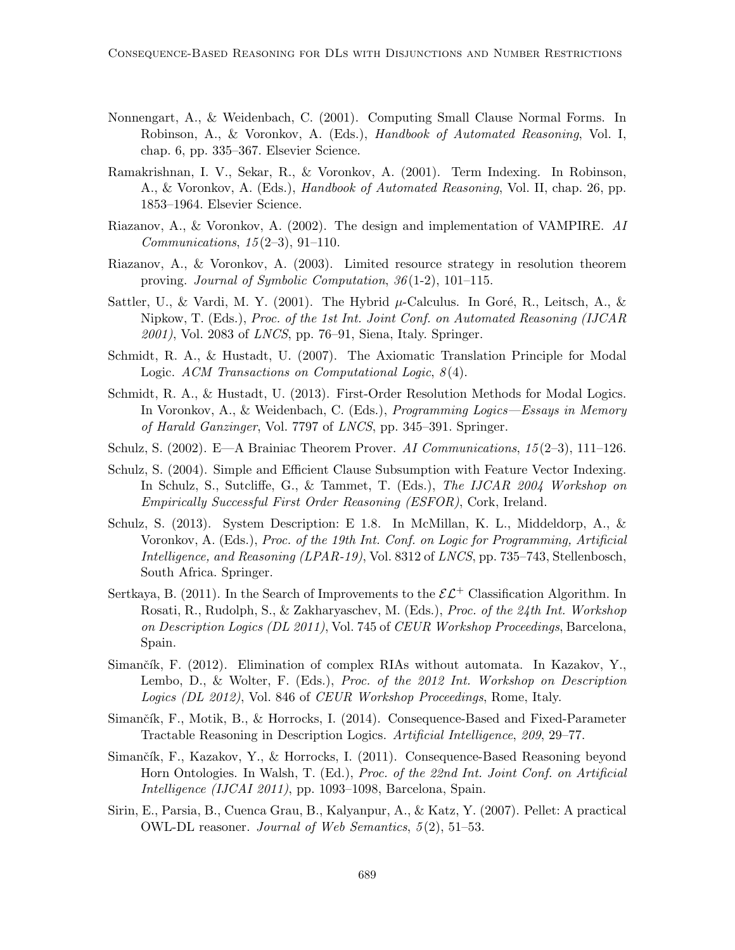- Nonnengart, A., & Weidenbach, C. (2001). Computing Small Clause Normal Forms. In Robinson, A., & Voronkov, A. (Eds.), Handbook of Automated Reasoning, Vol. I, chap. 6, pp. 335–367. Elsevier Science.
- Ramakrishnan, I. V., Sekar, R., & Voronkov, A. (2001). Term Indexing. In Robinson, A., & Voronkov, A. (Eds.), Handbook of Automated Reasoning, Vol. II, chap. 26, pp. 1853–1964. Elsevier Science.
- Riazanov, A., & Voronkov, A. (2002). The design and implementation of VAMPIRE. AI *Communications,*  $15(2-3)$ ,  $91-110$ .
- Riazanov, A., & Voronkov, A. (2003). Limited resource strategy in resolution theorem proving. Journal of Symbolic Computation, 36 (1-2), 101–115.
- Sattler, U., & Vardi, M. Y. (2001). The Hybrid  $\mu$ -Calculus. In Goré, R., Leitsch, A., & Nipkow, T. (Eds.), Proc. of the 1st Int. Joint Conf. on Automated Reasoning (IJCAR  $2001$ , Vol. 2083 of *LNCS*, pp. 76–91, Siena, Italy. Springer.
- Schmidt, R. A., & Hustadt, U. (2007). The Axiomatic Translation Principle for Modal Logic. ACM Transactions on Computational Logic,  $8(4)$ .
- Schmidt, R. A., & Hustadt, U. (2013). First-Order Resolution Methods for Modal Logics. In Voronkov, A., & Weidenbach, C. (Eds.), Programming Logics—Essays in Memory of Harald Ganzinger, Vol. 7797 of LNCS, pp. 345–391. Springer.
- Schulz, S. (2002). E—A Brainiac Theorem Prover. AI Communications,  $15(2-3)$ , 111–126.
- Schulz, S. (2004). Simple and Efficient Clause Subsumption with Feature Vector Indexing. In Schulz, S., Sutcliffe, G., & Tammet, T. (Eds.), The IJCAR 2004 Workshop on Empirically Successful First Order Reasoning (ESFOR), Cork, Ireland.
- Schulz, S. (2013). System Description: E 1.8. In McMillan, K. L., Middeldorp, A., & Voronkov, A. (Eds.), Proc. of the 19th Int. Conf. on Logic for Programming, Artificial Intelligence, and Reasoning (LPAR-19), Vol. 8312 of LNCS, pp. 735–743, Stellenbosch, South Africa. Springer.
- Sertkaya, B. (2011). In the Search of Improvements to the  $\mathcal{EL}^+$  Classification Algorithm. In Rosati, R., Rudolph, S., & Zakharyaschev, M. (Eds.), Proc. of the 24th Int. Workshop on Description Logics (DL 2011), Vol. 745 of CEUR Workshop Proceedings, Barcelona, Spain.
- Simančík, F. (2012). Elimination of complex RIAs without automata. In Kazakov, Y., Lembo, D., & Wolter, F. (Eds.), Proc. of the 2012 Int. Workshop on Description Logics (DL 2012), Vol. 846 of CEUR Workshop Proceedings, Rome, Italy.
- Simančík, F., Motik, B., & Horrocks, I. (2014). Consequence-Based and Fixed-Parameter Tractable Reasoning in Description Logics. Artificial Intelligence, 209, 29–77.
- Simančík, F., Kazakov, Y., & Horrocks, I. (2011). Consequence-Based Reasoning beyond Horn Ontologies. In Walsh, T. (Ed.), Proc. of the 22nd Int. Joint Conf. on Artificial Intelligence (IJCAI 2011), pp. 1093–1098, Barcelona, Spain.
- Sirin, E., Parsia, B., Cuenca Grau, B., Kalyanpur, A., & Katz, Y. (2007). Pellet: A practical OWL-DL reasoner. Journal of Web Semantics, 5 (2), 51–53.